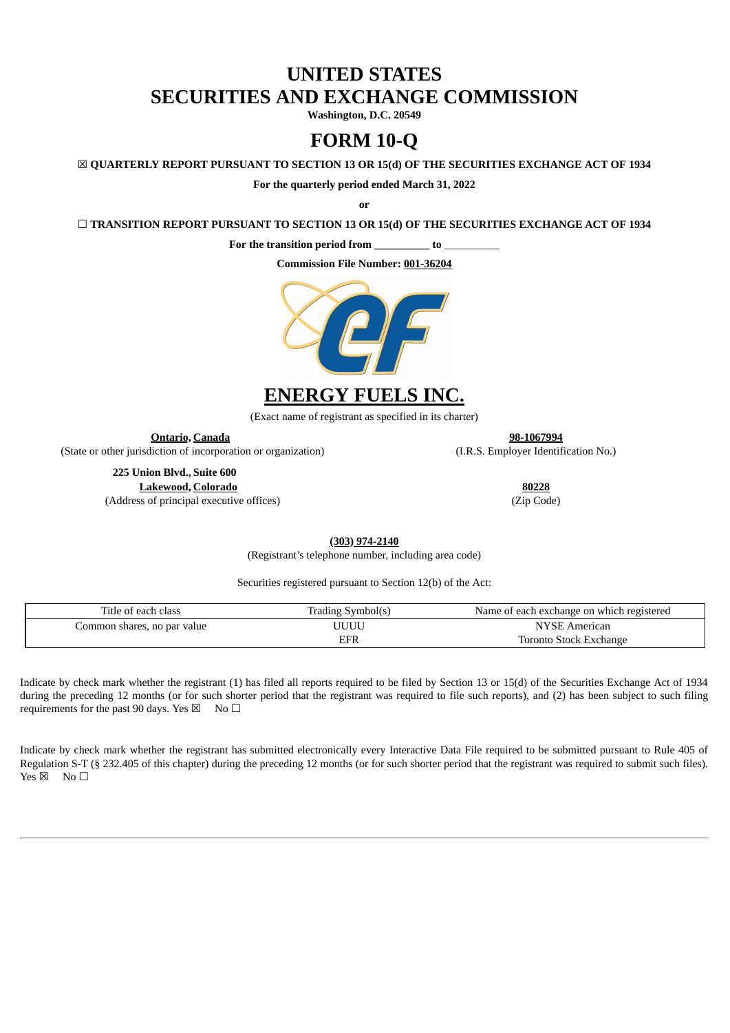# **UNITED STATES SECURITIES AND EXCHANGE COMMISSION**

**Washington, D.C. 20549**

# **FORM 10-Q**

☒ **QUARTERLY REPORT PURSUANT TO SECTION 13 OR 15(d) OF THE SECURITIES EXCHANGE ACT OF 1934**

**For the quarterly period ended March 31, 2022**

**or**

☐ **TRANSITION REPORT PURSUANT TO SECTION 13 OR 15(d) OF THE SECURITIES EXCHANGE ACT OF 1934**

**For the transition period from \_\_\_\_\_\_\_\_\_\_ to** \_\_\_\_\_\_\_\_\_\_

**Commission File Number: 001-36204**



# **ENERGY FUELS INC.**

(Exact name of registrant as specified in its charter)

(State or other jurisdiction of incorporation or organization) (I.R.S. Employer Identification No.)

**225 Union Blvd., Suite 600 Lakewood, Colorado 80228** (Address of principal executive offices) (Zip Code)

**Ontario, Canada 98-1067994**

**(303) 974-2140**

(Registrant's telephone number, including area code)

Securities registered pursuant to Section 12(b) of the Act:

| fitle of each class         | Trading Symbol(s) | Name of each exchange on which registered |
|-----------------------------|-------------------|-------------------------------------------|
| Common shares, no par value | JUUU              | NYSE American                             |
|                             | EFR               | Toronto Stock Exchange                    |

Indicate by check mark whether the registrant (1) has filed all reports required to be filed by Section 13 or 15(d) of the Securities Exchange Act of 1934 during the preceding 12 months (or for such shorter period that the registrant was required to file such reports), and (2) has been subject to such filing requirements for the past 90 days. Yes  $\boxtimes$  No  $\Box$ 

Indicate by check mark whether the registrant has submitted electronically every Interactive Data File required to be submitted pursuant to Rule 405 of Regulation S-T (§ 232.405 of this chapter) during the preceding 12 months (or for such shorter period that the registrant was required to submit such files).  $Yes \boxtimes \cong No \square$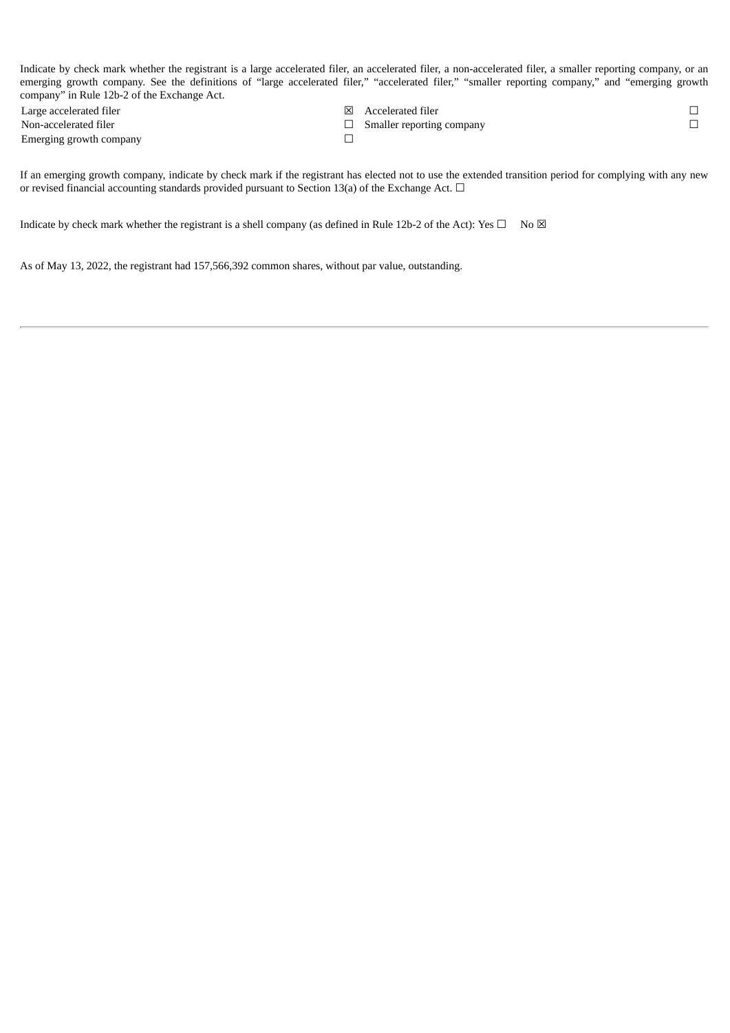Indicate by check mark whether the registrant is a large accelerated filer, an accelerated filer, a non-accelerated filer, a smaller reporting company, or an emerging growth company. See the definitions of "large accelerated filer," "accelerated filer," "smaller reporting company," and "emerging growth company" in Rule 12b-2 of the Exchange Act.

Emerging growth company  $\Box$ 

Large accelerated filer ☒ Accelerated filer ☐ Non-accelerated filer □ smaller reporting company □ Smaller reporting company □

If an emerging growth company, indicate by check mark if the registrant has elected not to use the extended transition period for complying with any new or revised financial accounting standards provided pursuant to Section 13(a) of the Exchange Act.  $\Box$ 

Indicate by check mark whether the registrant is a shell company (as defined in Rule 12b-2 of the Act): Yes  $\Box$  No  $\boxtimes$ 

As of May 13, 2022, the registrant had 157,566,392 common shares, without par value, outstanding.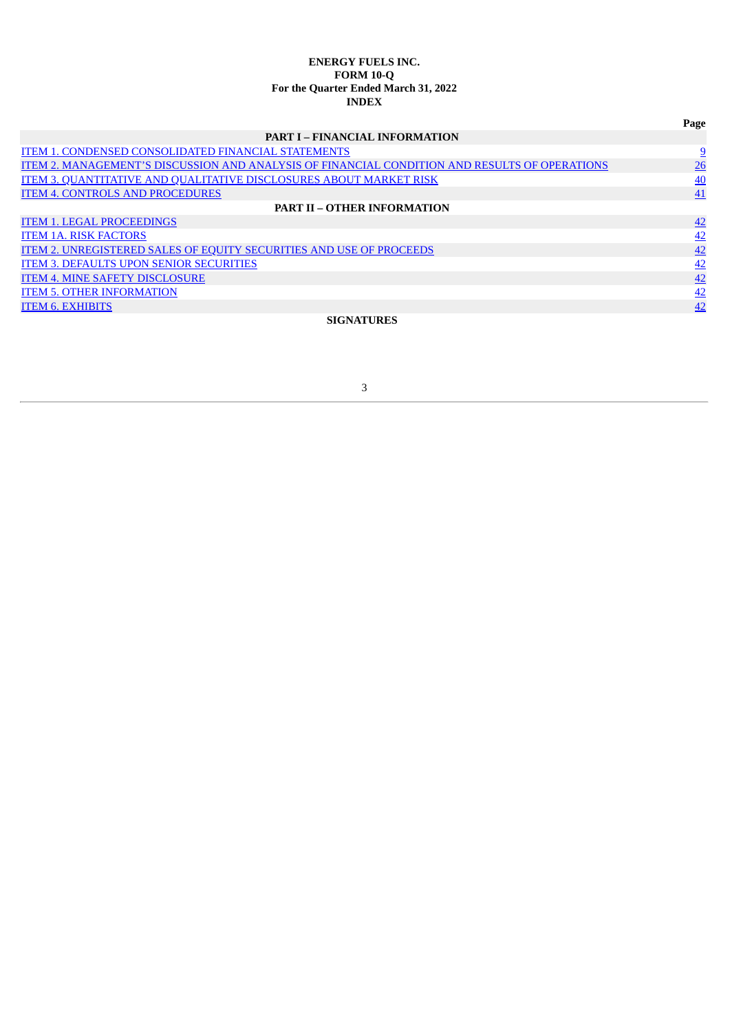# **ENERGY FUELS INC. FORM 10-Q For the Quarter Ended March 31, 2022 INDEX**

|                                                                                               | Page |  |  |  |  |  |  |  |  |
|-----------------------------------------------------------------------------------------------|------|--|--|--|--|--|--|--|--|
| <b>PART I - FINANCIAL INFORMATION</b>                                                         |      |  |  |  |  |  |  |  |  |
| <b>ITEM 1. CONDENSED CONSOLIDATED FINANCIAL STATEMENTS</b>                                    | 9    |  |  |  |  |  |  |  |  |
| ITEM 2. MANAGEMENT'S DISCUSSION AND ANALYSIS OF FINANCIAL CONDITION AND RESULTS OF OPERATIONS | 26   |  |  |  |  |  |  |  |  |
| <u>ITEM 3. QUANTITATIVE AND QUALITATIVE DISCLOSURES ABOUT MARKET RISK</u>                     | 40   |  |  |  |  |  |  |  |  |
| <b>ITEM 4. CONTROLS AND PROCEDURES</b>                                                        | 41   |  |  |  |  |  |  |  |  |
| <b>PART II - OTHER INFORMATION</b>                                                            |      |  |  |  |  |  |  |  |  |
| <b>ITEM 1. LEGAL PROCEEDINGS</b>                                                              | 42   |  |  |  |  |  |  |  |  |
| <b>ITEM 1A. RISK FACTORS</b>                                                                  | 42   |  |  |  |  |  |  |  |  |
| <b>ITEM 2. UNREGISTERED SALES OF EQUITY SECURITIES AND USE OF PROCEEDS</b>                    | 42   |  |  |  |  |  |  |  |  |
| <b>ITEM 3. DEFAULTS UPON SENIOR SECURITIES</b>                                                | 42   |  |  |  |  |  |  |  |  |
| <b>ITEM 4. MINE SAFETY DISCLOSURE</b>                                                         | 42   |  |  |  |  |  |  |  |  |
| <b>ITEM 5. OTHER INFORMATION</b>                                                              | 42   |  |  |  |  |  |  |  |  |
| <b>ITEM 6. EXHIBITS</b>                                                                       | 42   |  |  |  |  |  |  |  |  |
|                                                                                               |      |  |  |  |  |  |  |  |  |

# **SIGNATURES**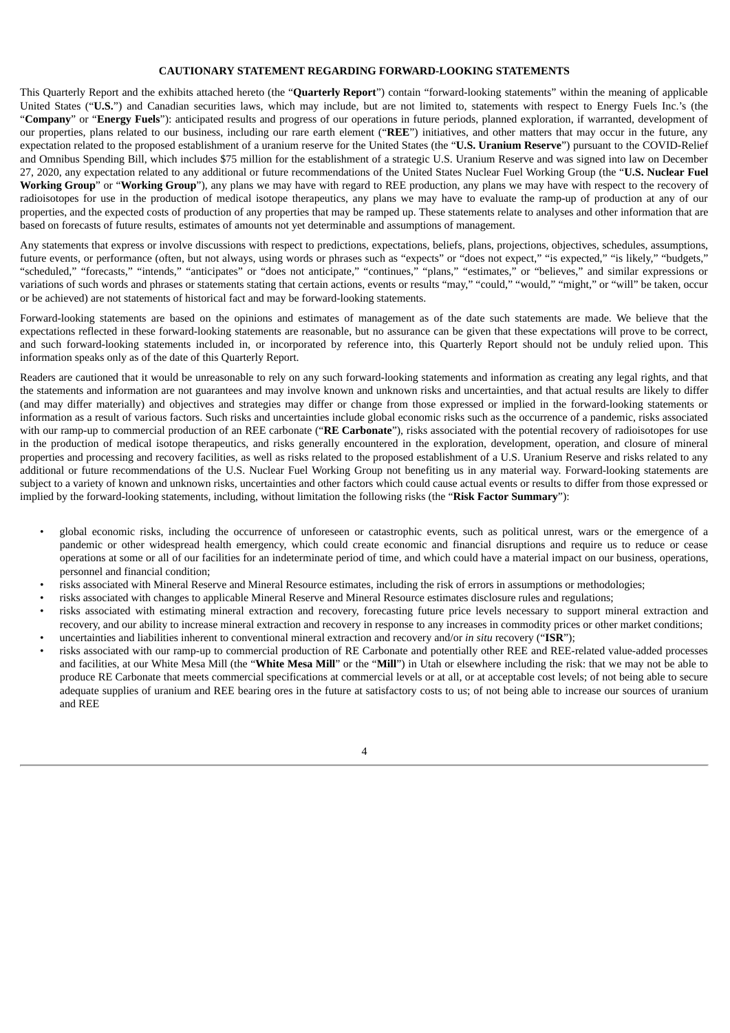## **CAUTIONARY STATEMENT REGARDING FORWARD-LOOKING STATEMENTS**

This Quarterly Report and the exhibits attached hereto (the "**Quarterly Report**") contain "forward-looking statements" within the meaning of applicable United States ("**U.S.**") and Canadian securities laws, which may include, but are not limited to, statements with respect to Energy Fuels Inc.'s (the "**Company**" or "**Energy Fuels**"): anticipated results and progress of our operations in future periods, planned exploration, if warranted, development of our properties, plans related to our business, including our rare earth element ("**REE**") initiatives, and other matters that may occur in the future, any expectation related to the proposed establishment of a uranium reserve for the United States (the "**U.S. Uranium Reserve**") pursuant to the COVID-Relief and Omnibus Spending Bill, which includes \$75 million for the establishment of a strategic U.S. Uranium Reserve and was signed into law on December 27, 2020, any expectation related to any additional or future recommendations of the United States Nuclear Fuel Working Group (the "**U.S. Nuclear Fuel Working Group**" or "**Working Group**"), any plans we may have with regard to REE production, any plans we may have with respect to the recovery of radioisotopes for use in the production of medical isotope therapeutics, any plans we may have to evaluate the ramp-up of production at any of our properties, and the expected costs of production of any properties that may be ramped up. These statements relate to analyses and other information that are based on forecasts of future results, estimates of amounts not yet determinable and assumptions of management.

Any statements that express or involve discussions with respect to predictions, expectations, beliefs, plans, projections, objectives, schedules, assumptions, future events, or performance (often, but not always, using words or phrases such as "expects" or "does not expect," "is expected," "is likely," "budgets," "scheduled," "forecasts," "intends," "anticipates" or "does not anticipate," "continues," "plans," "estimates," or "believes," and similar expressions or variations of such words and phrases or statements stating that certain actions, events or results "may," "could," "would," "might," or "will" be taken, occur or be achieved) are not statements of historical fact and may be forward-looking statements.

Forward-looking statements are based on the opinions and estimates of management as of the date such statements are made. We believe that the expectations reflected in these forward-looking statements are reasonable, but no assurance can be given that these expectations will prove to be correct, and such forward-looking statements included in, or incorporated by reference into, this Quarterly Report should not be unduly relied upon. This information speaks only as of the date of this Quarterly Report.

Readers are cautioned that it would be unreasonable to rely on any such forward-looking statements and information as creating any legal rights, and that the statements and information are not guarantees and may involve known and unknown risks and uncertainties, and that actual results are likely to differ (and may differ materially) and objectives and strategies may differ or change from those expressed or implied in the forward-looking statements or information as a result of various factors. Such risks and uncertainties include global economic risks such as the occurrence of a pandemic, risks associated with our ramp-up to commercial production of an REE carbonate ("**RE Carbonate**"), risks associated with the potential recovery of radioisotopes for use in the production of medical isotope therapeutics, and risks generally encountered in the exploration, development, operation, and closure of mineral properties and processing and recovery facilities, as well as risks related to the proposed establishment of a U.S. Uranium Reserve and risks related to any additional or future recommendations of the U.S. Nuclear Fuel Working Group not benefiting us in any material way. Forward-looking statements are subject to a variety of known and unknown risks, uncertainties and other factors which could cause actual events or results to differ from those expressed or implied by the forward-looking statements, including, without limitation the following risks (the "**Risk Factor Summary**"):

- global economic risks, including the occurrence of unforeseen or catastrophic events, such as political unrest, wars or the emergence of a pandemic or other widespread health emergency, which could create economic and financial disruptions and require us to reduce or cease operations at some or all of our facilities for an indeterminate period of time, and which could have a material impact on our business, operations, personnel and financial condition;
- risks associated with Mineral Reserve and Mineral Resource estimates, including the risk of errors in assumptions or methodologies;
- risks associated with changes to applicable Mineral Reserve and Mineral Resource estimates disclosure rules and regulations;
- risks associated with estimating mineral extraction and recovery, forecasting future price levels necessary to support mineral extraction and recovery, and our ability to increase mineral extraction and recovery in response to any increases in commodity prices or other market conditions; • uncertainties and liabilities inherent to conventional mineral extraction and recovery and/or *in situ* recovery ("**ISR**");
- risks associated with our ramp-up to commercial production of RE Carbonate and potentially other REE and REE-related value-added processes and facilities, at our White Mesa Mill (the "**White Mesa Mill**" or the "**Mill**") in Utah or elsewhere including the risk: that we may not be able to produce RE Carbonate that meets commercial specifications at commercial levels or at all, or at acceptable cost levels; of not being able to secure adequate supplies of uranium and REE bearing ores in the future at satisfactory costs to us; of not being able to increase our sources of uranium and REE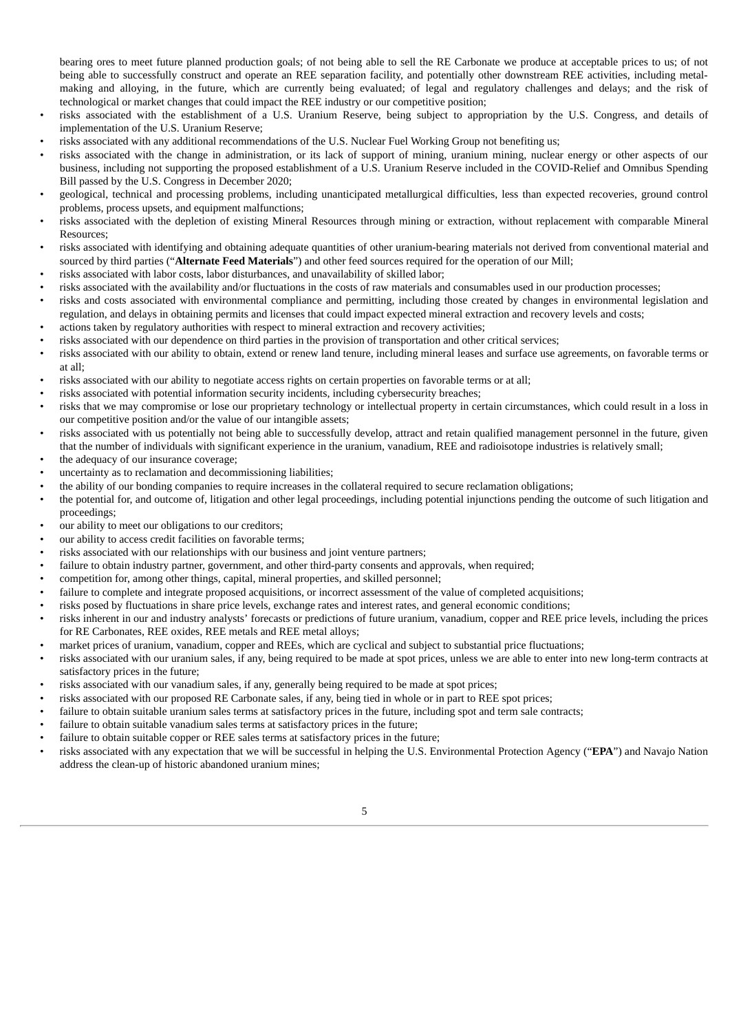bearing ores to meet future planned production goals; of not being able to sell the RE Carbonate we produce at acceptable prices to us; of not being able to successfully construct and operate an REE separation facility, and potentially other downstream REE activities, including metalmaking and alloying, in the future, which are currently being evaluated; of legal and regulatory challenges and delays; and the risk of technological or market changes that could impact the REE industry or our competitive position;

- risks associated with the establishment of a U.S. Uranium Reserve, being subject to appropriation by the U.S. Congress, and details of implementation of the U.S. Uranium Reserve;
- risks associated with any additional recommendations of the U.S. Nuclear Fuel Working Group not benefiting us;
- risks associated with the change in administration, or its lack of support of mining, uranium mining, nuclear energy or other aspects of our business, including not supporting the proposed establishment of a U.S. Uranium Reserve included in the COVID-Relief and Omnibus Spending Bill passed by the U.S. Congress in December 2020;
- geological, technical and processing problems, including unanticipated metallurgical difficulties, less than expected recoveries, ground control problems, process upsets, and equipment malfunctions;
- risks associated with the depletion of existing Mineral Resources through mining or extraction, without replacement with comparable Mineral Resources;
- risks associated with identifying and obtaining adequate quantities of other uranium-bearing materials not derived from conventional material and sourced by third parties ("**Alternate Feed Materials**") and other feed sources required for the operation of our Mill;
- risks associated with labor costs, labor disturbances, and unavailability of skilled labor;
- risks associated with the availability and/or fluctuations in the costs of raw materials and consumables used in our production processes;
- risks and costs associated with environmental compliance and permitting, including those created by changes in environmental legislation and regulation, and delays in obtaining permits and licenses that could impact expected mineral extraction and recovery levels and costs;
- actions taken by regulatory authorities with respect to mineral extraction and recovery activities;
- risks associated with our dependence on third parties in the provision of transportation and other critical services;
- risks associated with our ability to obtain, extend or renew land tenure, including mineral leases and surface use agreements, on favorable terms or at all;
- risks associated with our ability to negotiate access rights on certain properties on favorable terms or at all;
- risks associated with potential information security incidents, including cybersecurity breaches;
- risks that we may compromise or lose our proprietary technology or intellectual property in certain circumstances, which could result in a loss in our competitive position and/or the value of our intangible assets;
- risks associated with us potentially not being able to successfully develop, attract and retain qualified management personnel in the future, given that the number of individuals with significant experience in the uranium, vanadium, REE and radioisotope industries is relatively small;
- the adequacy of our insurance coverage;
- uncertainty as to reclamation and decommissioning liabilities;
- the ability of our bonding companies to require increases in the collateral required to secure reclamation obligations;
- the potential for, and outcome of, litigation and other legal proceedings, including potential injunctions pending the outcome of such litigation and proceedings;
- our ability to meet our obligations to our creditors;
- our ability to access credit facilities on favorable terms;
- risks associated with our relationships with our business and joint venture partners;
- failure to obtain industry partner, government, and other third-party consents and approvals, when required;
- competition for, among other things, capital, mineral properties, and skilled personnel;
- failure to complete and integrate proposed acquisitions, or incorrect assessment of the value of completed acquisitions;
- risks posed by fluctuations in share price levels, exchange rates and interest rates, and general economic conditions;
- risks inherent in our and industry analysts' forecasts or predictions of future uranium, vanadium, copper and REE price levels, including the prices for RE Carbonates, REE oxides, REE metals and REE metal alloys;
- market prices of uranium, vanadium, copper and REEs, which are cyclical and subject to substantial price fluctuations;
- risks associated with our uranium sales, if any, being required to be made at spot prices, unless we are able to enter into new long-term contracts at satisfactory prices in the future;
- risks associated with our vanadium sales, if any, generally being required to be made at spot prices;
- risks associated with our proposed RE Carbonate sales, if any, being tied in whole or in part to REE spot prices;
- failure to obtain suitable uranium sales terms at satisfactory prices in the future, including spot and term sale contracts;
- failure to obtain suitable vanadium sales terms at satisfactory prices in the future;
- failure to obtain suitable copper or REE sales terms at satisfactory prices in the future;
- risks associated with any expectation that we will be successful in helping the U.S. Environmental Protection Agency ("**EPA**") and Navajo Nation address the clean-up of historic abandoned uranium mines;

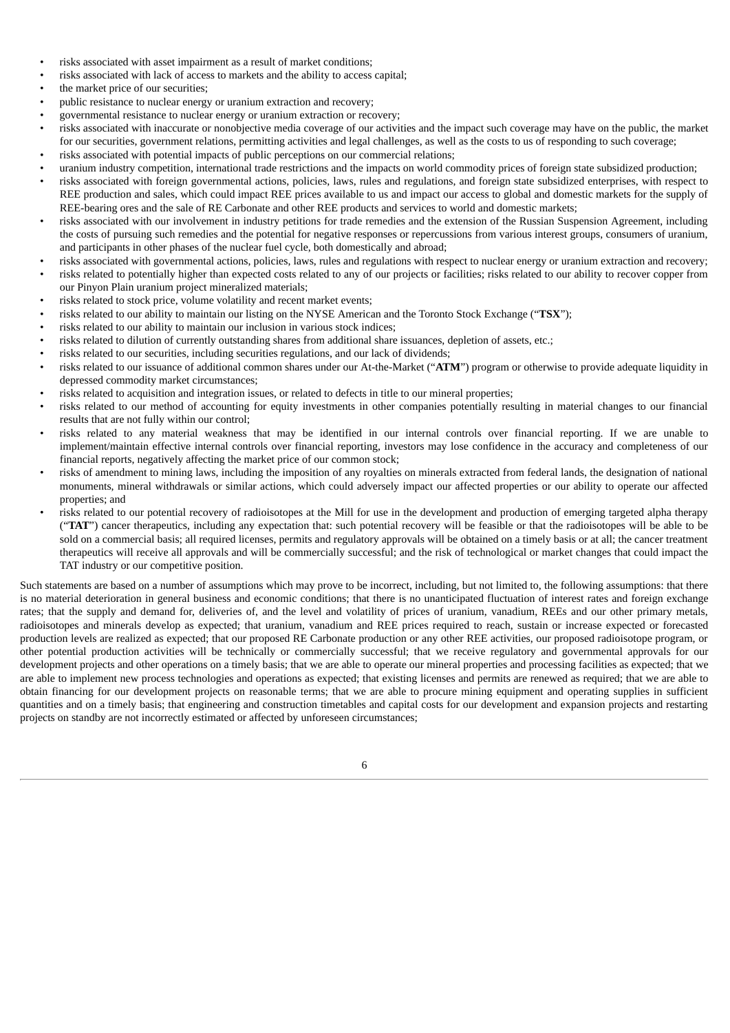- risks associated with asset impairment as a result of market conditions;
- risks associated with lack of access to markets and the ability to access capital;
- the market price of our securities;
- public resistance to nuclear energy or uranium extraction and recovery;
- governmental resistance to nuclear energy or uranium extraction or recovery;
- risks associated with inaccurate or nonobjective media coverage of our activities and the impact such coverage may have on the public, the market for our securities, government relations, permitting activities and legal challenges, as well as the costs to us of responding to such coverage;
- risks associated with potential impacts of public perceptions on our commercial relations;
- uranium industry competition, international trade restrictions and the impacts on world commodity prices of foreign state subsidized production;
- risks associated with foreign governmental actions, policies, laws, rules and regulations, and foreign state subsidized enterprises, with respect to REE production and sales, which could impact REE prices available to us and impact our access to global and domestic markets for the supply of REE-bearing ores and the sale of RE Carbonate and other REE products and services to world and domestic markets;
- risks associated with our involvement in industry petitions for trade remedies and the extension of the Russian Suspension Agreement, including the costs of pursuing such remedies and the potential for negative responses or repercussions from various interest groups, consumers of uranium, and participants in other phases of the nuclear fuel cycle, both domestically and abroad;
- risks associated with governmental actions, policies, laws, rules and regulations with respect to nuclear energy or uranium extraction and recovery;
- risks related to potentially higher than expected costs related to any of our projects or facilities; risks related to our ability to recover copper from our Pinyon Plain uranium project mineralized materials;
- risks related to stock price, volume volatility and recent market events;
- risks related to our ability to maintain our listing on the NYSE American and the Toronto Stock Exchange ("**TSX**");
- risks related to our ability to maintain our inclusion in various stock indices;
- risks related to dilution of currently outstanding shares from additional share issuances, depletion of assets, etc.;
- risks related to our securities, including securities regulations, and our lack of dividends;
- risks related to our issuance of additional common shares under our At-the-Market ("**ATM**") program or otherwise to provide adequate liquidity in depressed commodity market circumstances;
- risks related to acquisition and integration issues, or related to defects in title to our mineral properties;
- risks related to our method of accounting for equity investments in other companies potentially resulting in material changes to our financial results that are not fully within our control;
- risks related to any material weakness that may be identified in our internal controls over financial reporting. If we are unable to implement/maintain effective internal controls over financial reporting, investors may lose confidence in the accuracy and completeness of our financial reports, negatively affecting the market price of our common stock;
- risks of amendment to mining laws, including the imposition of any royalties on minerals extracted from federal lands, the designation of national monuments, mineral withdrawals or similar actions, which could adversely impact our affected properties or our ability to operate our affected properties; and
- risks related to our potential recovery of radioisotopes at the Mill for use in the development and production of emerging targeted alpha therapy ("**TAT**") cancer therapeutics, including any expectation that: such potential recovery will be feasible or that the radioisotopes will be able to be sold on a commercial basis; all required licenses, permits and regulatory approvals will be obtained on a timely basis or at all; the cancer treatment therapeutics will receive all approvals and will be commercially successful; and the risk of technological or market changes that could impact the TAT industry or our competitive position.

Such statements are based on a number of assumptions which may prove to be incorrect, including, but not limited to, the following assumptions: that there is no material deterioration in general business and economic conditions; that there is no unanticipated fluctuation of interest rates and foreign exchange rates; that the supply and demand for, deliveries of, and the level and volatility of prices of uranium, vanadium, REEs and our other primary metals, radioisotopes and minerals develop as expected; that uranium, vanadium and REE prices required to reach, sustain or increase expected or forecasted production levels are realized as expected; that our proposed RE Carbonate production or any other REE activities, our proposed radioisotope program, or other potential production activities will be technically or commercially successful; that we receive regulatory and governmental approvals for our development projects and other operations on a timely basis; that we are able to operate our mineral properties and processing facilities as expected; that we are able to implement new process technologies and operations as expected; that existing licenses and permits are renewed as required; that we are able to obtain financing for our development projects on reasonable terms; that we are able to procure mining equipment and operating supplies in sufficient quantities and on a timely basis; that engineering and construction timetables and capital costs for our development and expansion projects and restarting projects on standby are not incorrectly estimated or affected by unforeseen circumstances;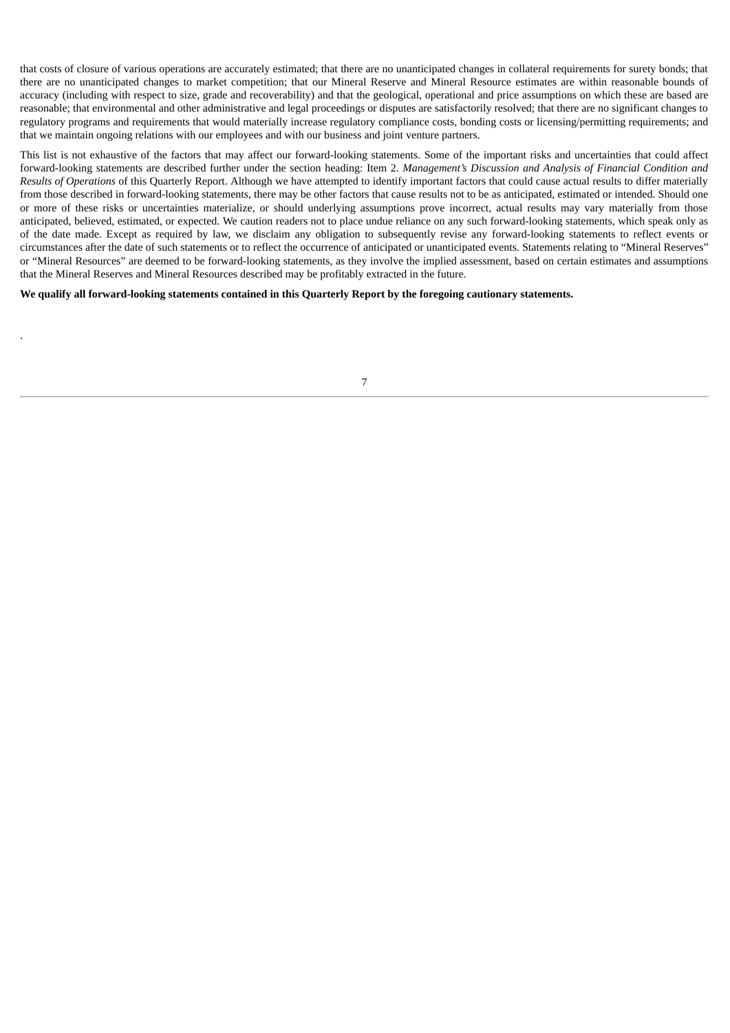that costs of closure of various operations are accurately estimated; that there are no unanticipated changes in collateral requirements for surety bonds; that there are no unanticipated changes to market competition; that our Mineral Reserve and Mineral Resource estimates are within reasonable bounds of accuracy (including with respect to size, grade and recoverability) and that the geological, operational and price assumptions on which these are based are reasonable; that environmental and other administrative and legal proceedings or disputes are satisfactorily resolved; that there are no significant changes to regulatory programs and requirements that would materially increase regulatory compliance costs, bonding costs or licensing/permitting requirements; and that we maintain ongoing relations with our employees and with our business and joint venture partners.

This list is not exhaustive of the factors that may affect our forward-looking statements. Some of the important risks and uncertainties that could affect forward-looking statements are described further under the section heading: Item 2. *Management's Discussion and Analysis of Financial Condition and Results of Operations* of this Quarterly Report. Although we have attempted to identify important factors that could cause actual results to differ materially from those described in forward-looking statements, there may be other factors that cause results not to be as anticipated, estimated or intended. Should one or more of these risks or uncertainties materialize, or should underlying assumptions prove incorrect, actual results may vary materially from those anticipated, believed, estimated, or expected. We caution readers not to place undue reliance on any such forward-looking statements, which speak only as of the date made. Except as required by law, we disclaim any obligation to subsequently revise any forward-looking statements to reflect events or circumstances after the date of such statements or to reflect the occurrence of anticipated or unanticipated events. Statements relating to "Mineral Reserves" or "Mineral Resources" are deemed to be forward-looking statements, as they involve the implied assessment, based on certain estimates and assumptions that the Mineral Reserves and Mineral Resources described may be profitably extracted in the future.

**We qualify all forward-looking statements contained in this Quarterly Report by the foregoing cautionary statements.**

.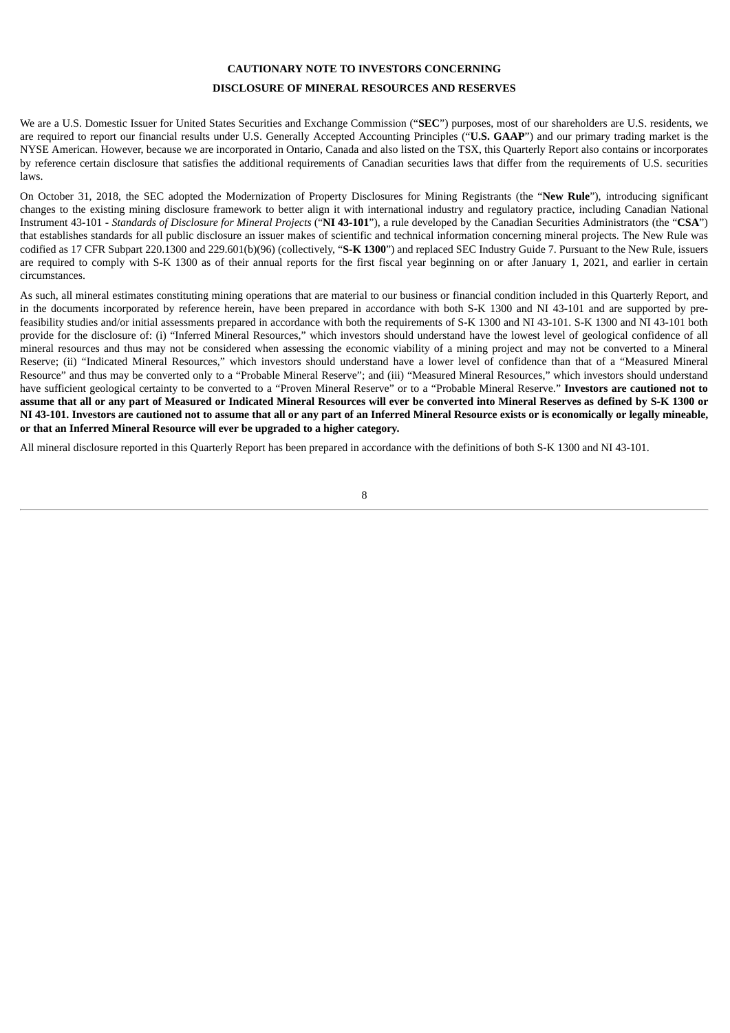# **CAUTIONARY NOTE TO INVESTORS CONCERNING DISCLOSURE OF MINERAL RESOURCES AND RESERVES**

We are a U.S. Domestic Issuer for United States Securities and Exchange Commission ("**SEC**") purposes, most of our shareholders are U.S. residents, we are required to report our financial results under U.S. Generally Accepted Accounting Principles ("**U.S. GAAP**") and our primary trading market is the NYSE American. However, because we are incorporated in Ontario, Canada and also listed on the TSX, this Quarterly Report also contains or incorporates by reference certain disclosure that satisfies the additional requirements of Canadian securities laws that differ from the requirements of U.S. securities laws.

On October 31, 2018, the SEC adopted the Modernization of Property Disclosures for Mining Registrants (the "**New Rule**"), introducing significant changes to the existing mining disclosure framework to better align it with international industry and regulatory practice, including Canadian National Instrument 43-101 - *Standards of Disclosure for Mineral Projects* ("**NI 43-101**"), a rule developed by the Canadian Securities Administrators (the "**CSA**") that establishes standards for all public disclosure an issuer makes of scientific and technical information concerning mineral projects. The New Rule was codified as 17 CFR Subpart 220.1300 and 229.601(b)(96) (collectively, "**S-K 1300**") and replaced SEC Industry Guide 7. Pursuant to the New Rule, issuers are required to comply with S-K 1300 as of their annual reports for the first fiscal year beginning on or after January 1, 2021, and earlier in certain circumstances.

As such, all mineral estimates constituting mining operations that are material to our business or financial condition included in this Quarterly Report, and in the documents incorporated by reference herein, have been prepared in accordance with both S-K 1300 and NI 43-101 and are supported by prefeasibility studies and/or initial assessments prepared in accordance with both the requirements of S-K 1300 and NI 43-101. S-K 1300 and NI 43-101 both provide for the disclosure of: (i) "Inferred Mineral Resources," which investors should understand have the lowest level of geological confidence of all mineral resources and thus may not be considered when assessing the economic viability of a mining project and may not be converted to a Mineral Reserve; (ii) "Indicated Mineral Resources," which investors should understand have a lower level of confidence than that of a "Measured Mineral Resource" and thus may be converted only to a "Probable Mineral Reserve"; and (iii) "Measured Mineral Resources," which investors should understand have sufficient geological certainty to be converted to a "Proven Mineral Reserve" or to a "Probable Mineral Reserve." **Investors are cautioned not to** assume that all or any part of Measured or Indicated Mineral Resources will ever be converted into Mineral Reserves as defined by S-K 1300 or NI 43-101. Investors are cautioned not to assume that all or any part of an Inferred Mineral Resource exists or is economically or legally mineable, **or that an Inferred Mineral Resource will ever be upgraded to a higher category.**

All mineral disclosure reported in this Quarterly Report has been prepared in accordance with the definitions of both S-K 1300 and NI 43-101.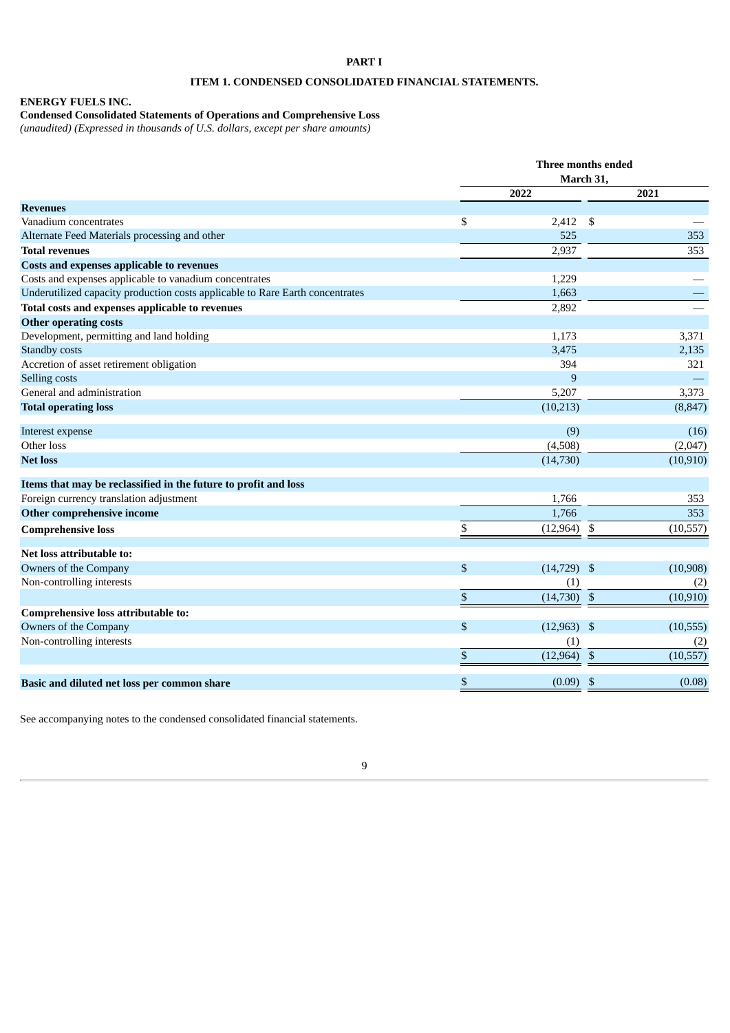# **PART I**

# **ITEM 1. CONDENSED CONSOLIDATED FINANCIAL STATEMENTS.**

# <span id="page-8-0"></span>**ENERGY FUELS INC.**

#### **Condensed Consolidated Statements of Operations and Comprehensive Loss**

*(unaudited) (Expressed in thousands of U.S. dollars, except per share amounts)*

|                                                                               | Three months ended |                |           |           |  |  |
|-------------------------------------------------------------------------------|--------------------|----------------|-----------|-----------|--|--|
|                                                                               |                    |                | March 31, |           |  |  |
|                                                                               |                    | 2022           |           | 2021      |  |  |
| <b>Revenues</b>                                                               |                    |                |           |           |  |  |
| Vanadium concentrates                                                         | \$                 | 2,412          | \$        |           |  |  |
| Alternate Feed Materials processing and other                                 |                    | 525            |           | 353       |  |  |
| <b>Total revenues</b>                                                         |                    | 2,937          |           | 353       |  |  |
| <b>Costs and expenses applicable to revenues</b>                              |                    |                |           |           |  |  |
| Costs and expenses applicable to vanadium concentrates                        |                    | 1,229          |           |           |  |  |
| Underutilized capacity production costs applicable to Rare Earth concentrates |                    | 1,663          |           |           |  |  |
| Total costs and expenses applicable to revenues                               |                    | 2,892          |           |           |  |  |
| <b>Other operating costs</b>                                                  |                    |                |           |           |  |  |
| Development, permitting and land holding                                      |                    | 1,173          |           | 3,371     |  |  |
| <b>Standby costs</b>                                                          |                    | 3,475          |           | 2,135     |  |  |
| Accretion of asset retirement obligation                                      |                    | 394            |           | 321       |  |  |
| Selling costs                                                                 |                    | 9              |           |           |  |  |
| General and administration                                                    |                    | 5,207          |           | 3,373     |  |  |
| <b>Total operating loss</b>                                                   |                    | (10, 213)      |           | (8, 847)  |  |  |
| Interest expense                                                              |                    | (9)            |           | (16)      |  |  |
| Other loss                                                                    |                    | (4,508)        |           | (2,047)   |  |  |
| <b>Net loss</b>                                                               |                    | (14, 730)      |           | (10, 910) |  |  |
| Items that may be reclassified in the future to profit and loss               |                    |                |           |           |  |  |
| Foreign currency translation adjustment                                       |                    | 1,766          |           | 353       |  |  |
| Other comprehensive income                                                    |                    | 1,766          |           | 353       |  |  |
| <b>Comprehensive loss</b>                                                     | \$                 | (12, 964)      | \$        | (10, 557) |  |  |
| Net loss attributable to:                                                     |                    |                |           |           |  |  |
| Owners of the Company                                                         | \$                 | $(14, 729)$ \$ |           | (10,908)  |  |  |
| Non-controlling interests                                                     |                    | (1)            |           | (2)       |  |  |
|                                                                               | \$                 | $(14,730)$ \$  |           | (10, 910) |  |  |
| Comprehensive loss attributable to:                                           |                    |                |           |           |  |  |
| Owners of the Company                                                         | \$                 | $(12,963)$ \$  |           | (10, 555) |  |  |
| Non-controlling interests                                                     |                    | (1)            |           | (2)       |  |  |
|                                                                               | \$                 | (12, 964)      | \$        | (10,557)  |  |  |
| Basic and diluted net loss per common share                                   | \$                 | $(0.09)$ \$    |           | (0.08)    |  |  |

See accompanying notes to the condensed consolidated financial statements.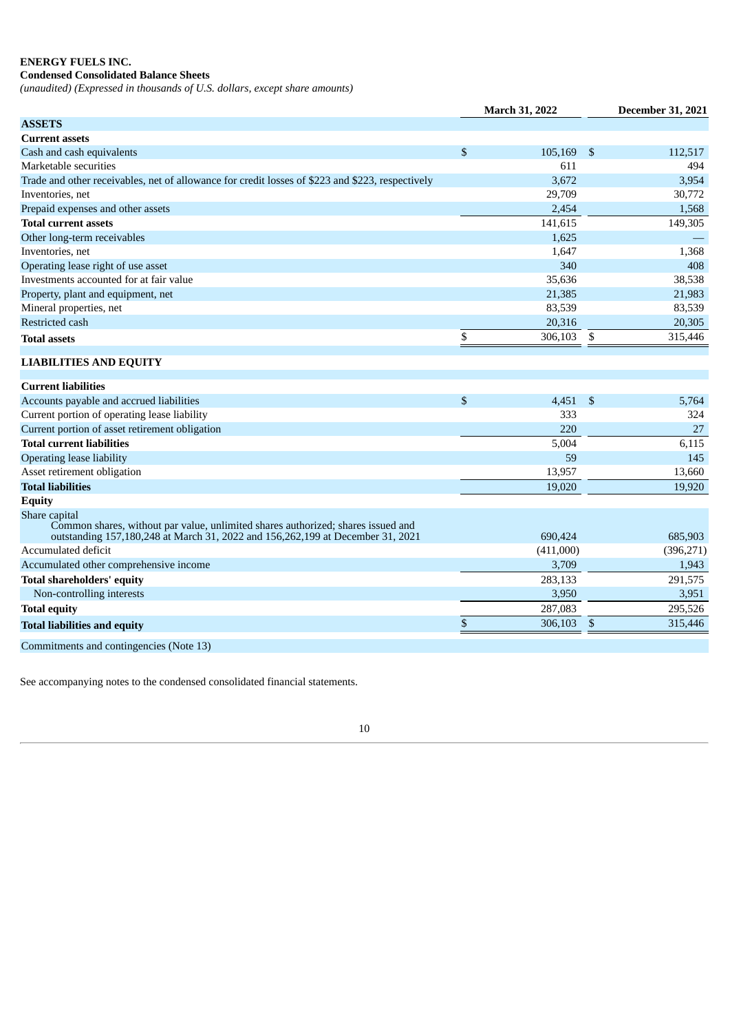# **ENERGY FUELS INC.**

# **Condensed Consolidated Balance Sheets**

*(unaudited) (Expressed in thousands of U.S. dollars, except share amounts)*

|                                                                                                                                                                                     | <b>March 31, 2022</b> |           |                | <b>December 31, 2021</b> |
|-------------------------------------------------------------------------------------------------------------------------------------------------------------------------------------|-----------------------|-----------|----------------|--------------------------|
| <b>ASSETS</b>                                                                                                                                                                       |                       |           |                |                          |
| <b>Current assets</b>                                                                                                                                                               |                       |           |                |                          |
| Cash and cash equivalents                                                                                                                                                           | \$                    | 105,169   | - \$           | 112,517                  |
| Marketable securities                                                                                                                                                               |                       | 611       |                | 494                      |
| Trade and other receivables, net of allowance for credit losses of \$223 and \$223, respectively                                                                                    |                       | 3,672     |                | 3,954                    |
| Inventories, net                                                                                                                                                                    |                       | 29,709    |                | 30,772                   |
| Prepaid expenses and other assets                                                                                                                                                   |                       | 2,454     |                | 1,568                    |
| <b>Total current assets</b>                                                                                                                                                         |                       | 141,615   |                | 149,305                  |
| Other long-term receivables                                                                                                                                                         |                       | 1,625     |                |                          |
| Inventories, net                                                                                                                                                                    |                       | 1,647     |                | 1,368                    |
| Operating lease right of use asset                                                                                                                                                  |                       | 340       |                | 408                      |
| Investments accounted for at fair value                                                                                                                                             |                       | 35,636    |                | 38,538                   |
| Property, plant and equipment, net                                                                                                                                                  |                       | 21,385    |                | 21,983                   |
| Mineral properties, net                                                                                                                                                             |                       | 83,539    |                | 83,539                   |
| <b>Restricted cash</b>                                                                                                                                                              |                       | 20,316    |                | 20,305                   |
| <b>Total assets</b>                                                                                                                                                                 | \$                    | 306,103   | \$             | 315,446                  |
| <b>LIABILITIES AND EQUITY</b>                                                                                                                                                       |                       |           |                |                          |
| <b>Current liabilities</b>                                                                                                                                                          |                       |           |                |                          |
| Accounts payable and accrued liabilities                                                                                                                                            | \$                    | 4,451     | $\mathfrak{s}$ | 5,764                    |
| Current portion of operating lease liability                                                                                                                                        |                       | 333       |                | 324                      |
| Current portion of asset retirement obligation                                                                                                                                      |                       | 220       |                | 27                       |
| <b>Total current liabilities</b>                                                                                                                                                    |                       | 5,004     |                | 6,115                    |
| <b>Operating lease liability</b>                                                                                                                                                    |                       | 59        |                | 145                      |
| Asset retirement obligation                                                                                                                                                         |                       | 13,957    |                | 13,660                   |
| <b>Total liabilities</b>                                                                                                                                                            |                       | 19,020    |                | 19,920                   |
| <b>Equity</b>                                                                                                                                                                       |                       |           |                |                          |
| Share capital<br>Common shares, without par value, unlimited shares authorized; shares issued and<br>outstanding 157,180,248 at March 31, 2022 and 156,262,199 at December 31, 2021 |                       | 690,424   |                | 685,903                  |
| Accumulated deficit                                                                                                                                                                 |                       | (411,000) |                | (396, 271)               |
| Accumulated other comprehensive income                                                                                                                                              |                       | 3,709     |                | 1,943                    |
| <b>Total shareholders' equity</b>                                                                                                                                                   |                       | 283,133   |                | 291,575                  |
| Non-controlling interests                                                                                                                                                           |                       | 3,950     |                | 3,951                    |
| <b>Total equity</b>                                                                                                                                                                 |                       | 287,083   |                | 295,526                  |
| <b>Total liabilities and equity</b>                                                                                                                                                 | $\mathbb{S}$          | 306,103   | \$             | 315,446                  |
| Commitments and contingencies (Note 13)                                                                                                                                             |                       |           |                |                          |

See accompanying notes to the condensed consolidated financial statements.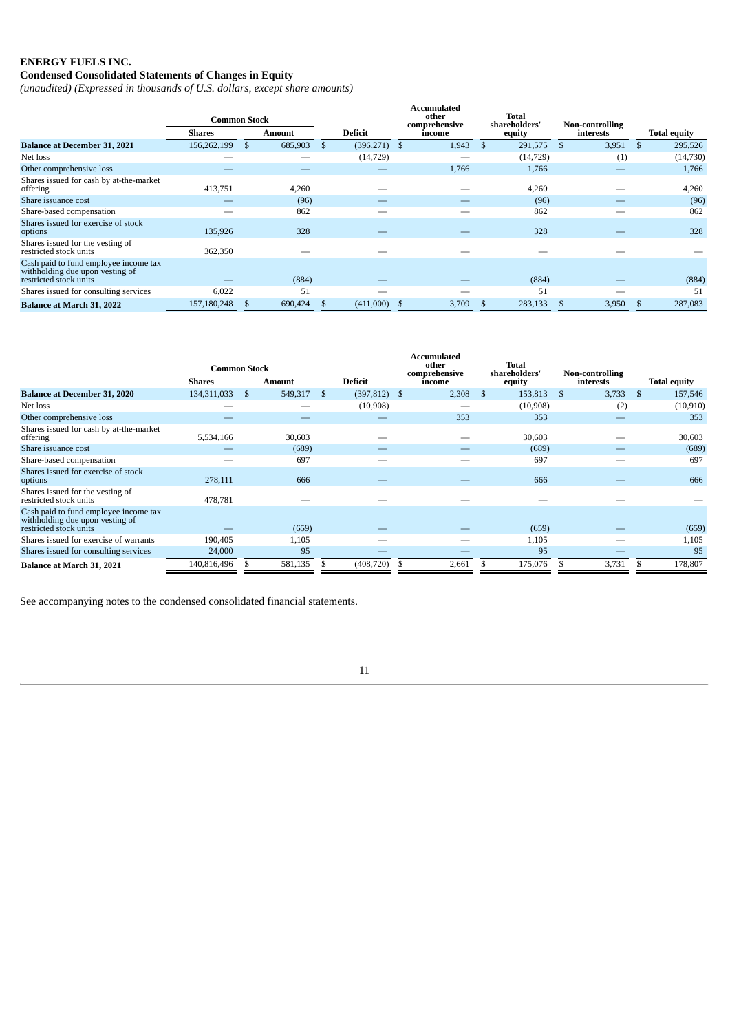# **ENERGY FUELS INC.**

## **Condensed Consolidated Statements of Changes in Equity**

*(unaudited) (Expressed in thousands of U.S. dollars, except share amounts)*

|                                                                                                    | <b>Common Stock</b> |  |         |    |                |    | Accumulated<br>other<br>comprehensive |    | Total<br>shareholders' |  | Non-controlling |                     |
|----------------------------------------------------------------------------------------------------|---------------------|--|---------|----|----------------|----|---------------------------------------|----|------------------------|--|-----------------|---------------------|
|                                                                                                    | <b>Shares</b>       |  | Amount  |    | <b>Deficit</b> |    | income                                |    | equity                 |  | interests       | <b>Total equity</b> |
| <b>Balance at December 31, 2021</b>                                                                | 156,262,199         |  | 685,903 | \$ | (396, 271)     | S  | 1,943                                 | \$ | 291,575                |  | 3,951           | 295,526             |
| Net loss                                                                                           |                     |  |         |    | (14, 729)      |    |                                       |    | (14, 729)              |  | (1)             | (14,730)            |
| Other comprehensive loss                                                                           |                     |  |         |    |                |    | 1,766                                 |    | 1,766                  |  |                 | 1,766               |
| Shares issued for cash by at-the-market<br>offering                                                | 413,751             |  | 4,260   |    |                |    |                                       |    | 4,260                  |  |                 | 4,260               |
| Share issuance cost                                                                                |                     |  | (96)    |    |                |    |                                       |    | (96)                   |  |                 | (96)                |
| Share-based compensation                                                                           |                     |  | 862     |    |                |    |                                       |    | 862                    |  |                 | 862                 |
| Shares issued for exercise of stock<br>options                                                     | 135,926             |  | 328     |    |                |    |                                       |    | 328                    |  |                 | 328                 |
| Shares issued for the vesting of<br>restricted stock units                                         | 362,350             |  |         |    |                |    |                                       |    |                        |  |                 |                     |
| Cash paid to fund employee income tax<br>withholding due upon vesting of<br>restricted stock units |                     |  | (884)   |    |                |    |                                       |    | (884)                  |  |                 | (884)               |
| Shares issued for consulting services                                                              | 6,022               |  | 51      |    |                |    |                                       |    | 51                     |  |                 | 51                  |
| Balance at March 31, 2022                                                                          | 157,180,248         |  | 690,424 |    | (411,000)      | -S | 3,709                                 |    | 283,133                |  | 3,950           | 287,083             |

|                                                                                                    | <b>Common Stock</b> |   |         |    |                | Accumulated<br>other<br>comprehensive |        | <b>Total</b><br>shareholders' |          | Non-controlling |           |     |                     |
|----------------------------------------------------------------------------------------------------|---------------------|---|---------|----|----------------|---------------------------------------|--------|-------------------------------|----------|-----------------|-----------|-----|---------------------|
|                                                                                                    | <b>Shares</b>       |   | Amount  |    | <b>Deficit</b> |                                       | income |                               | equity   |                 | interests |     | <b>Total equity</b> |
| <b>Balance at December 31, 2020</b>                                                                | 134,311,033         | S | 549,317 | \$ | (397, 812)     | -S                                    | 2,308  | \$                            | 153,813  | S               | 3,733     | \$. | 157,546             |
| Net loss                                                                                           |                     |   |         |    | (10,908)       |                                       |        |                               | (10,908) |                 | (2)       |     | (10, 910)           |
| Other comprehensive loss                                                                           |                     |   |         |    |                |                                       | 353    |                               | 353      |                 | __        |     | 353                 |
| Shares issued for cash by at-the-market<br>offering                                                | 5,534,166           |   | 30,603  |    |                |                                       |        |                               | 30,603   |                 |           |     | 30,603              |
| Share issuance cost                                                                                |                     |   | (689)   |    |                |                                       |        |                               | (689)    |                 |           |     | (689)               |
| Share-based compensation                                                                           |                     |   | 697     |    |                |                                       |        |                               | 697      |                 |           |     | 697                 |
| Shares issued for exercise of stock<br>options                                                     | 278,111             |   | 666     |    |                |                                       |        |                               | 666      |                 |           |     | 666                 |
| Shares issued for the vesting of<br>restricted stock units                                         | 478,781             |   |         |    |                |                                       |        |                               |          |                 |           |     |                     |
| Cash paid to fund employee income tax<br>withholding due upon vesting of<br>restricted stock units |                     |   | (659)   |    |                |                                       |        |                               | (659)    |                 |           |     | (659)               |
| Shares issued for exercise of warrants                                                             | 190,405             |   | 1,105   |    |                |                                       |        |                               | 1,105    |                 |           |     | 1,105               |
| Shares issued for consulting services                                                              | 24,000              |   | 95      |    |                |                                       |        |                               | 95       |                 |           |     | 95                  |
| Balance at March 31, 2021                                                                          | 140,816,496         |   | 581,135 |    | (408, 720)     | .S                                    | 2,661  |                               | 175,076  |                 | 3,731     |     | 178,807             |

See accompanying notes to the condensed consolidated financial statements.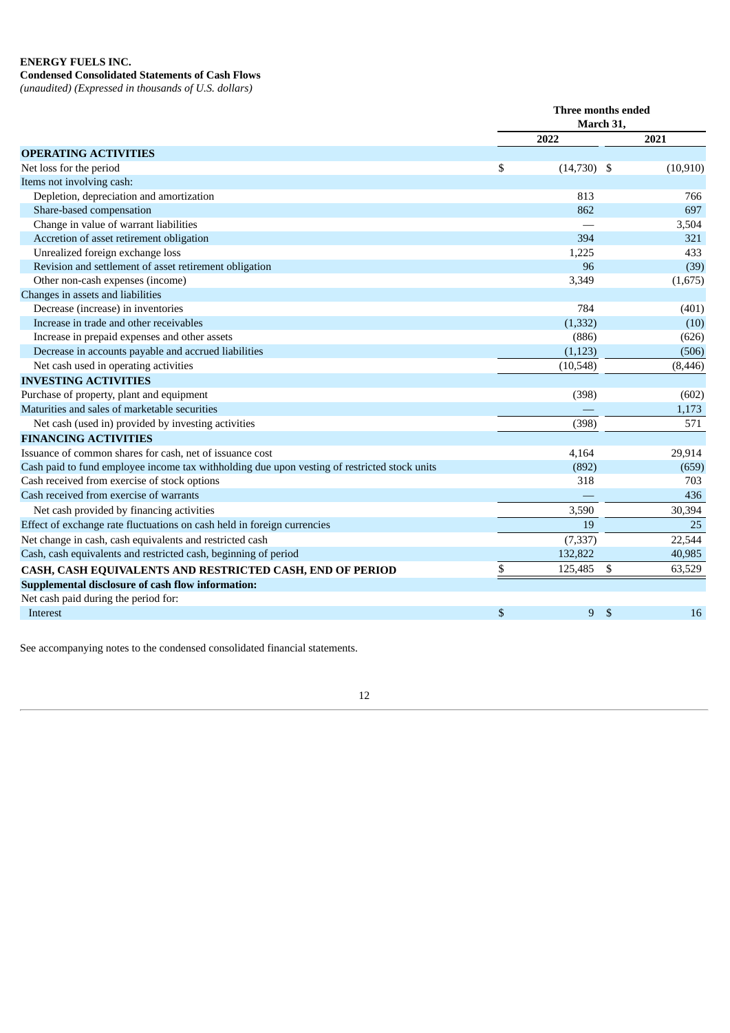# **ENERGY FUELS INC. Condensed Consolidated Statements of Cash Flows** *(unaudited) (Expressed in thousands of U.S. dollars)*

|                                                                                              | <b>Three months ended</b> |               |           |           |
|----------------------------------------------------------------------------------------------|---------------------------|---------------|-----------|-----------|
|                                                                                              |                           |               | March 31, |           |
|                                                                                              |                           | 2022          |           | 2021      |
| <b>OPERATING ACTIVITIES</b>                                                                  |                           |               |           |           |
| Net loss for the period                                                                      | \$                        | $(14,730)$ \$ |           | (10, 910) |
| Items not involving cash:                                                                    |                           |               |           |           |
| Depletion, depreciation and amortization                                                     |                           | 813           |           | 766       |
| Share-based compensation                                                                     |                           | 862           |           | 697       |
| Change in value of warrant liabilities                                                       |                           |               |           | 3,504     |
| Accretion of asset retirement obligation                                                     |                           | 394           |           | 321       |
| Unrealized foreign exchange loss                                                             |                           | 1,225         |           | 433       |
| Revision and settlement of asset retirement obligation                                       |                           | 96            |           | (39)      |
| Other non-cash expenses (income)                                                             |                           | 3,349         |           | (1,675)   |
| Changes in assets and liabilities                                                            |                           |               |           |           |
| Decrease (increase) in inventories                                                           |                           | 784           |           | (401)     |
| Increase in trade and other receivables                                                      |                           | (1, 332)      |           | (10)      |
| Increase in prepaid expenses and other assets                                                |                           | (886)         |           | (626)     |
| Decrease in accounts payable and accrued liabilities                                         |                           | (1, 123)      |           | (506)     |
| Net cash used in operating activities                                                        |                           | (10, 548)     |           | (8, 446)  |
| <b>INVESTING ACTIVITIES</b>                                                                  |                           |               |           |           |
| Purchase of property, plant and equipment                                                    |                           | (398)         |           | (602)     |
| Maturities and sales of marketable securities                                                |                           |               |           | 1,173     |
| Net cash (used in) provided by investing activities                                          |                           | (398)         |           | 571       |
| <b>FINANCING ACTIVITIES</b>                                                                  |                           |               |           |           |
| Issuance of common shares for cash, net of issuance cost                                     |                           | 4,164         |           | 29,914    |
| Cash paid to fund employee income tax withholding due upon vesting of restricted stock units |                           | (892)         |           | (659)     |
| Cash received from exercise of stock options                                                 |                           | 318           |           | 703       |
| Cash received from exercise of warrants                                                      |                           |               |           | 436       |
| Net cash provided by financing activities                                                    |                           | 3,590         |           | 30,394    |
| Effect of exchange rate fluctuations on cash held in foreign currencies                      |                           | 19            |           | 25        |
| Net change in cash, cash equivalents and restricted cash                                     |                           | (7, 337)      |           | 22,544    |
| Cash, cash equivalents and restricted cash, beginning of period                              |                           | 132,822       |           | 40,985    |
| CASH, CASH EQUIVALENTS AND RESTRICTED CASH, END OF PERIOD                                    | \$                        | 125,485       | \$        | 63,529    |
| Supplemental disclosure of cash flow information:                                            |                           |               |           |           |
| Net cash paid during the period for:                                                         |                           |               |           |           |
| Interest                                                                                     | \$                        | 9             | \$        | 16        |
|                                                                                              |                           |               |           |           |

See accompanying notes to the condensed consolidated financial statements.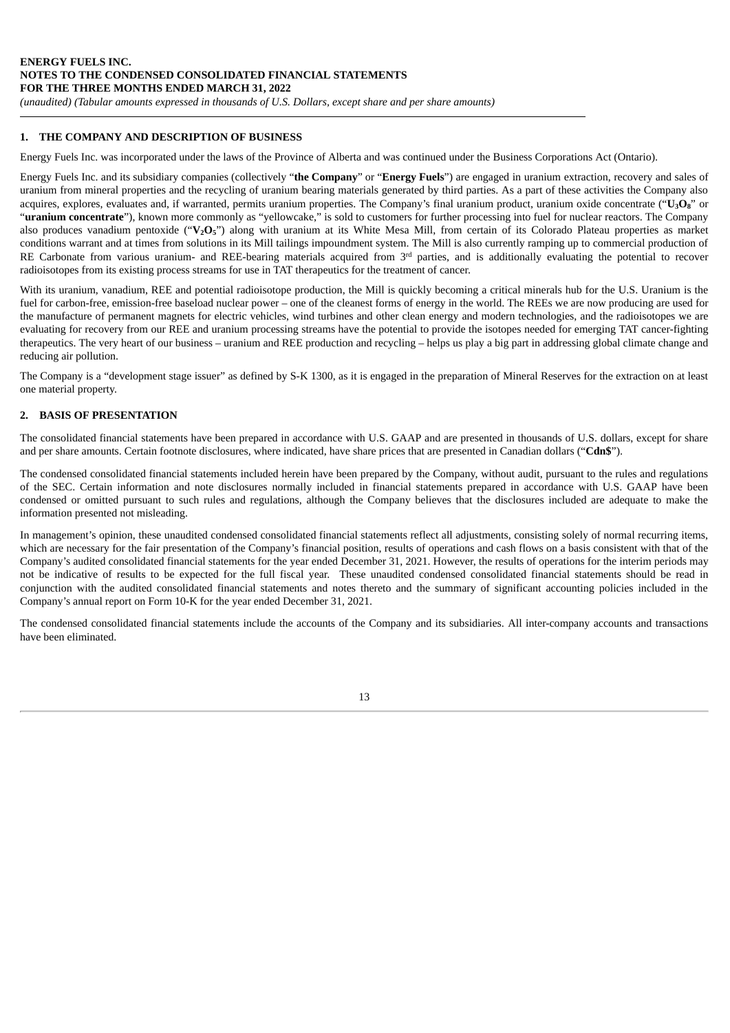# **1. THE COMPANY AND DESCRIPTION OF BUSINESS**

Energy Fuels Inc. was incorporated under the laws of the Province of Alberta and was continued under the Business Corporations Act (Ontario).

Energy Fuels Inc. and its subsidiary companies (collectively "**the Company**" or "**Energy Fuels**") are engaged in uranium extraction, recovery and sales of uranium from mineral properties and the recycling of uranium bearing materials generated by third parties. As a part of these activities the Company also acquires, explores, evaluates and, if warranted, permits uranium properties. The Company's final uranium product, uranium oxide concentrate (" $U_3O_8$ " or "**uranium concentrate**"), known more commonly as "yellowcake," is sold to customers for further processing into fuel for nuclear reactors. The Company also produces vanadium pentoxide ("**V**<sub>2</sub>**O**<sub>5</sub>") along with uranium at its White Mesa Mill, from certain of its Colorado Plateau properties as market conditions warrant and at times from solutions in its Mill tailings impoundment system. The Mill is also currently ramping up to commercial production of RE Carbonate from various uranium- and REE-bearing materials acquired from  $3<sup>rd</sup>$  parties, and is additionally evaluating the potential to recover radioisotopes from its existing process streams for use in TAT therapeutics for the treatment of cancer.

With its uranium, vanadium, REE and potential radioisotope production, the Mill is quickly becoming a critical minerals hub for the U.S. Uranium is the fuel for carbon-free, emission-free baseload nuclear power – one of the cleanest forms of energy in the world. The REEs we are now producing are used for the manufacture of permanent magnets for electric vehicles, wind turbines and other clean energy and modern technologies, and the radioisotopes we are evaluating for recovery from our REE and uranium processing streams have the potential to provide the isotopes needed for emerging TAT cancer-fighting therapeutics. The very heart of our business – uranium and REE production and recycling – helps us play a big part in addressing global climate change and reducing air pollution.

The Company is a "development stage issuer" as defined by S-K 1300, as it is engaged in the preparation of Mineral Reserves for the extraction on at least one material property.

## **2. BASIS OF PRESENTATION**

The consolidated financial statements have been prepared in accordance with U.S. GAAP and are presented in thousands of U.S. dollars, except for share and per share amounts. Certain footnote disclosures, where indicated, have share prices that are presented in Canadian dollars ("**Cdn\$**").

The condensed consolidated financial statements included herein have been prepared by the Company, without audit, pursuant to the rules and regulations of the SEC. Certain information and note disclosures normally included in financial statements prepared in accordance with U.S. GAAP have been condensed or omitted pursuant to such rules and regulations, although the Company believes that the disclosures included are adequate to make the information presented not misleading.

In management's opinion, these unaudited condensed consolidated financial statements reflect all adjustments, consisting solely of normal recurring items, which are necessary for the fair presentation of the Company's financial position, results of operations and cash flows on a basis consistent with that of the Company's audited consolidated financial statements for the year ended December 31, 2021. However, the results of operations for the interim periods may not be indicative of results to be expected for the full fiscal year. These unaudited condensed consolidated financial statements should be read in conjunction with the audited consolidated financial statements and notes thereto and the summary of significant accounting policies included in the Company's annual report on Form 10-K for the year ended December 31, 2021.

The condensed consolidated financial statements include the accounts of the Company and its subsidiaries. All inter-company accounts and transactions have been eliminated.

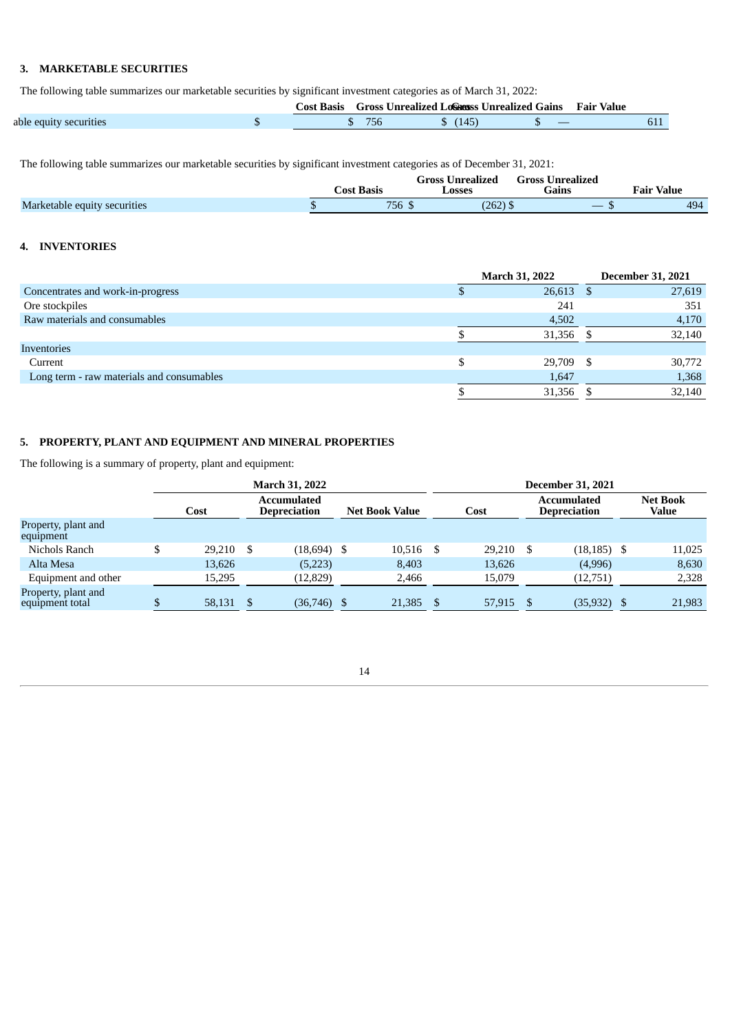# **3. MARKETABLE SECURITIES**

The following table summarizes our marketable securities by significant investment categories as of March 31, 2022:

|                        | <b>Cost Basis</b> |  | <b>Gross Unrealized LoSesss Unrealized Gains</b> | <b>Fair Value</b> |
|------------------------|-------------------|--|--------------------------------------------------|-------------------|
| able equity securities |                   |  |                                                  |                   |

The following table summarizes our marketable securities by significant investment categories as of December 31, 2021:

|                              | <b>Cost Basis</b> | <b>Gross Unrealized</b><br>Losses | <b>Gross Unrealized</b><br><b>Gains</b> | <b>Fair Value</b> |
|------------------------------|-------------------|-----------------------------------|-----------------------------------------|-------------------|
| Marketable equity securities | 756               | (262) \$                          |                                         | 494               |

# **4. INVENTORIES**

|                                           |  | <b>March 31, 2022</b> | <b>December 31, 2021</b> |  |
|-------------------------------------------|--|-----------------------|--------------------------|--|
| Concentrates and work-in-progress         |  | $26,613$ \$           | 27,619                   |  |
| Ore stockpiles                            |  | 241                   | 351                      |  |
| Raw materials and consumables             |  | 4,502                 | 4,170                    |  |
|                                           |  | 31,356                | 32,140                   |  |
| <b>Inventories</b>                        |  |                       |                          |  |
| Current                                   |  | 29,709 \$             | 30,772                   |  |
| Long term - raw materials and consumables |  | 1,647                 | 1,368                    |  |
|                                           |  | 31,356                | 32,140                   |  |

# **5. PROPERTY, PLANT AND EQUIPMENT AND MINERAL PROPERTIES**

The following is a summary of property, plant and equipment:

|                                        |             | <b>March 31, 2022</b> |                                    | <b>December 31, 2021</b> |                       |      |                                    |      |                          |  |        |
|----------------------------------------|-------------|-----------------------|------------------------------------|--------------------------|-----------------------|------|------------------------------------|------|--------------------------|--|--------|
|                                        | Cost        |                       | Accumulated<br><b>Depreciation</b> |                          | <b>Net Book Value</b> | Cost | Accumulated<br><b>Depreciation</b> |      | <b>Net Book</b><br>Value |  |        |
| Property, plant and<br>equipment       |             |                       |                                    |                          |                       |      |                                    |      |                          |  |        |
| Nichols Ranch                          | $29,210$ \$ |                       | $(18,694)$ \$                      |                          | 10,516                | - \$ | 29,210                             | - S  | $(18, 185)$ \$           |  | 11,025 |
| Alta Mesa                              | 13,626      |                       | (5,223)                            |                          | 8,403                 |      | 13,626                             |      | (4,996)                  |  | 8,630  |
| Equipment and other                    | 15,295      |                       | (12, 829)                          |                          | 2,466                 |      | 15,079                             |      | (12,751)                 |  | 2,328  |
| Property, plant and<br>equipment total | 58,131 \$   |                       | (36,746)                           | \$                       | 21,385                | -S   | 57,915                             | - \$ | $(35, 932)$ \$           |  | 21,983 |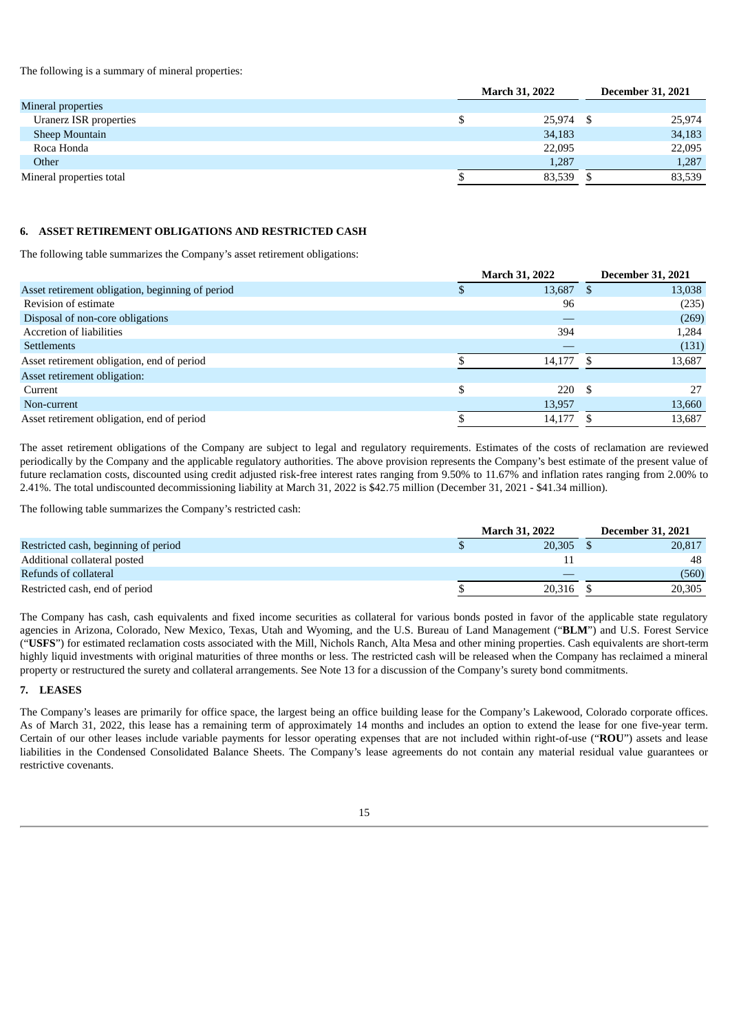The following is a summary of mineral properties:

|                          |   | <b>March 31, 2022</b> | <b>December 31, 2021</b> |
|--------------------------|---|-----------------------|--------------------------|
| Mineral properties       |   |                       |                          |
| Uranerz ISR properties   | J | 25.974                | 25,974                   |
| Sheep Mountain           |   | 34,183                | 34,183                   |
| Roca Honda               |   | 22,095                | 22,095                   |
| Other                    |   | 1,287                 | 1,287                    |
| Mineral properties total |   | 83,539                | 83,539                   |
|                          |   |                       |                          |

# **6. ASSET RETIREMENT OBLIGATIONS AND RESTRICTED CASH**

The following table summarizes the Company's asset retirement obligations:

|                                                  | <b>March 31, 2022</b> | <b>December 31, 2021</b> |
|--------------------------------------------------|-----------------------|--------------------------|
| Asset retirement obligation, beginning of period | 13,687 \$             | 13,038                   |
| Revision of estimate                             | 96                    | (235)                    |
| Disposal of non-core obligations                 |                       | (269)                    |
| Accretion of liabilities                         | 394                   | 1,284                    |
| <b>Settlements</b>                               |                       | (131)                    |
| Asset retirement obligation, end of period       | 14,177                | 13,687                   |
| Asset retirement obligation:                     |                       |                          |
| Current                                          | 220S                  | 27                       |
| Non-current                                      | 13,957                | 13,660                   |
| Asset retirement obligation, end of period       | 14,177                | 13,687                   |

The asset retirement obligations of the Company are subject to legal and regulatory requirements. Estimates of the costs of reclamation are reviewed periodically by the Company and the applicable regulatory authorities. The above provision represents the Company's best estimate of the present value of future reclamation costs, discounted using credit adjusted risk-free interest rates ranging from 9.50% to 11.67% and inflation rates ranging from 2.00% to 2.41%. The total undiscounted decommissioning liability at March 31, 2022 is \$42.75 million (December 31, 2021 - \$41.34 million).

The following table summarizes the Company's restricted cash:

|                                      | <b>March 31, 2022</b> | <b>December 31, 2021</b> |
|--------------------------------------|-----------------------|--------------------------|
| Restricted cash, beginning of period | 20,305                | 20,817                   |
| Additional collateral posted         |                       | 48                       |
| Refunds of collateral                |                       | (560)                    |
| Restricted cash, end of period       | 20.316                | 20,305                   |

The Company has cash, cash equivalents and fixed income securities as collateral for various bonds posted in favor of the applicable state regulatory agencies in Arizona, Colorado, New Mexico, Texas, Utah and Wyoming, and the U.S. Bureau of Land Management ("**BLM**") and U.S. Forest Service ("**USFS**") for estimated reclamation costs associated with the Mill, Nichols Ranch, Alta Mesa and other mining properties. Cash equivalents are short-term highly liquid investments with original maturities of three months or less. The restricted cash will be released when the Company has reclaimed a mineral property or restructured the surety and collateral arrangements. See Note 13 for a discussion of the Company's surety bond commitments.

# **7. LEASES**

The Company's leases are primarily for office space, the largest being an office building lease for the Company's Lakewood, Colorado corporate offices. As of March 31, 2022, this lease has a remaining term of approximately 14 months and includes an option to extend the lease for one five-year term. Certain of our other leases include variable payments for lessor operating expenses that are not included within right-of-use ("**ROU**") assets and lease liabilities in the Condensed Consolidated Balance Sheets. The Company's lease agreements do not contain any material residual value guarantees or restrictive covenants.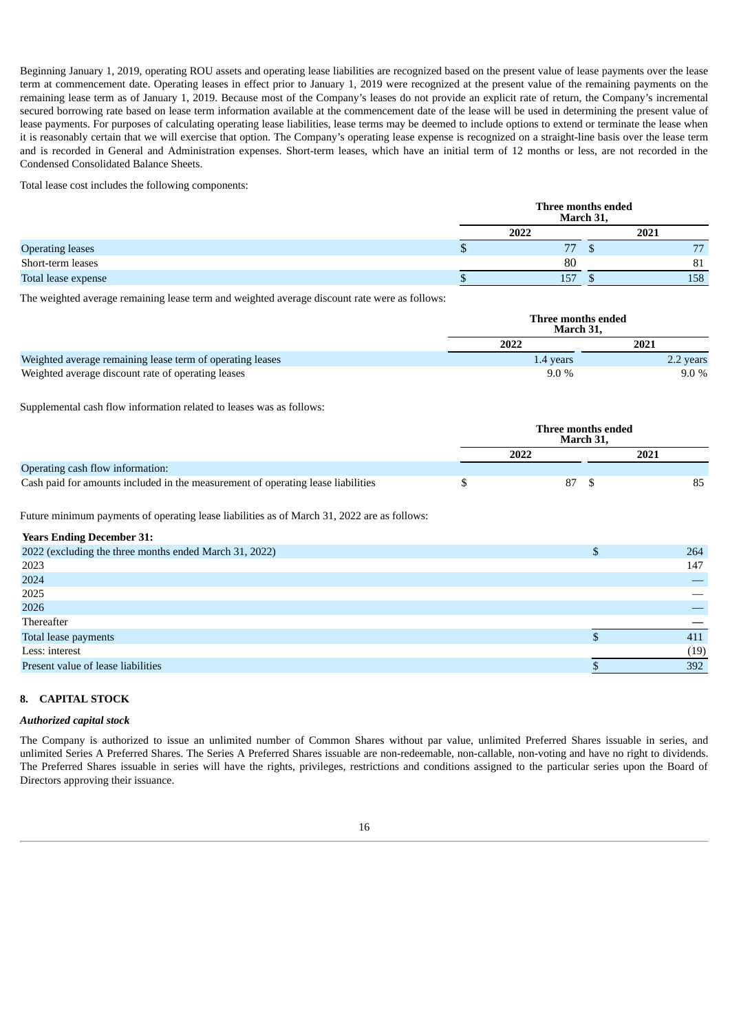Beginning January 1, 2019, operating ROU assets and operating lease liabilities are recognized based on the present value of lease payments over the lease term at commencement date. Operating leases in effect prior to January 1, 2019 were recognized at the present value of the remaining payments on the remaining lease term as of January 1, 2019. Because most of the Company's leases do not provide an explicit rate of return, the Company's incremental secured borrowing rate based on lease term information available at the commencement date of the lease will be used in determining the present value of lease payments. For purposes of calculating operating lease liabilities, lease terms may be deemed to include options to extend or terminate the lease when it is reasonably certain that we will exercise that option. The Company's operating lease expense is recognized on a straight-line basis over the lease term and is recorded in General and Administration expenses. Short-term leases, which have an initial term of 12 months or less, are not recorded in the Condensed Consolidated Balance Sheets.

Total lease cost includes the following components:

|                         | Three months ended<br>March 31, |      |  |      |
|-------------------------|---------------------------------|------|--|------|
|                         |                                 | 2022 |  | 2021 |
| <b>Operating leases</b> |                                 | 77   |  | 77   |
| Short-term leases       |                                 | 80   |  | 81   |
| Total lease expense     |                                 | 157  |  | 158  |

The weighted average remaining lease term and weighted average discount rate were as follows:

|                                                           | Three months ended<br>March 31. |           |  |
|-----------------------------------------------------------|---------------------------------|-----------|--|
|                                                           | 2022                            | 2021      |  |
| Weighted average remaining lease term of operating leases | 1.4 years                       | 2.2 years |  |
| Weighted average discount rate of operating leases        | $9.0\%$                         | $9.0\%$   |  |

Supplemental cash flow information related to leases was as follows:

|                                                                                  | Three months ended<br>March 31. |      |    |
|----------------------------------------------------------------------------------|---------------------------------|------|----|
|                                                                                  | 2022                            | 2021 |    |
| Operating cash flow information:                                                 |                                 |      |    |
| Cash paid for amounts included in the measurement of operating lease liabilities | 87                              |      | 85 |

Future minimum payments of operating lease liabilities as of March 31, 2022 are as follows:

## **Years Ending December 31:**

| 2022 (excluding the three months ended March 31, 2022) | 264  |
|--------------------------------------------------------|------|
| 2023                                                   | 147  |
| 2024                                                   |      |
| 2025                                                   |      |
| 2026                                                   |      |
| Thereafter                                             |      |
| Total lease payments                                   | 411  |
| Less: interest                                         | (19) |
| Present value of lease liabilities                     | 392  |

## **8. CAPITAL STOCK**

## *Authorized capital stock*

The Company is authorized to issue an unlimited number of Common Shares without par value, unlimited Preferred Shares issuable in series, and unlimited Series A Preferred Shares. The Series A Preferred Shares issuable are non-redeemable, non-callable, non-voting and have no right to dividends. The Preferred Shares issuable in series will have the rights, privileges, restrictions and conditions assigned to the particular series upon the Board of Directors approving their issuance.

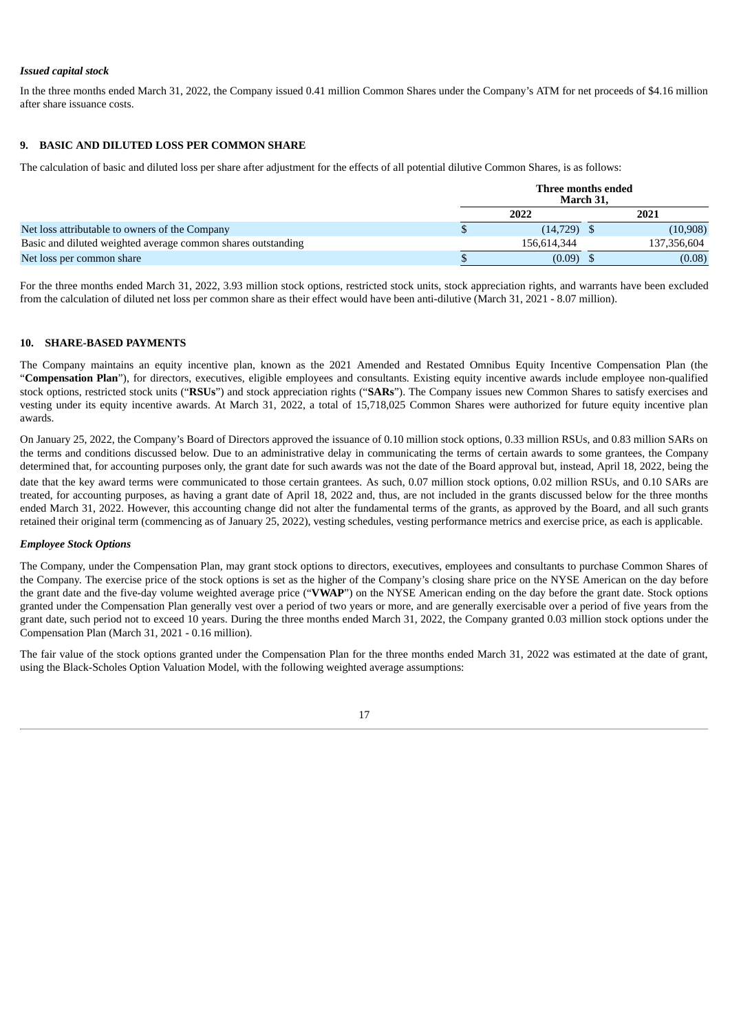## *Issued capital stock*

In the three months ended March 31, 2022, the Company issued 0.41 million Common Shares under the Company's ATM for net proceeds of \$4.16 million after share issuance costs.

## **9. BASIC AND DILUTED LOSS PER COMMON SHARE**

The calculation of basic and diluted loss per share after adjustment for the effects of all potential dilutive Common Shares, is as follows:

|                                                              | Three months ended<br>March 31. |               |  |             |
|--------------------------------------------------------------|---------------------------------|---------------|--|-------------|
|                                                              |                                 | 2022          |  | 2021        |
| Net loss attributable to owners of the Company               |                                 | $(14,729)$ \$ |  | (10, 908)   |
| Basic and diluted weighted average common shares outstanding |                                 | 156,614,344   |  | 137,356,604 |
| Net loss per common share                                    |                                 | (0.09)        |  | (0.08)      |

For the three months ended March 31, 2022, 3.93 million stock options, restricted stock units, stock appreciation rights, and warrants have been excluded from the calculation of diluted net loss per common share as their effect would have been anti-dilutive (March 31, 2021 - 8.07 million).

## **10. SHARE-BASED PAYMENTS**

The Company maintains an equity incentive plan, known as the 2021 Amended and Restated Omnibus Equity Incentive Compensation Plan (the "**Compensation Plan**"), for directors, executives, eligible employees and consultants. Existing equity incentive awards include employee non-qualified stock options, restricted stock units ("**RSUs**") and stock appreciation rights ("**SARs**"). The Company issues new Common Shares to satisfy exercises and vesting under its equity incentive awards. At March 31, 2022, a total of 15,718,025 Common Shares were authorized for future equity incentive plan awards.

On January 25, 2022, the Company's Board of Directors approved the issuance of 0.10 million stock options, 0.33 million RSUs, and 0.83 million SARs on the terms and conditions discussed below. Due to an administrative delay in communicating the terms of certain awards to some grantees, the Company determined that, for accounting purposes only, the grant date for such awards was not the date of the Board approval but, instead, April 18, 2022, being the date that the key award terms were communicated to those certain grantees. As such, 0.07 million stock options, 0.02 million RSUs, and 0.10 SARs are treated, for accounting purposes, as having a grant date of April 18, 2022 and, thus, are not included in the grants discussed below for the three months ended March 31, 2022. However, this accounting change did not alter the fundamental terms of the grants, as approved by the Board, and all such grants retained their original term (commencing as of January 25, 2022), vesting schedules, vesting performance metrics and exercise price, as each is applicable.

## *Employee Stock Options*

The Company, under the Compensation Plan, may grant stock options to directors, executives, employees and consultants to purchase Common Shares of the Company. The exercise price of the stock options is set as the higher of the Company's closing share price on the NYSE American on the day before the grant date and the five-day volume weighted average price ("**VWAP**") on the NYSE American ending on the day before the grant date. Stock options granted under the Compensation Plan generally vest over a period of two years or more, and are generally exercisable over a period of five years from the grant date, such period not to exceed 10 years. During the three months ended March 31, 2022, the Company granted 0.03 million stock options under the Compensation Plan (March 31, 2021 - 0.16 million).

The fair value of the stock options granted under the Compensation Plan for the three months ended March 31, 2022 was estimated at the date of grant, using the Black-Scholes Option Valuation Model, with the following weighted average assumptions: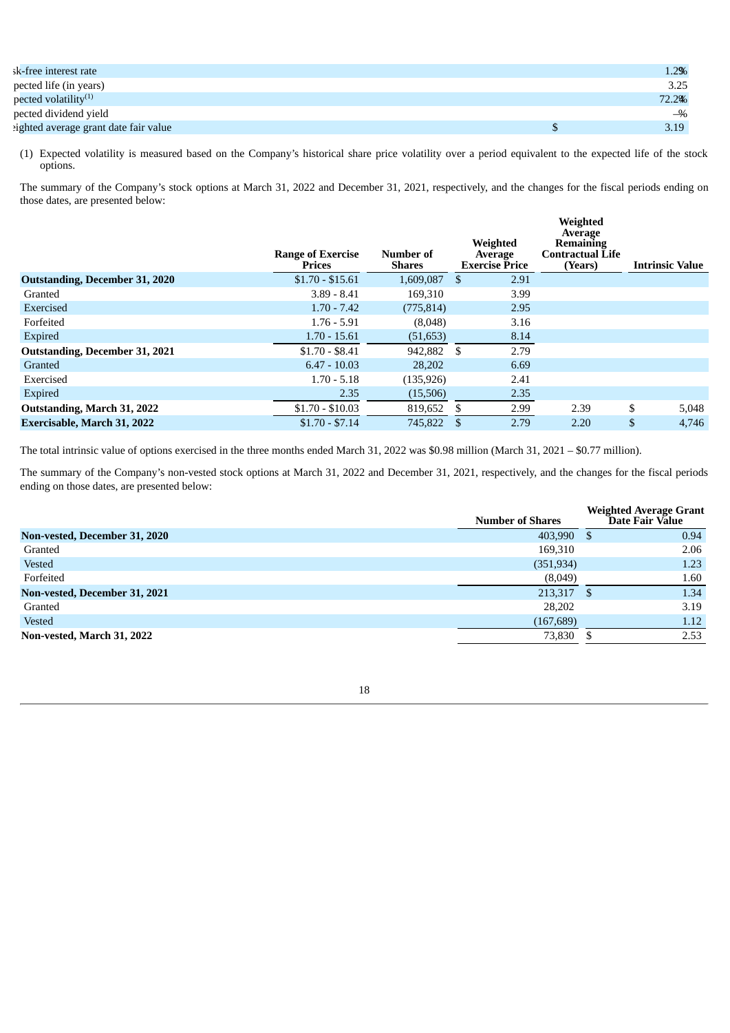| sk-free interest rate                 | 1.2%           |
|---------------------------------------|----------------|
| pected life (in years)                | 3.25           |
| pected volatility <sup>(1)</sup>      | 72.2%          |
| pected dividend yield                 | $-\frac{0}{2}$ |
| eighted average grant date fair value | 3.19           |

(1) Expected volatility is measured based on the Company's historical share price volatility over a period equivalent to the expected life of the stock options.

The summary of the Company's stock options at March 31, 2022 and December 31, 2021, respectively, and the changes for the fiscal periods ending on those dates, are presented below:

|                                       | <b>Range of Exercise</b><br><b>Prices</b> | Number of<br><b>Shares</b> | Weighted<br>Average<br><b>Exercise Price</b> | Weighted<br>Average<br><b>Remaining</b><br><b>Contractual Life</b><br>(Years) | <b>Intrinsic Value</b> |
|---------------------------------------|-------------------------------------------|----------------------------|----------------------------------------------|-------------------------------------------------------------------------------|------------------------|
| <b>Outstanding, December 31, 2020</b> | $$1.70 - $15.61$                          | 1,609,087                  | 2.91<br>-S                                   |                                                                               |                        |
| Granted                               | $3.89 - 8.41$                             | 169,310                    | 3.99                                         |                                                                               |                        |
| Exercised                             | $1.70 - 7.42$                             | (775, 814)                 | 2.95                                         |                                                                               |                        |
| Forfeited                             | $1.76 - 5.91$                             | (8,048)                    | 3.16                                         |                                                                               |                        |
| Expired                               | $1.70 - 15.61$                            | (51, 653)                  | 8.14                                         |                                                                               |                        |
| <b>Outstanding, December 31, 2021</b> | $$1.70 - $8.41$                           | 942,882                    | 2.79<br>- \$                                 |                                                                               |                        |
| Granted                               | $6.47 - 10.03$                            | 28,202                     | 6.69                                         |                                                                               |                        |
| Exercised                             | $1.70 - 5.18$                             | (135, 926)                 | 2.41                                         |                                                                               |                        |
| Expired                               | 2.35                                      | (15,506)                   | 2.35                                         |                                                                               |                        |
| <b>Outstanding, March 31, 2022</b>    | $$1.70 - $10.03$                          | 819,652                    | 2.99                                         | 2.39                                                                          | \$<br>5,048            |
| Exercisable, March 31, 2022           | $$1.70 - $7.14$                           | 745,822                    | 2.79                                         | 2.20                                                                          | \$<br>4,746            |

The total intrinsic value of options exercised in the three months ended March 31, 2022 was \$0.98 million (March 31, 2021 – \$0.77 million).

The summary of the Company's non-vested stock options at March 31, 2022 and December 31, 2021, respectively, and the changes for the fiscal periods ending on those dates, are presented below:

|                               | <b>Number of Shares</b> |     | <b>Weighted Average Grant</b><br>Date Fair Value |
|-------------------------------|-------------------------|-----|--------------------------------------------------|
| Non-vested, December 31, 2020 | 403,990                 | SS. | 0.94                                             |
| Granted                       | 169,310                 |     | 2.06                                             |
| Vested                        | (351, 934)              |     | 1.23                                             |
| Forfeited                     | (8,049)                 |     | 1.60                                             |
| Non-vested, December 31, 2021 | 213,317 \$              |     | 1.34                                             |
| Granted                       | 28,202                  |     | 3.19                                             |
| <b>Vested</b>                 | (167, 689)              |     | 1.12                                             |
| Non-vested, March 31, 2022    | 73,830                  |     | 2.53                                             |

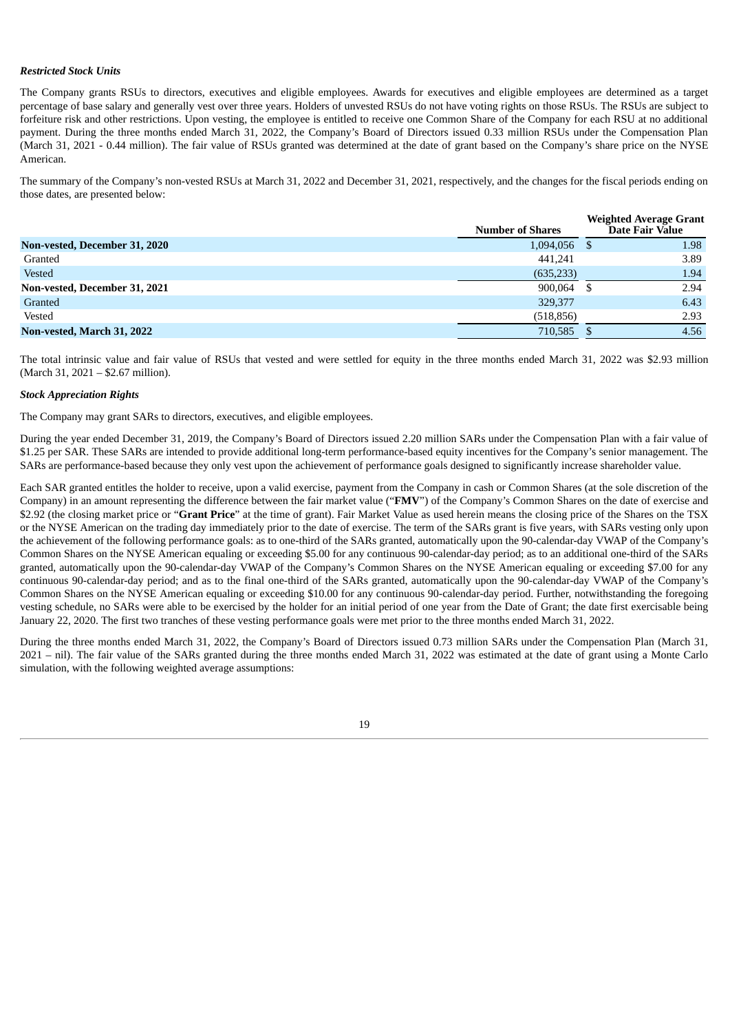## *Restricted Stock Units*

The Company grants RSUs to directors, executives and eligible employees. Awards for executives and eligible employees are determined as a target percentage of base salary and generally vest over three years. Holders of unvested RSUs do not have voting rights on those RSUs. The RSUs are subject to forfeiture risk and other restrictions. Upon vesting, the employee is entitled to receive one Common Share of the Company for each RSU at no additional payment. During the three months ended March 31, 2022, the Company's Board of Directors issued 0.33 million RSUs under the Compensation Plan (March 31, 2021 - 0.44 million). The fair value of RSUs granted was determined at the date of grant based on the Company's share price on the NYSE American.

The summary of the Company's non-vested RSUs at March 31, 2022 and December 31, 2021, respectively, and the changes for the fiscal periods ending on those dates, are presented below:

|                               | <b>Number of Shares</b> | <b>Weighted Average Grant</b><br>Date Fair Value |
|-------------------------------|-------------------------|--------------------------------------------------|
| Non-vested, December 31, 2020 | 1,094,056               | 1.98                                             |
| Granted                       | 441.241                 | 3.89                                             |
| Vested                        | (635, 233)              | 1.94                                             |
| Non-vested, December 31, 2021 | 900,064                 | 2.94                                             |
| Granted                       | 329,377                 | 6.43                                             |
| Vested                        | (518, 856)              | 2.93                                             |
| Non-vested, March 31, 2022    | 710,585                 | 4.56                                             |

The total intrinsic value and fair value of RSUs that vested and were settled for equity in the three months ended March 31, 2022 was \$2.93 million (March 31, 2021 – \$2.67 million).

## *Stock Appreciation Rights*

The Company may grant SARs to directors, executives, and eligible employees.

During the year ended December 31, 2019, the Company's Board of Directors issued 2.20 million SARs under the Compensation Plan with a fair value of \$1.25 per SAR. These SARs are intended to provide additional long-term performance-based equity incentives for the Company's senior management. The SARs are performance-based because they only vest upon the achievement of performance goals designed to significantly increase shareholder value.

Each SAR granted entitles the holder to receive, upon a valid exercise, payment from the Company in cash or Common Shares (at the sole discretion of the Company) in an amount representing the difference between the fair market value ("**FMV**") of the Company's Common Shares on the date of exercise and \$2.92 (the closing market price or "**Grant Price**" at the time of grant). Fair Market Value as used herein means the closing price of the Shares on the TSX or the NYSE American on the trading day immediately prior to the date of exercise. The term of the SARs grant is five years, with SARs vesting only upon the achievement of the following performance goals: as to one-third of the SARs granted, automatically upon the 90-calendar-day VWAP of the Company's Common Shares on the NYSE American equaling or exceeding \$5.00 for any continuous 90-calendar-day period; as to an additional one-third of the SARs granted, automatically upon the 90-calendar-day VWAP of the Company's Common Shares on the NYSE American equaling or exceeding \$7.00 for any continuous 90-calendar-day period; and as to the final one-third of the SARs granted, automatically upon the 90-calendar-day VWAP of the Company's Common Shares on the NYSE American equaling or exceeding \$10.00 for any continuous 90-calendar-day period. Further, notwithstanding the foregoing vesting schedule, no SARs were able to be exercised by the holder for an initial period of one year from the Date of Grant; the date first exercisable being January 22, 2020. The first two tranches of these vesting performance goals were met prior to the three months ended March 31, 2022.

During the three months ended March 31, 2022, the Company's Board of Directors issued 0.73 million SARs under the Compensation Plan (March 31, 2021 – nil). The fair value of the SARs granted during the three months ended March 31, 2022 was estimated at the date of grant using a Monte Carlo simulation, with the following weighted average assumptions: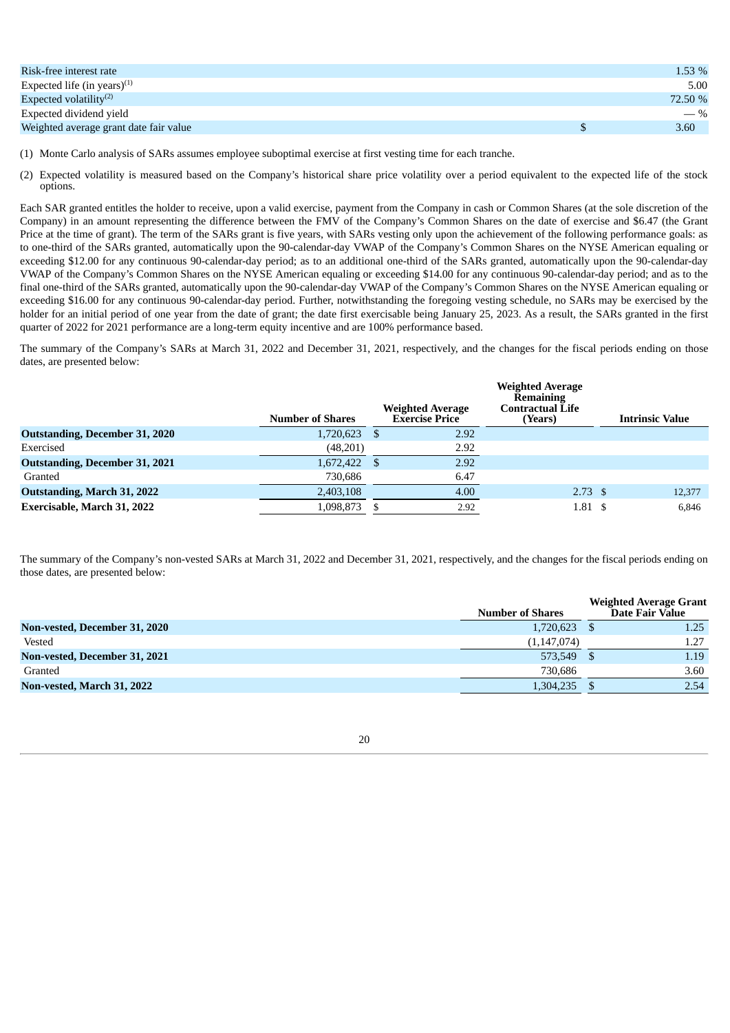| Risk-free interest rate                 | $1.53\%$ |
|-----------------------------------------|----------|
| Expected life (in years) <sup>(1)</sup> | 5.00     |
| Expected volatility <sup>(2)</sup>      | 72.50 %  |
| Expected dividend vield                 | $-$ %    |
| Weighted average grant date fair value  | 3.60     |

- (1) Monte Carlo analysis of SARs assumes employee suboptimal exercise at first vesting time for each tranche.
- (2) Expected volatility is measured based on the Company's historical share price volatility over a period equivalent to the expected life of the stock options.

Each SAR granted entitles the holder to receive, upon a valid exercise, payment from the Company in cash or Common Shares (at the sole discretion of the Company) in an amount representing the difference between the FMV of the Company's Common Shares on the date of exercise and \$6.47 (the Grant Price at the time of grant). The term of the SARs grant is five years, with SARs vesting only upon the achievement of the following performance goals: as to one-third of the SARs granted, automatically upon the 90-calendar-day VWAP of the Company's Common Shares on the NYSE American equaling or exceeding \$12.00 for any continuous 90-calendar-day period; as to an additional one-third of the SARs granted, automatically upon the 90-calendar-day VWAP of the Company's Common Shares on the NYSE American equaling or exceeding \$14.00 for any continuous 90-calendar-day period; and as to the final one-third of the SARs granted, automatically upon the 90-calendar-day VWAP of the Company's Common Shares on the NYSE American equaling or exceeding \$16.00 for any continuous 90-calendar-day period. Further, notwithstanding the foregoing vesting schedule, no SARs may be exercised by the holder for an initial period of one year from the date of grant; the date first exercisable being January 25, 2023. As a result, the SARs granted in the first quarter of 2022 for 2021 performance are a long-term equity incentive and are 100% performance based.

The summary of the Company's SARs at March 31, 2022 and December 31, 2021, respectively, and the changes for the fiscal periods ending on those dates, are presented below:

|                                       | <b>Number of Shares</b> | <b>Weighted Average</b><br><b>Exercise Price</b> | <b>Weighted Average</b><br>Remaining<br>Contractual Life<br>(Years) | <b>Intrinsic Value</b> |
|---------------------------------------|-------------------------|--------------------------------------------------|---------------------------------------------------------------------|------------------------|
| <b>Outstanding, December 31, 2020</b> | 1,720,623               | 2.92                                             |                                                                     |                        |
| Exercised                             | (48,201)                | 2.92                                             |                                                                     |                        |
| <b>Outstanding, December 31, 2021</b> | 1,672,422 \$            | 2.92                                             |                                                                     |                        |
| Granted                               | 730,686                 | 6.47                                             |                                                                     |                        |
| <b>Outstanding, March 31, 2022</b>    | 2,403,108               | 4.00                                             | 2.73 <sup>5</sup>                                                   | 12,377                 |
| Exercisable, March 31, 2022           | 1,098,873               | 2.92                                             | $1.81 \text{ }$ \$                                                  | 6,846                  |

The summary of the Company's non-vested SARs at March 31, 2022 and December 31, 2021, respectively, and the changes for the fiscal periods ending on those dates, are presented below:

|                               | <b>Number of Shares</b> | <b>Weighted Average Grant</b><br>Date Fair Value |
|-------------------------------|-------------------------|--------------------------------------------------|
| Non-vested, December 31, 2020 | 1,720,623               | 1.25                                             |
| Vested                        | (1, 147, 074)           | 1.27                                             |
| Non-vested, December 31, 2021 | 573,549                 | 1.19                                             |
| Granted                       | 730.686                 | 3.60                                             |
| Non-vested, March 31, 2022    | 1,304,235               | 2.54                                             |

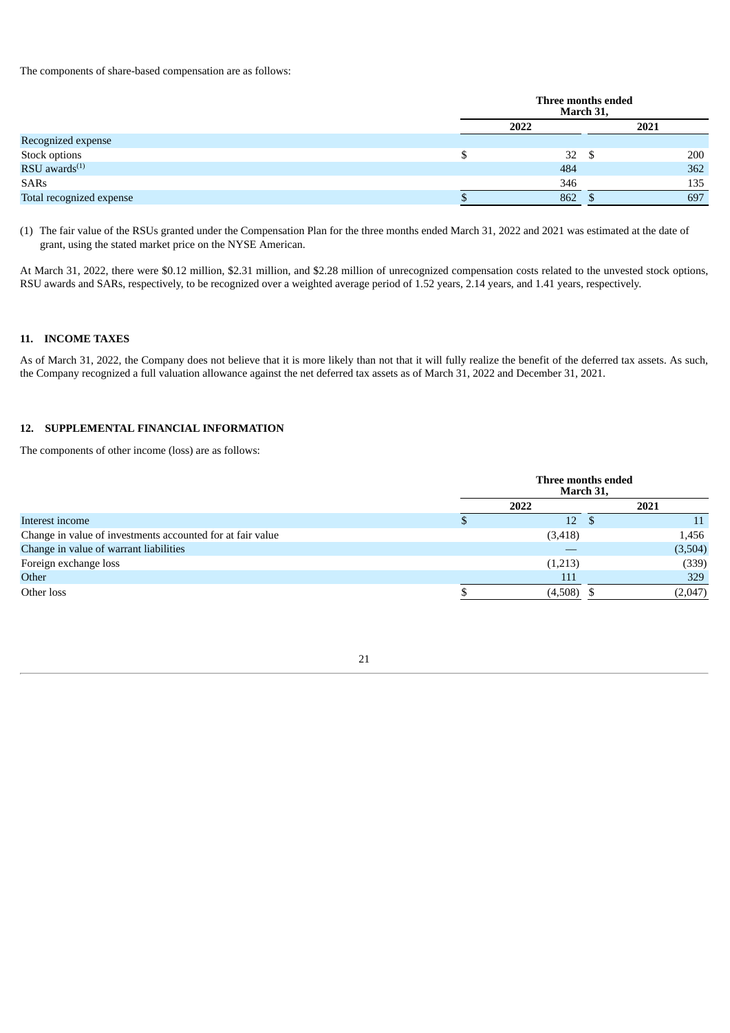The components of share-based compensation are as follows:

|                          | Three months ended<br>March 31, |  |      |  |
|--------------------------|---------------------------------|--|------|--|
|                          | 2022                            |  | 2021 |  |
| Recognized expense       |                                 |  |      |  |
| Stock options            | 32S                             |  | 200  |  |
| RSU awards $(1)$         | 484                             |  | 362  |  |
| <b>SARs</b>              | 346                             |  | 135  |  |
| Total recognized expense | 862                             |  | 697  |  |

(1) The fair value of the RSUs granted under the Compensation Plan for the three months ended March 31, 2022 and 2021 was estimated at the date of grant, using the stated market price on the NYSE American.

At March 31, 2022, there were \$0.12 million, \$2.31 million, and \$2.28 million of unrecognized compensation costs related to the unvested stock options, RSU awards and SARs, respectively, to be recognized over a weighted average period of 1.52 years, 2.14 years, and 1.41 years, respectively.

# **11. INCOME TAXES**

As of March 31, 2022, the Company does not believe that it is more likely than not that it will fully realize the benefit of the deferred tax assets. As such, the Company recognized a full valuation allowance against the net deferred tax assets as of March 31, 2022 and December 31, 2021.

# **12. SUPPLEMENTAL FINANCIAL INFORMATION**

The components of other income (loss) are as follows:

|                                                            |      | Three months ended<br>March 31, |  |         |  |
|------------------------------------------------------------|------|---------------------------------|--|---------|--|
|                                                            | 2022 |                                 |  | 2021    |  |
| Interest income                                            |      | 12                              |  | 11      |  |
| Change in value of investments accounted for at fair value |      | (3, 418)                        |  | 1,456   |  |
| Change in value of warrant liabilities                     |      |                                 |  | (3,504) |  |
| Foreign exchange loss                                      |      | (1,213)                         |  | (339)   |  |
| Other                                                      |      | 111                             |  | 329     |  |
| Other loss                                                 |      | (4,508)                         |  | (2,047) |  |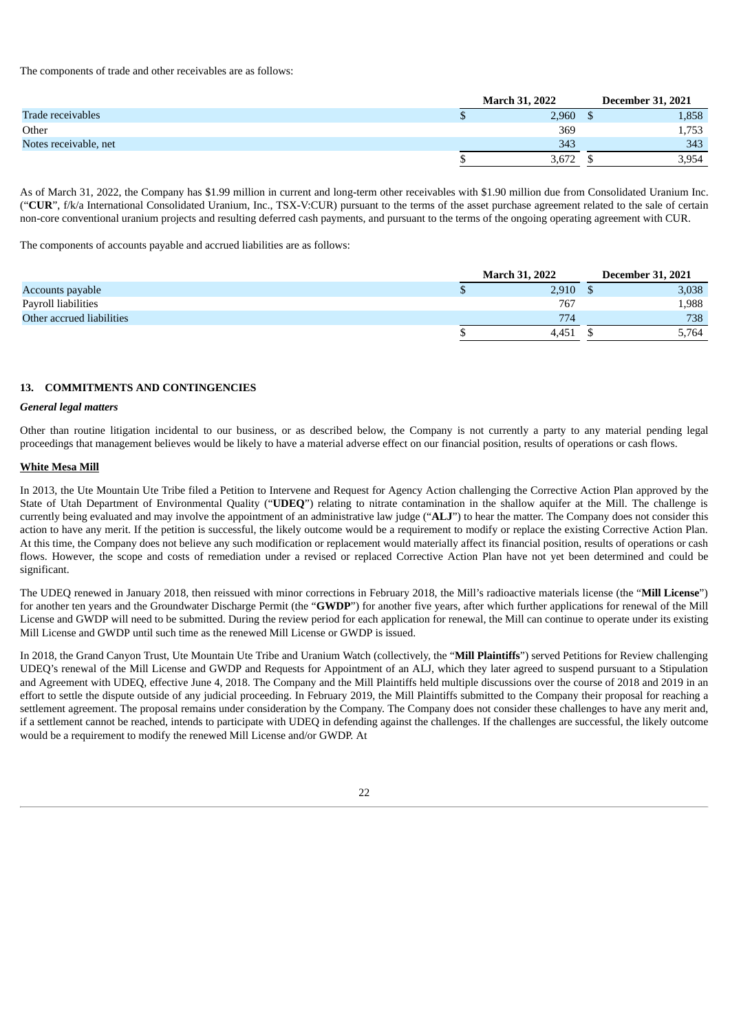The components of trade and other receivables are as follows:

|                       | <b>March 31, 2022</b> | <b>December 31, 2021</b> |
|-----------------------|-----------------------|--------------------------|
| Trade receivables     | 2,960                 | 1,858                    |
| Other                 | 369                   | 1,753                    |
| Notes receivable, net | 343                   | 343                      |
|                       | 3,672                 | 3,954                    |

As of March 31, 2022, the Company has \$1.99 million in current and long-term other receivables with \$1.90 million due from Consolidated Uranium Inc. ("**CUR**", f/k/a International Consolidated Uranium, Inc., TSX-V:CUR) pursuant to the terms of the asset purchase agreement related to the sale of certain non-core conventional uranium projects and resulting deferred cash payments, and pursuant to the terms of the ongoing operating agreement with CUR.

The components of accounts payable and accrued liabilities are as follows:

|                           | <b>March 31, 2022</b> | <b>December 31, 2021</b> |
|---------------------------|-----------------------|--------------------------|
| Accounts payable          | 2,910                 | 3,038                    |
| Payroll liabilities       | 767                   | 1,988                    |
| Other accrued liabilities | 774                   | 738                      |
|                           | 4.451                 | 5,764                    |

# **13. COMMITMENTS AND CONTINGENCIES**

## *General legal matters*

Other than routine litigation incidental to our business, or as described below, the Company is not currently a party to any material pending legal proceedings that management believes would be likely to have a material adverse effect on our financial position, results of operations or cash flows.

## **White Mesa Mill**

In 2013, the Ute Mountain Ute Tribe filed a Petition to Intervene and Request for Agency Action challenging the Corrective Action Plan approved by the State of Utah Department of Environmental Quality ("**UDEQ**") relating to nitrate contamination in the shallow aquifer at the Mill. The challenge is currently being evaluated and may involve the appointment of an administrative law judge ("**ALJ**") to hear the matter. The Company does not consider this action to have any merit. If the petition is successful, the likely outcome would be a requirement to modify or replace the existing Corrective Action Plan. At this time, the Company does not believe any such modification or replacement would materially affect its financial position, results of operations or cash flows. However, the scope and costs of remediation under a revised or replaced Corrective Action Plan have not yet been determined and could be significant.

The UDEQ renewed in January 2018, then reissued with minor corrections in February 2018, the Mill's radioactive materials license (the "**Mill License**") for another ten years and the Groundwater Discharge Permit (the "**GWDP**") for another five years, after which further applications for renewal of the Mill License and GWDP will need to be submitted. During the review period for each application for renewal, the Mill can continue to operate under its existing Mill License and GWDP until such time as the renewed Mill License or GWDP is issued.

In 2018, the Grand Canyon Trust, Ute Mountain Ute Tribe and Uranium Watch (collectively, the "**Mill Plaintiffs**") served Petitions for Review challenging UDEQ's renewal of the Mill License and GWDP and Requests for Appointment of an ALJ, which they later agreed to suspend pursuant to a Stipulation and Agreement with UDEQ, effective June 4, 2018. The Company and the Mill Plaintiffs held multiple discussions over the course of 2018 and 2019 in an effort to settle the dispute outside of any judicial proceeding. In February 2019, the Mill Plaintiffs submitted to the Company their proposal for reaching a settlement agreement. The proposal remains under consideration by the Company. The Company does not consider these challenges to have any merit and, if a settlement cannot be reached, intends to participate with UDEQ in defending against the challenges. If the challenges are successful, the likely outcome would be a requirement to modify the renewed Mill License and/or GWDP. At

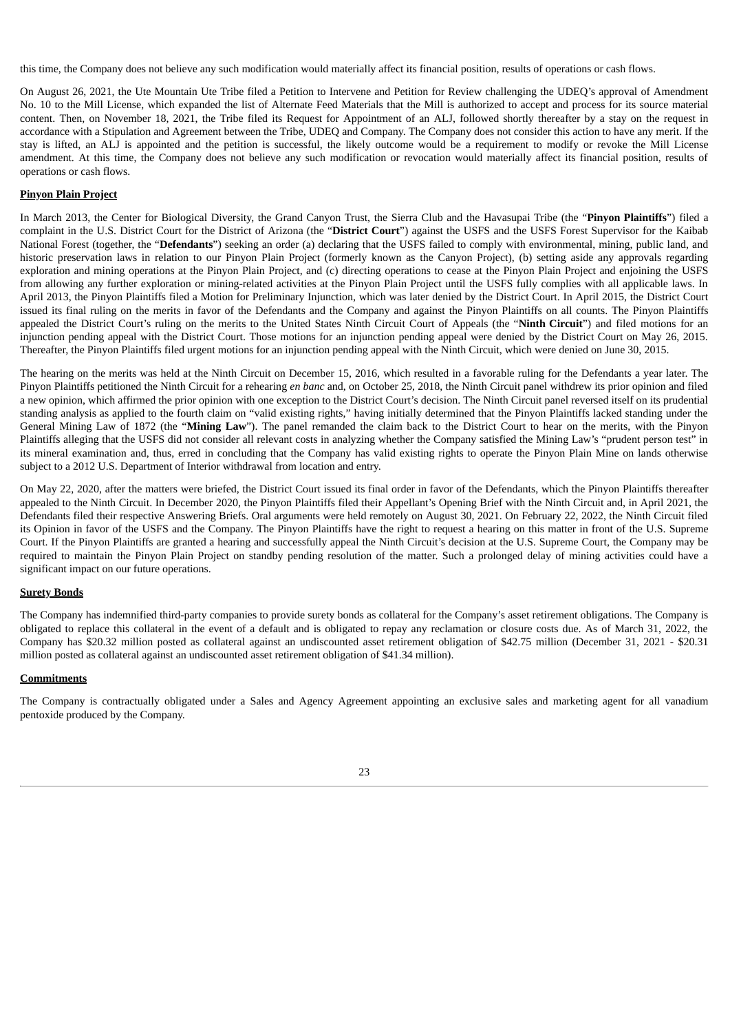this time, the Company does not believe any such modification would materially affect its financial position, results of operations or cash flows.

On August 26, 2021, the Ute Mountain Ute Tribe filed a Petition to Intervene and Petition for Review challenging the UDEQ's approval of Amendment No. 10 to the Mill License, which expanded the list of Alternate Feed Materials that the Mill is authorized to accept and process for its source material content. Then, on November 18, 2021, the Tribe filed its Request for Appointment of an ALJ, followed shortly thereafter by a stay on the request in accordance with a Stipulation and Agreement between the Tribe, UDEQ and Company. The Company does not consider this action to have any merit. If the stay is lifted, an ALJ is appointed and the petition is successful, the likely outcome would be a requirement to modify or revoke the Mill License amendment. At this time, the Company does not believe any such modification or revocation would materially affect its financial position, results of operations or cash flows.

## **Pinyon Plain Project**

In March 2013, the Center for Biological Diversity, the Grand Canyon Trust, the Sierra Club and the Havasupai Tribe (the "**Pinyon Plaintiffs**") filed a complaint in the U.S. District Court for the District of Arizona (the "**District Court**") against the USFS and the USFS Forest Supervisor for the Kaibab National Forest (together, the "**Defendants**") seeking an order (a) declaring that the USFS failed to comply with environmental, mining, public land, and historic preservation laws in relation to our Pinyon Plain Project (formerly known as the Canyon Project), (b) setting aside any approvals regarding exploration and mining operations at the Pinyon Plain Project, and (c) directing operations to cease at the Pinyon Plain Project and enjoining the USFS from allowing any further exploration or mining-related activities at the Pinyon Plain Project until the USFS fully complies with all applicable laws. In April 2013, the Pinyon Plaintiffs filed a Motion for Preliminary Injunction, which was later denied by the District Court. In April 2015, the District Court issued its final ruling on the merits in favor of the Defendants and the Company and against the Pinyon Plaintiffs on all counts. The Pinyon Plaintiffs appealed the District Court's ruling on the merits to the United States Ninth Circuit Court of Appeals (the "**Ninth Circuit**") and filed motions for an injunction pending appeal with the District Court. Those motions for an injunction pending appeal were denied by the District Court on May 26, 2015. Thereafter, the Pinyon Plaintiffs filed urgent motions for an injunction pending appeal with the Ninth Circuit, which were denied on June 30, 2015.

The hearing on the merits was held at the Ninth Circuit on December 15, 2016, which resulted in a favorable ruling for the Defendants a year later. The Pinyon Plaintiffs petitioned the Ninth Circuit for a rehearing *en banc* and, on October 25, 2018, the Ninth Circuit panel withdrew its prior opinion and filed a new opinion, which affirmed the prior opinion with one exception to the District Court's decision. The Ninth Circuit panel reversed itself on its prudential standing analysis as applied to the fourth claim on "valid existing rights," having initially determined that the Pinyon Plaintiffs lacked standing under the General Mining Law of 1872 (the "**Mining Law**"). The panel remanded the claim back to the District Court to hear on the merits, with the Pinyon Plaintiffs alleging that the USFS did not consider all relevant costs in analyzing whether the Company satisfied the Mining Law's "prudent person test" in its mineral examination and, thus, erred in concluding that the Company has valid existing rights to operate the Pinyon Plain Mine on lands otherwise subject to a 2012 U.S. Department of Interior withdrawal from location and entry.

On May 22, 2020, after the matters were briefed, the District Court issued its final order in favor of the Defendants, which the Pinyon Plaintiffs thereafter appealed to the Ninth Circuit. In December 2020, the Pinyon Plaintiffs filed their Appellant's Opening Brief with the Ninth Circuit and, in April 2021, the Defendants filed their respective Answering Briefs. Oral arguments were held remotely on August 30, 2021. On February 22, 2022, the Ninth Circuit filed its Opinion in favor of the USFS and the Company. The Pinyon Plaintiffs have the right to request a hearing on this matter in front of the U.S. Supreme Court. If the Pinyon Plaintiffs are granted a hearing and successfully appeal the Ninth Circuit's decision at the U.S. Supreme Court, the Company may be required to maintain the Pinyon Plain Project on standby pending resolution of the matter. Such a prolonged delay of mining activities could have a significant impact on our future operations.

## **Surety Bonds**

The Company has indemnified third-party companies to provide surety bonds as collateral for the Company's asset retirement obligations. The Company is obligated to replace this collateral in the event of a default and is obligated to repay any reclamation or closure costs due. As of March 31, 2022, the Company has \$20.32 million posted as collateral against an undiscounted asset retirement obligation of \$42.75 million (December 31, 2021 - \$20.31 million posted as collateral against an undiscounted asset retirement obligation of \$41.34 million).

# **Commitments**

The Company is contractually obligated under a Sales and Agency Agreement appointing an exclusive sales and marketing agent for all vanadium pentoxide produced by the Company.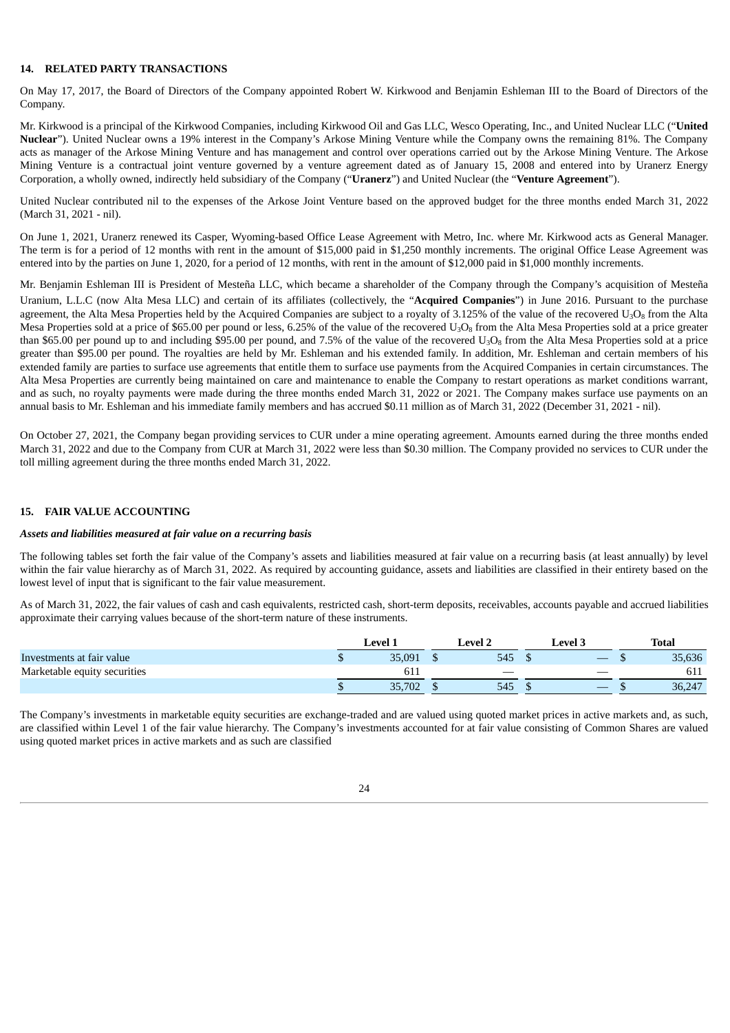## **14. RELATED PARTY TRANSACTIONS**

On May 17, 2017, the Board of Directors of the Company appointed Robert W. Kirkwood and Benjamin Eshleman III to the Board of Directors of the Company.

Mr. Kirkwood is a principal of the Kirkwood Companies, including Kirkwood Oil and Gas LLC, Wesco Operating, Inc., and United Nuclear LLC ("**United Nuclear**"). United Nuclear owns a 19% interest in the Company's Arkose Mining Venture while the Company owns the remaining 81%. The Company acts as manager of the Arkose Mining Venture and has management and control over operations carried out by the Arkose Mining Venture. The Arkose Mining Venture is a contractual joint venture governed by a venture agreement dated as of January 15, 2008 and entered into by Uranerz Energy Corporation, a wholly owned, indirectly held subsidiary of the Company ("**Uranerz**") and United Nuclear (the "**Venture Agreement**").

United Nuclear contributed nil to the expenses of the Arkose Joint Venture based on the approved budget for the three months ended March 31, 2022 (March 31, 2021 - nil).

On June 1, 2021, Uranerz renewed its Casper, Wyoming-based Office Lease Agreement with Metro, Inc. where Mr. Kirkwood acts as General Manager. The term is for a period of 12 months with rent in the amount of \$15,000 paid in \$1,250 monthly increments. The original Office Lease Agreement was entered into by the parties on June 1, 2020, for a period of 12 months, with rent in the amount of \$12,000 paid in \$1,000 monthly increments.

Mr. Benjamin Eshleman III is President of Mesteña LLC, which became a shareholder of the Company through the Company's acquisition of Mesteña Uranium, L.L.C (now Alta Mesa LLC) and certain of its affiliates (collectively, the "**Acquired Companies**") in June 2016. Pursuant to the purchase agreement, the Alta Mesa Properties held by the Acquired Companies are subject to a royalty of 3.125% of the value of the recovered  $U_3O_8$  from the Alta Mesa Properties sold at a price of \$65.00 per pound or less, 6.25% of the value of the recovered  $U_3O_8$  from the Alta Mesa Properties sold at a price greater than \$65.00 per pound up to and including \$95.00 per pound, and 7.5% of the value of the recovered  $U_3O_8$  from the Alta Mesa Properties sold at a price greater than \$95.00 per pound. The royalties are held by Mr. Eshleman and his extended family. In addition, Mr. Eshleman and certain members of his extended family are parties to surface use agreements that entitle them to surface use payments from the Acquired Companies in certain circumstances. The Alta Mesa Properties are currently being maintained on care and maintenance to enable the Company to restart operations as market conditions warrant, and as such, no royalty payments were made during the three months ended March 31, 2022 or 2021. The Company makes surface use payments on an annual basis to Mr. Eshleman and his immediate family members and has accrued \$0.11 million as of March 31, 2022 (December 31, 2021 - nil).

On October 27, 2021, the Company began providing services to CUR under a mine operating agreement. Amounts earned during the three months ended March 31, 2022 and due to the Company from CUR at March 31, 2022 were less than \$0.30 million. The Company provided no services to CUR under the toll milling agreement during the three months ended March 31, 2022.

## **15. FAIR VALUE ACCOUNTING**

## *Assets and liabilities measured at fair value on a recurring basis*

The following tables set forth the fair value of the Company's assets and liabilities measured at fair value on a recurring basis (at least annually) by level within the fair value hierarchy as of March 31, 2022. As required by accounting guidance, assets and liabilities are classified in their entirety based on the lowest level of input that is significant to the fair value measurement.

As of March 31, 2022, the fair values of cash and cash equivalents, restricted cash, short-term deposits, receivables, accounts payable and accrued liabilities approximate their carrying values because of the short-term nature of these instruments.

|                              | Level          | Level | Level 3                                   | Total  |
|------------------------------|----------------|-------|-------------------------------------------|--------|
| Investments at fair value    | 35,091         | 545   | __                                        | 35,636 |
| Marketable equity securities | 611            |       |                                           | 611    |
|                              | $DE$ 702<br>V4 | 545   | $\qquad \qquad \overline{\qquad \qquad }$ | 36,247 |

The Company's investments in marketable equity securities are exchange-traded and are valued using quoted market prices in active markets and, as such, are classified within Level 1 of the fair value hierarchy. The Company's investments accounted for at fair value consisting of Common Shares are valued using quoted market prices in active markets and as such are classified

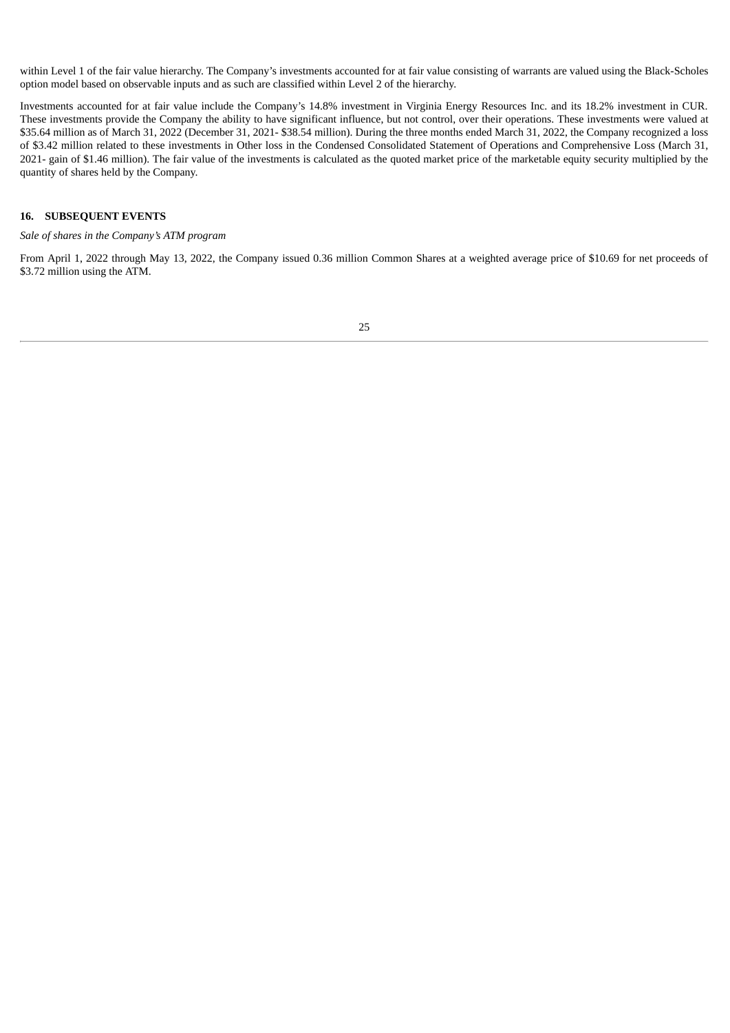within Level 1 of the fair value hierarchy. The Company's investments accounted for at fair value consisting of warrants are valued using the Black-Scholes option model based on observable inputs and as such are classified within Level 2 of the hierarchy.

Investments accounted for at fair value include the Company's 14.8% investment in Virginia Energy Resources Inc. and its 18.2% investment in CUR. These investments provide the Company the ability to have significant influence, but not control, over their operations. These investments were valued at \$35.64 million as of March 31, 2022 (December 31, 2021- \$38.54 million). During the three months ended March 31, 2022, the Company recognized a loss of \$3.42 million related to these investments in Other loss in the Condensed Consolidated Statement of Operations and Comprehensive Loss (March 31, 2021- gain of \$1.46 million). The fair value of the investments is calculated as the quoted market price of the marketable equity security multiplied by the quantity of shares held by the Company.

## **16. SUBSEQUENT EVENTS**

*Sale of shares in the Company's ATM program*

<span id="page-24-0"></span>From April 1, 2022 through May 13, 2022, the Company issued 0.36 million Common Shares at a weighted average price of \$10.69 for net proceeds of \$3.72 million using the ATM.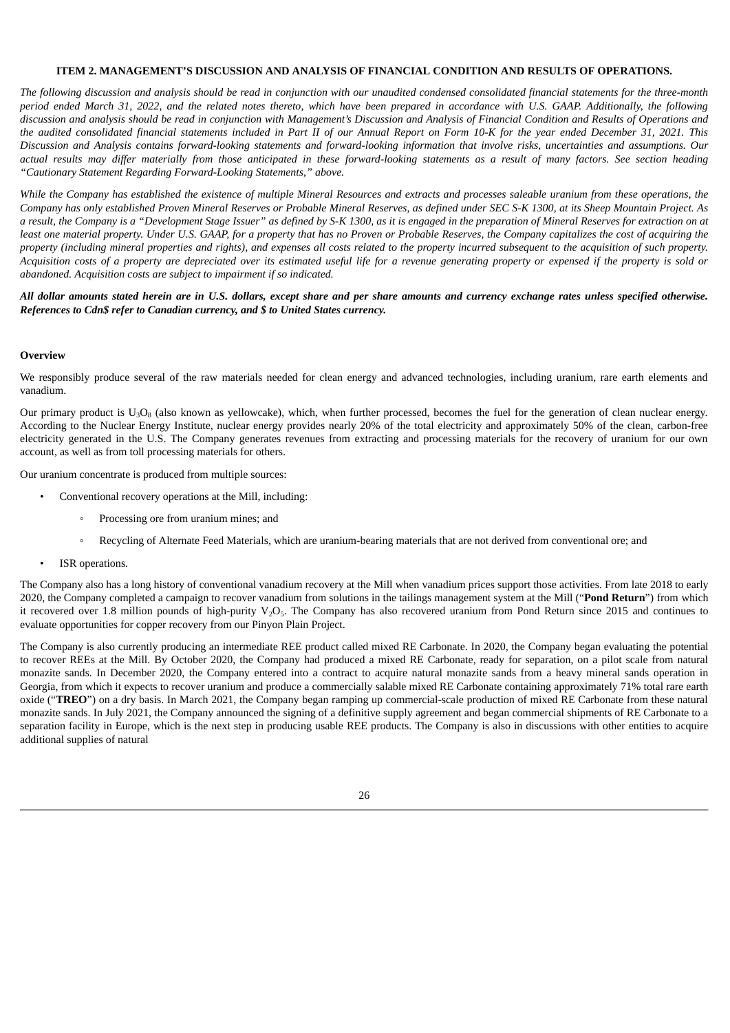## **ITEM 2. MANAGEMENT'S DISCUSSION AND ANALYSIS OF FINANCIAL CONDITION AND RESULTS OF OPERATIONS.**

The following discussion and analysis should be read in conjunction with our unaudited condensed consolidated financial statements for the three-month period ended March 31, 2022, and the related notes thereto, which have been prepared in accordance with U.S. GAAP. Additionally, the following discussion and analysis should be read in conjunction with Management's Discussion and Analysis of Financial Condition and Results of Operations and the audited consolidated financial statements included in Part II of our Annual Report on Form 10-K for the year ended December 31, 2021. This Discussion and Analysis contains forward-looking statements and forward-looking information that involve risks, uncertainties and assumptions. Our actual results may differ materially from those anticipated in these forward-looking statements as a result of many factors. See section heading *"Cautionary Statement Regarding Forward-Looking Statements," above.*

While the Company has established the existence of multiple Mineral Resources and extracts and processes saleable uranium from these operations, the Company has only established Proven Mineral Reserves or Probable Mineral Reserves, as defined under SEC S-K 1300, at its Sheep Mountain Project. As a result, the Company is a "Development Stage Issuer" as defined by S-K 1300, as it is engaged in the preparation of Mineral Reserves for extraction on at least one material property. Under U.S. GAAP, for a property that has no Proven or Probable Reserves, the Company capitalizes the cost of acquiring the property (including mineral properties and rights), and expenses all costs related to the property incurred subsequent to the acquisition of such property. Acquisition costs of a property are depreciated over its estimated useful life for a revenue generating property or expensed if the property is sold or *abandoned. Acquisition costs are subject to impairment if so indicated.*

All dollar amounts stated herein are in U.S. dollars, except share and per share amounts and currency exchange rates unless specified otherwise. *References to Cdn\$ refer to Canadian currency, and \$ to United States currency.*

## **Overview**

We responsibly produce several of the raw materials needed for clean energy and advanced technologies, including uranium, rare earth elements and vanadium.

Our primary product is  $U_3O_8$  (also known as yellowcake), which, when further processed, becomes the fuel for the generation of clean nuclear energy. According to the Nuclear Energy Institute, nuclear energy provides nearly 20% of the total electricity and approximately 50% of the clean, carbon-free electricity generated in the U.S. The Company generates revenues from extracting and processing materials for the recovery of uranium for our own account, as well as from toll processing materials for others.

Our uranium concentrate is produced from multiple sources:

- Conventional recovery operations at the Mill, including:
	- Processing ore from uranium mines; and
	- Recycling of Alternate Feed Materials, which are uranium-bearing materials that are not derived from conventional ore; and
- ISR operations.

The Company also has a long history of conventional vanadium recovery at the Mill when vanadium prices support those activities. From late 2018 to early 2020, the Company completed a campaign to recover vanadium from solutions in the tailings management system at the Mill ("**Pond Return**") from which it recovered over 1.8 million pounds of high-purity  $V_2O_5$ . The Company has also recovered uranium from Pond Return since 2015 and continues to evaluate opportunities for copper recovery from our Pinyon Plain Project.

The Company is also currently producing an intermediate REE product called mixed RE Carbonate. In 2020, the Company began evaluating the potential to recover REEs at the Mill. By October 2020, the Company had produced a mixed RE Carbonate, ready for separation, on a pilot scale from natural monazite sands. In December 2020, the Company entered into a contract to acquire natural monazite sands from a heavy mineral sands operation in Georgia, from which it expects to recover uranium and produce a commercially salable mixed RE Carbonate containing approximately 71% total rare earth oxide ("**TREO**") on a dry basis. In March 2021, the Company began ramping up commercial-scale production of mixed RE Carbonate from these natural monazite sands. In July 2021, the Company announced the signing of a definitive supply agreement and began commercial shipments of RE Carbonate to a separation facility in Europe, which is the next step in producing usable REE products. The Company is also in discussions with other entities to acquire additional supplies of natural

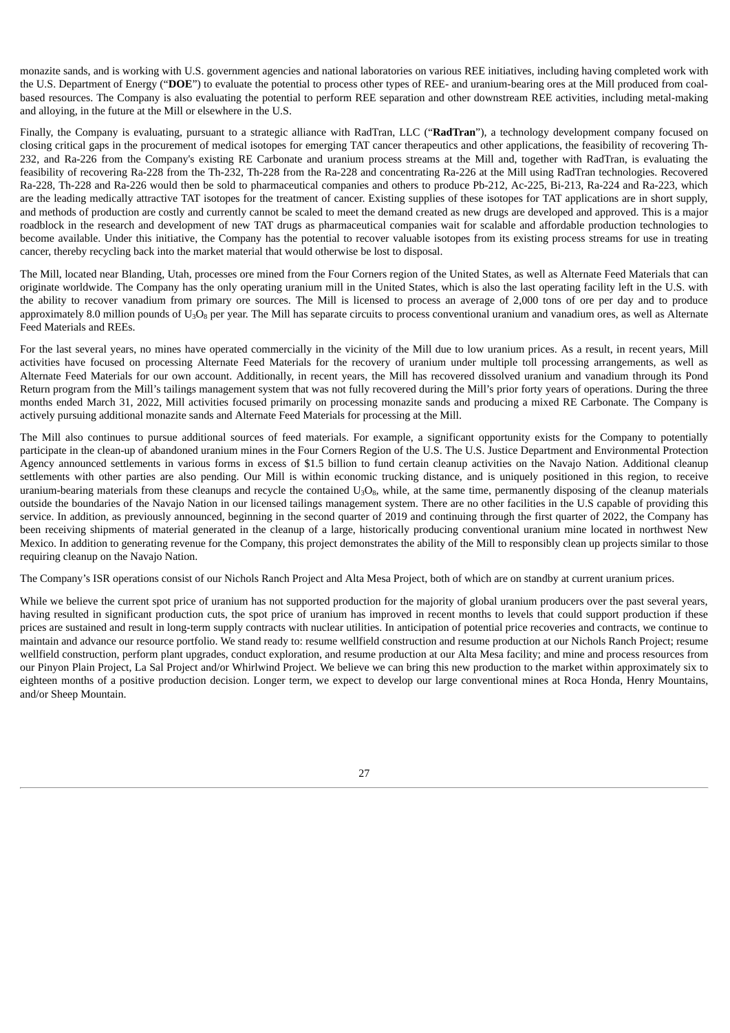monazite sands, and is working with U.S. government agencies and national laboratories on various REE initiatives, including having completed work with the U.S. Department of Energy ("**DOE**") to evaluate the potential to process other types of REE- and uranium-bearing ores at the Mill produced from coalbased resources. The Company is also evaluating the potential to perform REE separation and other downstream REE activities, including metal-making and alloying, in the future at the Mill or elsewhere in the U.S.

Finally, the Company is evaluating, pursuant to a strategic alliance with RadTran, LLC ("**RadTran**"), a technology development company focused on closing critical gaps in the procurement of medical isotopes for emerging TAT cancer therapeutics and other applications, the feasibility of recovering Th-232, and Ra-226 from the Company's existing RE Carbonate and uranium process streams at the Mill and, together with RadTran, is evaluating the feasibility of recovering Ra-228 from the Th-232, Th-228 from the Ra-228 and concentrating Ra-226 at the Mill using RadTran technologies. Recovered Ra-228, Th-228 and Ra-226 would then be sold to pharmaceutical companies and others to produce Pb-212, Ac-225, Bi-213, Ra-224 and Ra-223, which are the leading medically attractive TAT isotopes for the treatment of cancer. Existing supplies of these isotopes for TAT applications are in short supply, and methods of production are costly and currently cannot be scaled to meet the demand created as new drugs are developed and approved. This is a major roadblock in the research and development of new TAT drugs as pharmaceutical companies wait for scalable and affordable production technologies to become available. Under this initiative, the Company has the potential to recover valuable isotopes from its existing process streams for use in treating cancer, thereby recycling back into the market material that would otherwise be lost to disposal.

The Mill, located near Blanding, Utah, processes ore mined from the Four Corners region of the United States, as well as Alternate Feed Materials that can originate worldwide. The Company has the only operating uranium mill in the United States, which is also the last operating facility left in the U.S. with the ability to recover vanadium from primary ore sources. The Mill is licensed to process an average of 2,000 tons of ore per day and to produce approximately 8.0 million pounds of U<sub>3</sub>O<sub>8</sub> per year. The Mill has separate circuits to process conventional uranium and vanadium ores, as well as Alternate Feed Materials and REEs.

For the last several years, no mines have operated commercially in the vicinity of the Mill due to low uranium prices. As a result, in recent years, Mill activities have focused on processing Alternate Feed Materials for the recovery of uranium under multiple toll processing arrangements, as well as Alternate Feed Materials for our own account. Additionally, in recent years, the Mill has recovered dissolved uranium and vanadium through its Pond Return program from the Mill's tailings management system that was not fully recovered during the Mill's prior forty years of operations. During the three months ended March 31, 2022, Mill activities focused primarily on processing monazite sands and producing a mixed RE Carbonate. The Company is actively pursuing additional monazite sands and Alternate Feed Materials for processing at the Mill.

The Mill also continues to pursue additional sources of feed materials. For example, a significant opportunity exists for the Company to potentially participate in the clean-up of abandoned uranium mines in the Four Corners Region of the U.S. The U.S. Justice Department and Environmental Protection Agency announced settlements in various forms in excess of \$1.5 billion to fund certain cleanup activities on the Navajo Nation. Additional cleanup settlements with other parties are also pending. Our Mill is within economic trucking distance, and is uniquely positioned in this region, to receive uranium-bearing materials from these cleanups and recycle the contained  $U_3O_8$ , while, at the same time, permanently disposing of the cleanup materials outside the boundaries of the Navajo Nation in our licensed tailings management system. There are no other facilities in the U.S capable of providing this service. In addition, as previously announced, beginning in the second quarter of 2019 and continuing through the first quarter of 2022, the Company has been receiving shipments of material generated in the cleanup of a large, historically producing conventional uranium mine located in northwest New Mexico. In addition to generating revenue for the Company, this project demonstrates the ability of the Mill to responsibly clean up projects similar to those requiring cleanup on the Navajo Nation.

The Company's ISR operations consist of our Nichols Ranch Project and Alta Mesa Project, both of which are on standby at current uranium prices.

While we believe the current spot price of uranium has not supported production for the majority of global uranium producers over the past several years, having resulted in significant production cuts, the spot price of uranium has improved in recent months to levels that could support production if these prices are sustained and result in long-term supply contracts with nuclear utilities. In anticipation of potential price recoveries and contracts, we continue to maintain and advance our resource portfolio. We stand ready to: resume wellfield construction and resume production at our Nichols Ranch Project; resume wellfield construction, perform plant upgrades, conduct exploration, and resume production at our Alta Mesa facility; and mine and process resources from our Pinyon Plain Project, La Sal Project and/or Whirlwind Project. We believe we can bring this new production to the market within approximately six to eighteen months of a positive production decision. Longer term, we expect to develop our large conventional mines at Roca Honda, Henry Mountains, and/or Sheep Mountain.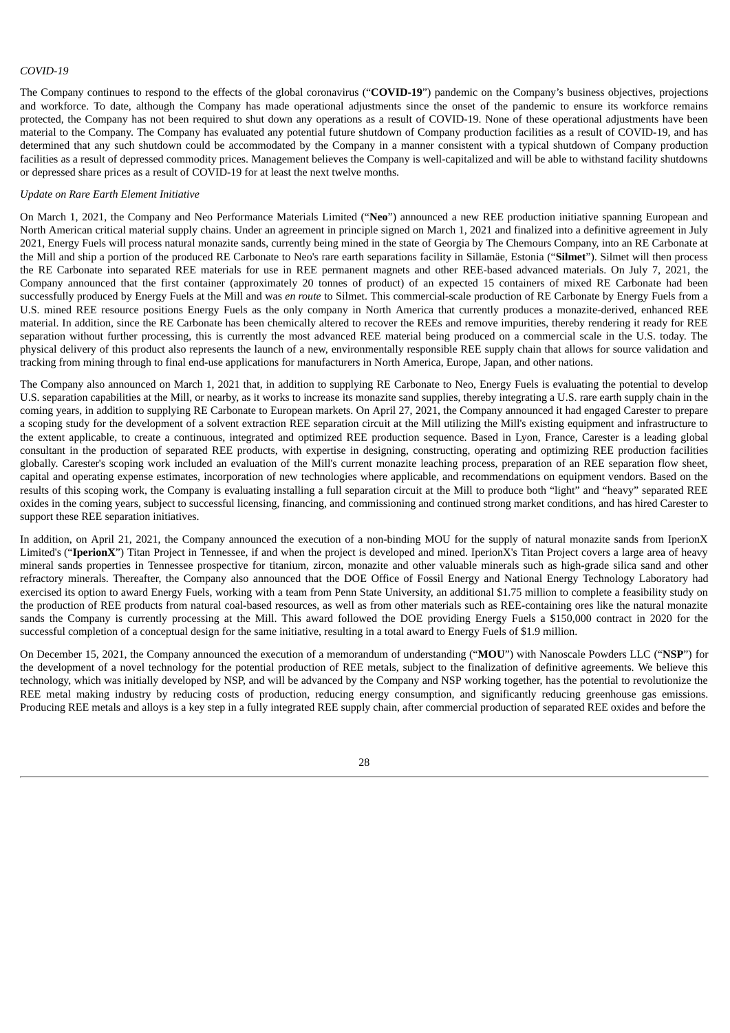## *COVID-19*

The Company continues to respond to the effects of the global coronavirus ("**COVID-19**") pandemic on the Company's business objectives, projections and workforce. To date, although the Company has made operational adjustments since the onset of the pandemic to ensure its workforce remains protected, the Company has not been required to shut down any operations as a result of COVID-19. None of these operational adjustments have been material to the Company. The Company has evaluated any potential future shutdown of Company production facilities as a result of COVID-19, and has determined that any such shutdown could be accommodated by the Company in a manner consistent with a typical shutdown of Company production facilities as a result of depressed commodity prices. Management believes the Company is well-capitalized and will be able to withstand facility shutdowns or depressed share prices as a result of COVID-19 for at least the next twelve months.

## *Update on Rare Earth Element Initiative*

On March 1, 2021, the Company and Neo Performance Materials Limited ("**Neo**") announced a new REE production initiative spanning European and North American critical material supply chains. Under an agreement in principle signed on March 1, 2021 and finalized into a definitive agreement in July 2021, Energy Fuels will process natural monazite sands, currently being mined in the state of Georgia by The Chemours Company, into an RE Carbonate at the Mill and ship a portion of the produced RE Carbonate to Neo's rare earth separations facility in Sillamäe, Estonia ("**Silmet**"). Silmet will then process the RE Carbonate into separated REE materials for use in REE permanent magnets and other REE-based advanced materials. On July 7, 2021, the Company announced that the first container (approximately 20 tonnes of product) of an expected 15 containers of mixed RE Carbonate had been successfully produced by Energy Fuels at the Mill and was *en route* to Silmet. This commercial-scale production of RE Carbonate by Energy Fuels from a U.S. mined REE resource positions Energy Fuels as the only company in North America that currently produces a monazite-derived, enhanced REE material. In addition, since the RE Carbonate has been chemically altered to recover the REEs and remove impurities, thereby rendering it ready for REE separation without further processing, this is currently the most advanced REE material being produced on a commercial scale in the U.S. today. The physical delivery of this product also represents the launch of a new, environmentally responsible REE supply chain that allows for source validation and tracking from mining through to final end-use applications for manufacturers in North America, Europe, Japan, and other nations.

The Company also announced on March 1, 2021 that, in addition to supplying RE Carbonate to Neo, Energy Fuels is evaluating the potential to develop U.S. separation capabilities at the Mill, or nearby, as it works to increase its monazite sand supplies, thereby integrating a U.S. rare earth supply chain in the coming years, in addition to supplying RE Carbonate to European markets. On April 27, 2021, the Company announced it had engaged Carester to prepare a scoping study for the development of a solvent extraction REE separation circuit at the Mill utilizing the Mill's existing equipment and infrastructure to the extent applicable, to create a continuous, integrated and optimized REE production sequence. Based in Lyon, France, Carester is a leading global consultant in the production of separated REE products, with expertise in designing, constructing, operating and optimizing REE production facilities globally. Carester's scoping work included an evaluation of the Mill's current monazite leaching process, preparation of an REE separation flow sheet, capital and operating expense estimates, incorporation of new technologies where applicable, and recommendations on equipment vendors. Based on the results of this scoping work, the Company is evaluating installing a full separation circuit at the Mill to produce both "light" and "heavy" separated REE oxides in the coming years, subject to successful licensing, financing, and commissioning and continued strong market conditions, and has hired Carester to support these REE separation initiatives.

In addition, on April 21, 2021, the Company announced the execution of a non-binding MOU for the supply of natural monazite sands from IperionX Limited's ("**IperionX**") Titan Project in Tennessee, if and when the project is developed and mined. IperionX's Titan Project covers a large area of heavy mineral sands properties in Tennessee prospective for titanium, zircon, monazite and other valuable minerals such as high-grade silica sand and other refractory minerals. Thereafter, the Company also announced that the DOE Office of Fossil Energy and National Energy Technology Laboratory had exercised its option to award Energy Fuels, working with a team from Penn State University, an additional \$1.75 million to complete a feasibility study on the production of REE products from natural coal-based resources, as well as from other materials such as REE-containing ores like the natural monazite sands the Company is currently processing at the Mill. This award followed the DOE providing Energy Fuels a \$150,000 contract in 2020 for the successful completion of a conceptual design for the same initiative, resulting in a total award to Energy Fuels of \$1.9 million.

On December 15, 2021, the Company announced the execution of a memorandum of understanding ("**MOU**") with Nanoscale Powders LLC ("**NSP**") for the development of a novel technology for the potential production of REE metals, subject to the finalization of definitive agreements. We believe this technology, which was initially developed by NSP, and will be advanced by the Company and NSP working together, has the potential to revolutionize the REE metal making industry by reducing costs of production, reducing energy consumption, and significantly reducing greenhouse gas emissions. Producing REE metals and alloys is a key step in a fully integrated REE supply chain, after commercial production of separated REE oxides and before the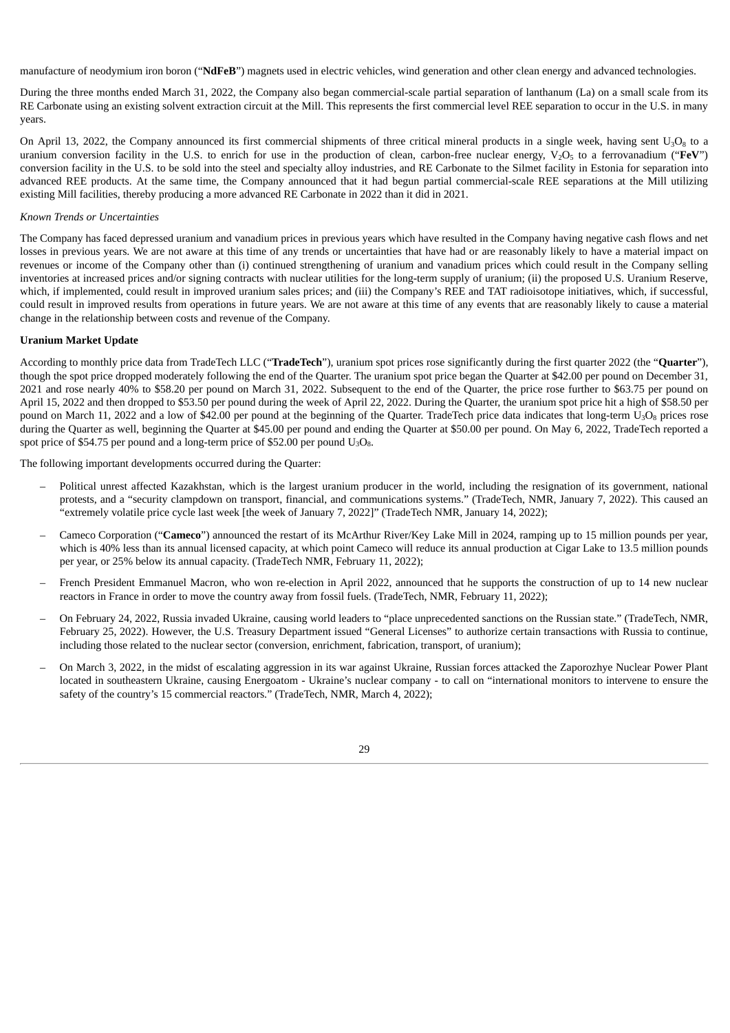manufacture of neodymium iron boron ("**NdFeB**") magnets used in electric vehicles, wind generation and other clean energy and advanced technologies.

During the three months ended March 31, 2022, the Company also began commercial-scale partial separation of lanthanum (La) on a small scale from its RE Carbonate using an existing solvent extraction circuit at the Mill. This represents the first commercial level REE separation to occur in the U.S. in many years.

On April 13, 2022, the Company announced its first commercial shipments of three critical mineral products in a single week, having sent  $U_3O_8$  to a uranium conversion facility in the U.S. to enrich for use in the production of clean, carbon-free nuclear energy, V<sub>2</sub>O<sub>5</sub> to a ferrovanadium ("FeV") conversion facility in the U.S. to be sold into the steel and specialty alloy industries, and RE Carbonate to the Silmet facility in Estonia for separation into advanced REE products. At the same time, the Company announced that it had begun partial commercial-scale REE separations at the Mill utilizing existing Mill facilities, thereby producing a more advanced RE Carbonate in 2022 than it did in 2021.

## *Known Trends or Uncertainties*

The Company has faced depressed uranium and vanadium prices in previous years which have resulted in the Company having negative cash flows and net losses in previous years. We are not aware at this time of any trends or uncertainties that have had or are reasonably likely to have a material impact on revenues or income of the Company other than (i) continued strengthening of uranium and vanadium prices which could result in the Company selling inventories at increased prices and/or signing contracts with nuclear utilities for the long-term supply of uranium; (ii) the proposed U.S. Uranium Reserve, which, if implemented, could result in improved uranium sales prices; and (iii) the Company's REE and TAT radioisotope initiatives, which, if successful, could result in improved results from operations in future years. We are not aware at this time of any events that are reasonably likely to cause a material change in the relationship between costs and revenue of the Company.

## **Uranium Market Update**

According to monthly price data from TradeTech LLC ("**TradeTech**"), uranium spot prices rose significantly during the first quarter 2022 (the "**Quarter**"), though the spot price dropped moderately following the end of the Quarter. The uranium spot price began the Quarter at \$42.00 per pound on December 31, 2021 and rose nearly 40% to \$58.20 per pound on March 31, 2022. Subsequent to the end of the Quarter, the price rose further to \$63.75 per pound on April 15, 2022 and then dropped to \$53.50 per pound during the week of April 22, 2022. During the Quarter, the uranium spot price hit a high of \$58.50 per pound on March 11, 2022 and a low of \$42.00 per pound at the beginning of the Quarter. TradeTech price data indicates that long-term  $U_3O_8$  prices rose during the Quarter as well, beginning the Quarter at \$45.00 per pound and ending the Quarter at \$50.00 per pound. On May 6, 2022, TradeTech reported a spot price of \$54.75 per pound and a long-term price of \$52.00 per pound  $U_3O_8$ .

The following important developments occurred during the Quarter:

- Political unrest affected Kazakhstan, which is the largest uranium producer in the world, including the resignation of its government, national protests, and a "security clampdown on transport, financial, and communications systems." (TradeTech, NMR, January 7, 2022). This caused an "extremely volatile price cycle last week [the week of January 7, 2022]" (TradeTech NMR, January 14, 2022);
- Cameco Corporation ("**Cameco**") announced the restart of its McArthur River/Key Lake Mill in 2024, ramping up to 15 million pounds per year, which is 40% less than its annual licensed capacity, at which point Cameco will reduce its annual production at Cigar Lake to 13.5 million pounds per year, or 25% below its annual capacity. (TradeTech NMR, February 11, 2022);
- French President Emmanuel Macron, who won re-election in April 2022, announced that he supports the construction of up to 14 new nuclear reactors in France in order to move the country away from fossil fuels. (TradeTech, NMR, February 11, 2022);
- On February 24, 2022, Russia invaded Ukraine, causing world leaders to "place unprecedented sanctions on the Russian state." (TradeTech, NMR, February 25, 2022). However, the U.S. Treasury Department issued "General Licenses" to authorize certain transactions with Russia to continue, including those related to the nuclear sector (conversion, enrichment, fabrication, transport, of uranium);
- On March 3, 2022, in the midst of escalating aggression in its war against Ukraine, Russian forces attacked the Zaporozhye Nuclear Power Plant located in southeastern Ukraine, causing Energoatom - Ukraine's nuclear company - to call on "international monitors to intervene to ensure the safety of the country's 15 commercial reactors." (TradeTech, NMR, March 4, 2022);

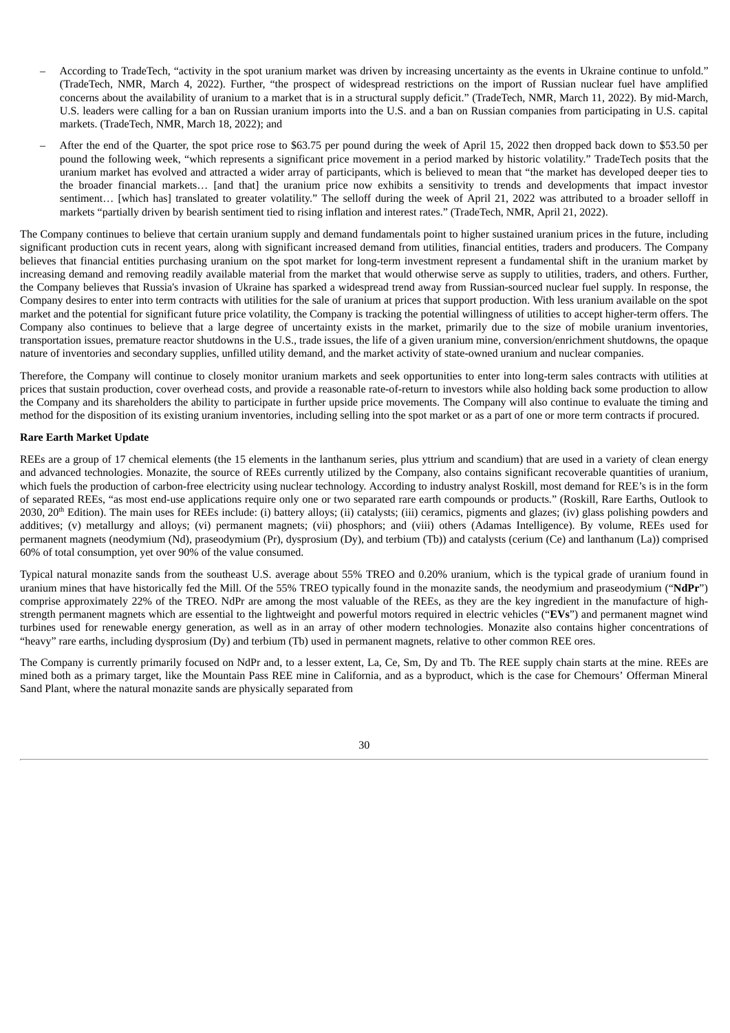- According to TradeTech, "activity in the spot uranium market was driven by increasing uncertainty as the events in Ukraine continue to unfold." (TradeTech, NMR, March 4, 2022). Further, "the prospect of widespread restrictions on the import of Russian nuclear fuel have amplified concerns about the availability of uranium to a market that is in a structural supply deficit." (TradeTech, NMR, March 11, 2022). By mid-March, U.S. leaders were calling for a ban on Russian uranium imports into the U.S. and a ban on Russian companies from participating in U.S. capital markets. (TradeTech, NMR, March 18, 2022); and
- After the end of the Quarter, the spot price rose to \$63.75 per pound during the week of April 15, 2022 then dropped back down to \$53.50 per pound the following week, "which represents a significant price movement in a period marked by historic volatility." TradeTech posits that the uranium market has evolved and attracted a wider array of participants, which is believed to mean that "the market has developed deeper ties to the broader financial markets… [and that] the uranium price now exhibits a sensitivity to trends and developments that impact investor sentiment... [which has] translated to greater volatility." The selloff during the week of April 21, 2022 was attributed to a broader selloff in markets "partially driven by bearish sentiment tied to rising inflation and interest rates." (TradeTech, NMR, April 21, 2022).

The Company continues to believe that certain uranium supply and demand fundamentals point to higher sustained uranium prices in the future, including significant production cuts in recent years, along with significant increased demand from utilities, financial entities, traders and producers. The Company believes that financial entities purchasing uranium on the spot market for long-term investment represent a fundamental shift in the uranium market by increasing demand and removing readily available material from the market that would otherwise serve as supply to utilities, traders, and others. Further, the Company believes that Russia's invasion of Ukraine has sparked a widespread trend away from Russian-sourced nuclear fuel supply. In response, the Company desires to enter into term contracts with utilities for the sale of uranium at prices that support production. With less uranium available on the spot market and the potential for significant future price volatility, the Company is tracking the potential willingness of utilities to accept higher-term offers. The Company also continues to believe that a large degree of uncertainty exists in the market, primarily due to the size of mobile uranium inventories, transportation issues, premature reactor shutdowns in the U.S., trade issues, the life of a given uranium mine, conversion/enrichment shutdowns, the opaque nature of inventories and secondary supplies, unfilled utility demand, and the market activity of state-owned uranium and nuclear companies.

Therefore, the Company will continue to closely monitor uranium markets and seek opportunities to enter into long-term sales contracts with utilities at prices that sustain production, cover overhead costs, and provide a reasonable rate-of-return to investors while also holding back some production to allow the Company and its shareholders the ability to participate in further upside price movements. The Company will also continue to evaluate the timing and method for the disposition of its existing uranium inventories, including selling into the spot market or as a part of one or more term contracts if procured.

# **Rare Earth Market Update**

REEs are a group of 17 chemical elements (the 15 elements in the lanthanum series, plus yttrium and scandium) that are used in a variety of clean energy and advanced technologies. Monazite, the source of REEs currently utilized by the Company, also contains significant recoverable quantities of uranium, which fuels the production of carbon-free electricity using nuclear technology. According to industry analyst Roskill, most demand for REE's is in the form of separated REEs, "as most end-use applications require only one or two separated rare earth compounds or products." (Roskill, Rare Earths, Outlook to 2030, 20<sup>th</sup> Edition). The main uses for REEs include: (i) battery alloys; (ii) catalysts; (iii) ceramics, pigments and glazes; (iv) glass polishing powders and additives; (v) metallurgy and alloys; (vi) permanent magnets; (vii) phosphors; and (viii) others (Adamas Intelligence). By volume, REEs used for permanent magnets (neodymium (Nd), praseodymium (Pr), dysprosium (Dy), and terbium (Tb)) and catalysts (cerium (Ce) and lanthanum (La)) comprised 60% of total consumption, yet over 90% of the value consumed.

Typical natural monazite sands from the southeast U.S. average about 55% TREO and 0.20% uranium, which is the typical grade of uranium found in uranium mines that have historically fed the Mill. Of the 55% TREO typically found in the monazite sands, the neodymium and praseodymium ("**NdPr**") comprise approximately 22% of the TREO. NdPr are among the most valuable of the REEs, as they are the key ingredient in the manufacture of highstrength permanent magnets which are essential to the lightweight and powerful motors required in electric vehicles ("**EVs**") and permanent magnet wind turbines used for renewable energy generation, as well as in an array of other modern technologies. Monazite also contains higher concentrations of "heavy" rare earths, including dysprosium (Dy) and terbium (Tb) used in permanent magnets, relative to other common REE ores.

The Company is currently primarily focused on NdPr and, to a lesser extent, La, Ce, Sm, Dy and Tb. The REE supply chain starts at the mine. REEs are mined both as a primary target, like the Mountain Pass REE mine in California, and as a byproduct, which is the case for Chemours' Offerman Mineral Sand Plant, where the natural monazite sands are physically separated from

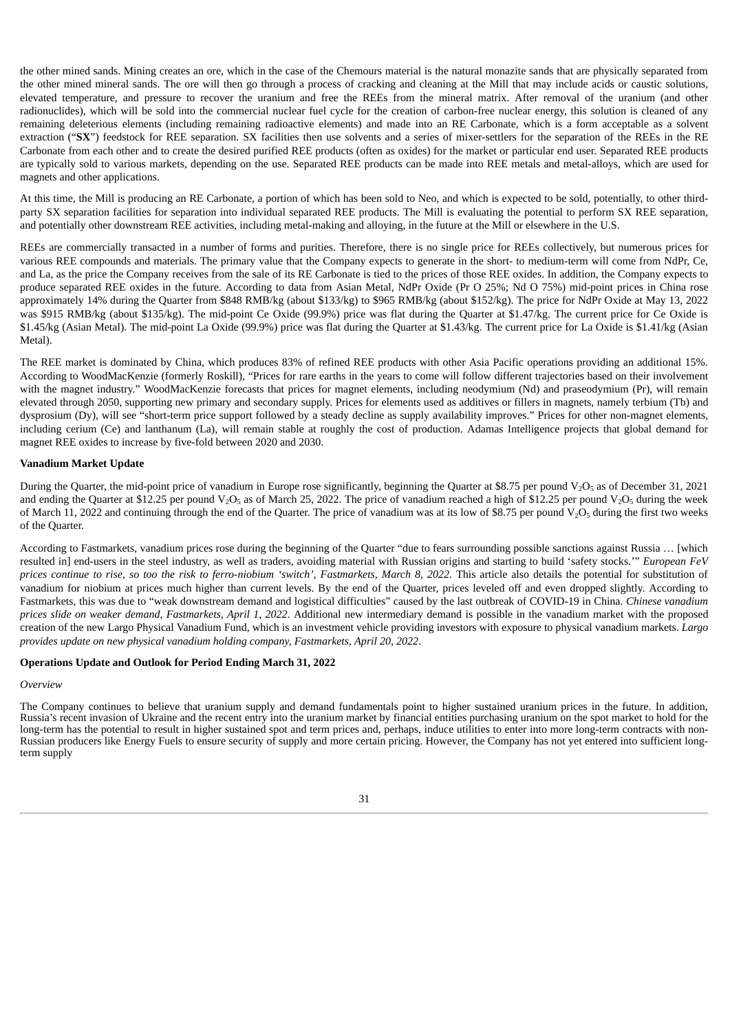the other mined sands. Mining creates an ore, which in the case of the Chemours material is the natural monazite sands that are physically separated from the other mined mineral sands. The ore will then go through a process of cracking and cleaning at the Mill that may include acids or caustic solutions, elevated temperature, and pressure to recover the uranium and free the REEs from the mineral matrix. After removal of the uranium (and other radionuclides), which will be sold into the commercial nuclear fuel cycle for the creation of carbon-free nuclear energy, this solution is cleaned of any remaining deleterious elements (including remaining radioactive elements) and made into an RE Carbonate, which is a form acceptable as a solvent extraction ("**SX**") feedstock for REE separation. SX facilities then use solvents and a series of mixer-settlers for the separation of the REEs in the RE Carbonate from each other and to create the desired purified REE products (often as oxides) for the market or particular end user. Separated REE products are typically sold to various markets, depending on the use. Separated REE products can be made into REE metals and metal-alloys, which are used for magnets and other applications.

At this time, the Mill is producing an RE Carbonate, a portion of which has been sold to Neo, and which is expected to be sold, potentially, to other thirdparty SX separation facilities for separation into individual separated REE products. The Mill is evaluating the potential to perform SX REE separation, and potentially other downstream REE activities, including metal-making and alloying, in the future at the Mill or elsewhere in the U.S.

REEs are commercially transacted in a number of forms and purities. Therefore, there is no single price for REEs collectively, but numerous prices for various REE compounds and materials. The primary value that the Company expects to generate in the short- to medium-term will come from NdPr, Ce, and La, as the price the Company receives from the sale of its RE Carbonate is tied to the prices of those REE oxides. In addition, the Company expects to produce separated REE oxides in the future. According to data from Asian Metal, NdPr Oxide (Pr O 25%; Nd O 75%) mid-point prices in China rose approximately 14% during the Quarter from \$848 RMB/kg (about \$133/kg) to \$965 RMB/kg (about \$152/kg). The price for NdPr Oxide at May 13, 2022 was \$915 RMB/kg (about \$135/kg). The mid-point Ce Oxide (99.9%) price was flat during the Quarter at \$1.47/kg. The current price for Ce Oxide is \$1.45/kg (Asian Metal). The mid-point La Oxide (99.9%) price was flat during the Quarter at \$1.43/kg. The current price for La Oxide is \$1.41/kg (Asian Metal).

The REE market is dominated by China, which produces 83% of refined REE products with other Asia Pacific operations providing an additional 15%. According to WoodMacKenzie (formerly Roskill), "Prices for rare earths in the years to come will follow different trajectories based on their involvement with the magnet industry." WoodMacKenzie forecasts that prices for magnet elements, including neodymium (Nd) and praseodymium (Pr), will remain elevated through 2050, supporting new primary and secondary supply. Prices for elements used as additives or fillers in magnets, namely terbium (Tb) and dysprosium (Dy), will see "short-term price support followed by a steady decline as supply availability improves." Prices for other non-magnet elements, including cerium (Ce) and lanthanum (La), will remain stable at roughly the cost of production. Adamas Intelligence projects that global demand for magnet REE oxides to increase by five-fold between 2020 and 2030.

## **Vanadium Market Update**

During the Quarter, the mid-point price of vanadium in Europe rose significantly, beginning the Quarter at \$8.75 per pound  $V_2O_5$  as of December 31, 2021 and ending the Quarter at \$12.25 per pound  $V_2O_5$  as of March 25, 2022. The price of vanadium reached a high of \$12.25 per pound  $V_2O_5$  during the week of March 11, 2022 and continuing through the end of the Quarter. The price of vanadium was at its low of \$8.75 per pound  $V_2O_5$  during the first two weeks of the Quarter.

According to Fastmarkets, vanadium prices rose during the beginning of the Quarter "due to fears surrounding possible sanctions against Russia … [which resulted in] end-users in the steel industry, as well as traders, avoiding material with Russian origins and starting to build 'safety stocks.'" *European FeV* prices continue to rise, so too the risk to ferro-niobium 'switch', Fastmarkets, March 8, 2022. This article also details the potential for substitution of vanadium for niobium at prices much higher than current levels. By the end of the Quarter, prices leveled off and even dropped slightly. According to Fastmarkets, this was due to "weak downstream demand and logistical difficulties" caused by the last outbreak of COVID-19 in China. *Chinese vanadium prices slide on weaker demand, Fastmarkets, April 1, 2022*. Additional new intermediary demand is possible in the vanadium market with the proposed creation of the new Largo Physical Vanadium Fund, which is an investment vehicle providing investors with exposure to physical vanadium markets. *Largo provides update on new physical vanadium holding company, Fastmarkets, April 20, 2022*.

## **Operations Update and Outlook for Period Ending March 31, 2022**

## *Overview*

The Company continues to believe that uranium supply and demand fundamentals point to higher sustained uranium prices in the future. In addition, Russia's recent invasion of Ukraine and the recent entry into the uranium market by financial entities purchasing uranium on the spot market to hold for the long-term has the potential to result in higher sustained spot and term prices and, perhaps, induce utilities to enter into more long-term contracts with non-Russian producers like Energy Fuels to ensure security of supply and more certain pricing. However, the Company has not yet entered into sufficient longterm supply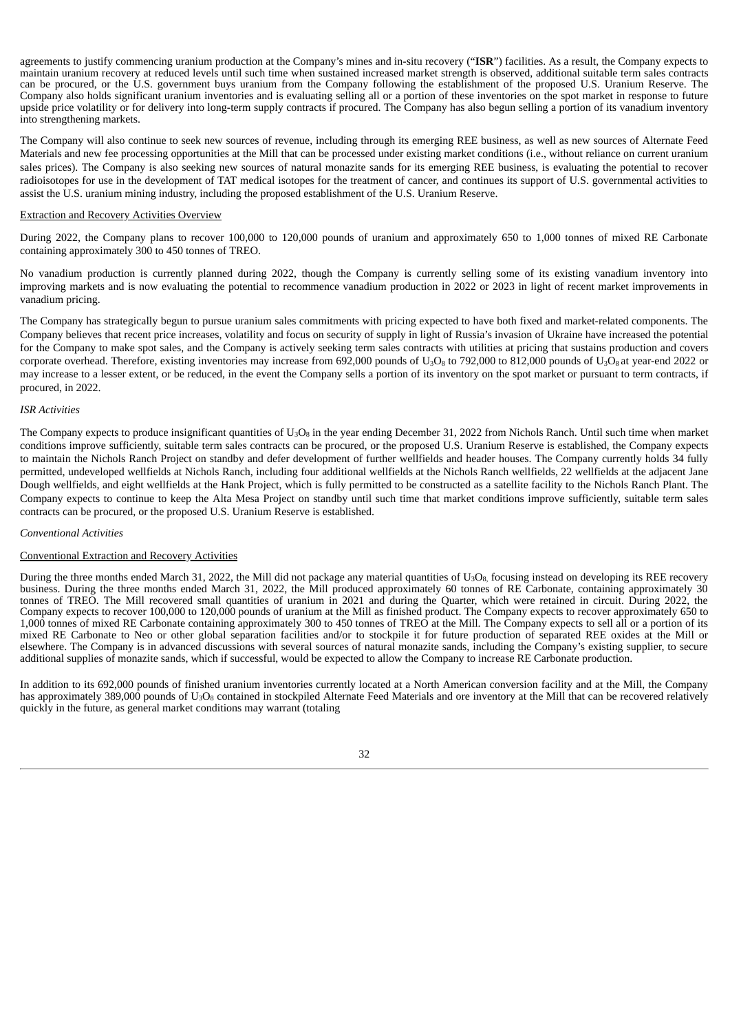agreements to justify commencing uranium production at the Company's mines and in-situ recovery ("**ISR**") facilities. As a result, the Company expects to maintain uranium recovery at reduced levels until such time when sustained increased market strength is observed, additional suitable term sales contracts can be procured, or the U.S. government buys uranium from the Company following the establishment of the proposed U.S. Uranium Reserve. The Company also holds significant uranium inventories and is evaluating selling all or a portion of these inventories on the spot market in response to future upside price volatility or for delivery into long-term supply contracts if procured. The Company has also begun selling a portion of its vanadium inventory into strengthening markets.

The Company will also continue to seek new sources of revenue, including through its emerging REE business, as well as new sources of Alternate Feed Materials and new fee processing opportunities at the Mill that can be processed under existing market conditions (i.e., without reliance on current uranium sales prices). The Company is also seeking new sources of natural monazite sands for its emerging REE business, is evaluating the potential to recover radioisotopes for use in the development of TAT medical isotopes for the treatment of cancer, and continues its support of U.S. governmental activities to assist the U.S. uranium mining industry, including the proposed establishment of the U.S. Uranium Reserve.

## Extraction and Recovery Activities Overview

During 2022, the Company plans to recover 100,000 to 120,000 pounds of uranium and approximately 650 to 1,000 tonnes of mixed RE Carbonate containing approximately 300 to 450 tonnes of TREO.

No vanadium production is currently planned during 2022, though the Company is currently selling some of its existing vanadium inventory into improving markets and is now evaluating the potential to recommence vanadium production in 2022 or 2023 in light of recent market improvements in vanadium pricing.

The Company has strategically begun to pursue uranium sales commitments with pricing expected to have both fixed and market-related components. The Company believes that recent price increases, volatility and focus on security of supply in light of Russia's invasion of Ukraine have increased the potential for the Company to make spot sales, and the Company is actively seeking term sales contracts with utilities at pricing that sustains production and covers corporate overhead. Therefore, existing inventories may increase from 692,000 pounds of  $U_3O_8$  to 792,000 to 812,000 pounds of  $U_3O_8$  at year-end 2022 or may increase to a lesser extent, or be reduced, in the event the Company sells a portion of its inventory on the spot market or pursuant to term contracts, if procured, in 2022.

## *ISR Activities*

The Company expects to produce insignificant quantities of  $U_3O_8$  in the year ending December 31, 2022 from Nichols Ranch. Until such time when market conditions improve sufficiently, suitable term sales contracts can be procured, or the proposed U.S. Uranium Reserve is established, the Company expects to maintain the Nichols Ranch Project on standby and defer development of further wellfields and header houses. The Company currently holds 34 fully permitted, undeveloped wellfields at Nichols Ranch, including four additional wellfields at the Nichols Ranch wellfields, 22 wellfields at the adjacent Jane Dough wellfields, and eight wellfields at the Hank Project, which is fully permitted to be constructed as a satellite facility to the Nichols Ranch Plant. The Company expects to continue to keep the Alta Mesa Project on standby until such time that market conditions improve sufficiently, suitable term sales contracts can be procured, or the proposed U.S. Uranium Reserve is established.

## *Conventional Activities*

# Conventional Extraction and Recovery Activities

During the three months ended March 31, 2022, the Mill did not package any material quantities of  $U_3O_8$ , focusing instead on developing its REE recovery business. During the three months ended March 31, 2022, the Mill produced approximately 60 tonnes of RE Carbonate, containing approximately 30 tonnes of TREO. The Mill recovered small quantities of uranium in 2021 and during the Quarter, which were retained in circuit. During 2022, the Company expects to recover 100,000 to 120,000 pounds of uranium at the Mill as finished product. The Company expects to recover approximately 650 to 1,000 tonnes of mixed RE Carbonate containing approximately 300 to 450 tonnes of TREO at the Mill. The Company expects to sell all or a portion of its mixed RE Carbonate to Neo or other global separation facilities and/or to stockpile it for future production of separated REE oxides at the Mill or elsewhere. The Company is in advanced discussions with several sources of natural monazite sands, including the Company's existing supplier, to secure additional supplies of monazite sands, which if successful, would be expected to allow the Company to increase RE Carbonate production.

In addition to its 692,000 pounds of finished uranium inventories currently located at a North American conversion facility and at the Mill, the Company has approximately 389,000 pounds of U3O<sub>8</sub> contained in stockpiled Alternate Feed Materials and ore inventory at the Mill that can be recovered relatively quickly in the future, as general market conditions may warrant (totaling

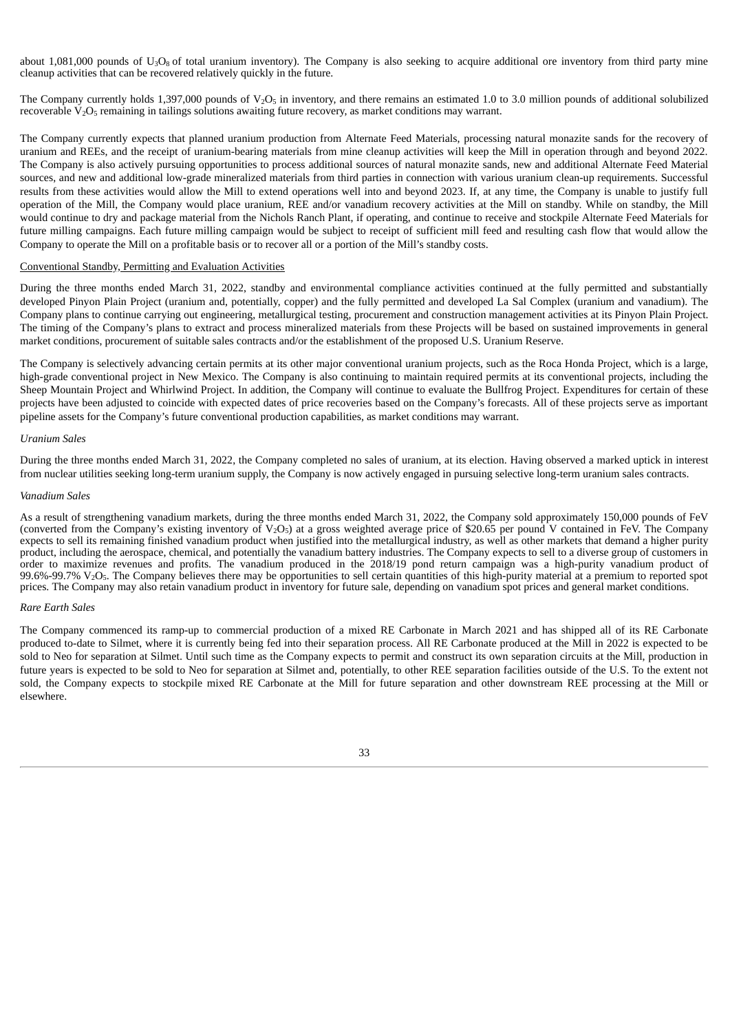about 1,081,000 pounds of  $U_3O_8$  of total uranium inventory). The Company is also seeking to acquire additional ore inventory from third party mine cleanup activities that can be recovered relatively quickly in the future.

The Company currently holds 1,397,000 pounds of  $V_2O_5$  in inventory, and there remains an estimated 1.0 to 3.0 million pounds of additional solubilized recoverable  $\rm V_2O_5$  remaining in tailings solutions awaiting future recovery, as market conditions may warrant.

The Company currently expects that planned uranium production from Alternate Feed Materials, processing natural monazite sands for the recovery of uranium and REEs, and the receipt of uranium-bearing materials from mine cleanup activities will keep the Mill in operation through and beyond 2022. The Company is also actively pursuing opportunities to process additional sources of natural monazite sands, new and additional Alternate Feed Material sources, and new and additional low-grade mineralized materials from third parties in connection with various uranium clean-up requirements. Successful results from these activities would allow the Mill to extend operations well into and beyond 2023. If, at any time, the Company is unable to justify full operation of the Mill, the Company would place uranium, REE and/or vanadium recovery activities at the Mill on standby. While on standby, the Mill would continue to dry and package material from the Nichols Ranch Plant, if operating, and continue to receive and stockpile Alternate Feed Materials for future milling campaigns. Each future milling campaign would be subject to receipt of sufficient mill feed and resulting cash flow that would allow the Company to operate the Mill on a profitable basis or to recover all or a portion of the Mill's standby costs.

## Conventional Standby, Permitting and Evaluation Activities

During the three months ended March 31, 2022, standby and environmental compliance activities continued at the fully permitted and substantially developed Pinyon Plain Project (uranium and, potentially, copper) and the fully permitted and developed La Sal Complex (uranium and vanadium). The Company plans to continue carrying out engineering, metallurgical testing, procurement and construction management activities at its Pinyon Plain Project. The timing of the Company's plans to extract and process mineralized materials from these Projects will be based on sustained improvements in general market conditions, procurement of suitable sales contracts and/or the establishment of the proposed U.S. Uranium Reserve.

The Company is selectively advancing certain permits at its other major conventional uranium projects, such as the Roca Honda Project, which is a large, high-grade conventional project in New Mexico. The Company is also continuing to maintain required permits at its conventional projects, including the Sheep Mountain Project and Whirlwind Project. In addition, the Company will continue to evaluate the Bullfrog Project. Expenditures for certain of these projects have been adjusted to coincide with expected dates of price recoveries based on the Company's forecasts. All of these projects serve as important pipeline assets for the Company's future conventional production capabilities, as market conditions may warrant.

## *Uranium Sales*

During the three months ended March 31, 2022, the Company completed no sales of uranium, at its election. Having observed a marked uptick in interest from nuclear utilities seeking long-term uranium supply, the Company is now actively engaged in pursuing selective long-term uranium sales contracts.

## *Vanadium Sales*

As a result of strengthening vanadium markets, during the three months ended March 31, 2022, the Company sold approximately 150,000 pounds of FeV (converted from the Company's existing inventory of  $V_2O_5$ ) at a gross weighted average price of \$20.65 per pound V contained in FeV. The Company expects to sell its remaining finished vanadium product when justified into the metallurgical industry, as well as other markets that demand a higher purity product, including the aerospace, chemical, and potentially the vanadium battery industries. The Company expects to sell to a diverse group of customers in order to maximize revenues and profits. The vanadium produced in the 2018/19 pond return campaign was a high-purity vanadium product of  $99.6\%$ - $99.7\%$   $V_2O_5$ . The Company believes there may be opportunities to sell certain quantities of this high-purity material at a premium to reported spot prices. The Company may also retain vanadium product in inventory for future sale, depending on vanadium spot prices and general market conditions.

## *Rare Earth Sales*

The Company commenced its ramp-up to commercial production of a mixed RE Carbonate in March 2021 and has shipped all of its RE Carbonate produced to-date to Silmet, where it is currently being fed into their separation process. All RE Carbonate produced at the Mill in 2022 is expected to be sold to Neo for separation at Silmet. Until such time as the Company expects to permit and construct its own separation circuits at the Mill, production in future years is expected to be sold to Neo for separation at Silmet and, potentially, to other REE separation facilities outside of the U.S. To the extent not sold, the Company expects to stockpile mixed RE Carbonate at the Mill for future separation and other downstream REE processing at the Mill or elsewhere.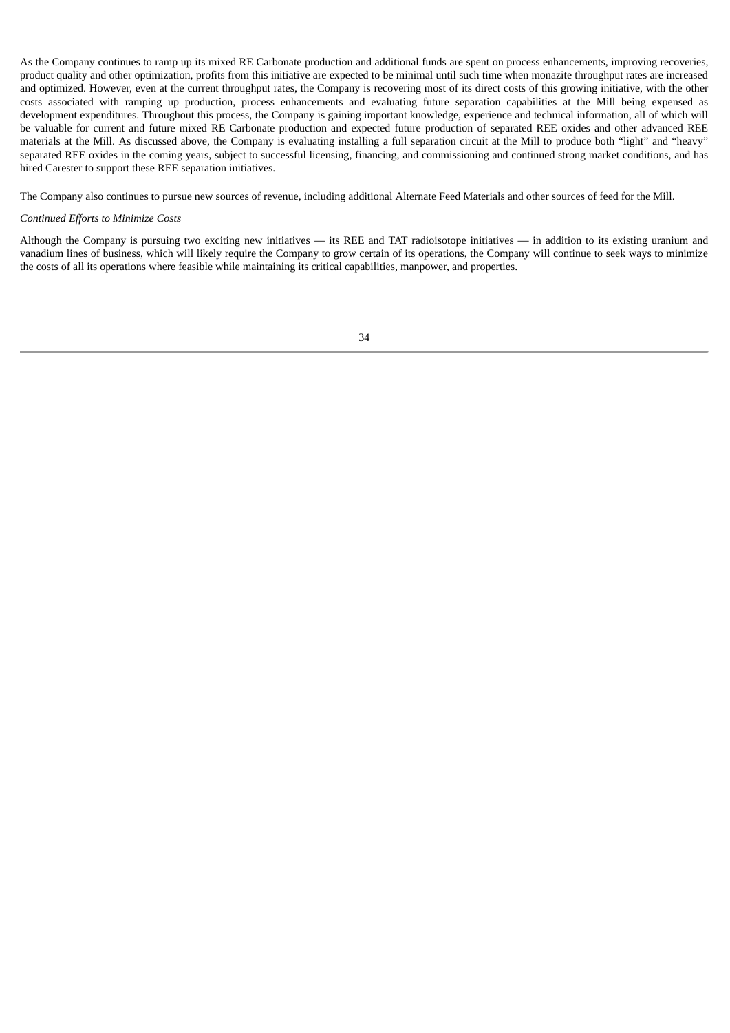As the Company continues to ramp up its mixed RE Carbonate production and additional funds are spent on process enhancements, improving recoveries, product quality and other optimization, profits from this initiative are expected to be minimal until such time when monazite throughput rates are increased and optimized. However, even at the current throughput rates, the Company is recovering most of its direct costs of this growing initiative, with the other costs associated with ramping up production, process enhancements and evaluating future separation capabilities at the Mill being expensed as development expenditures. Throughout this process, the Company is gaining important knowledge, experience and technical information, all of which will be valuable for current and future mixed RE Carbonate production and expected future production of separated REE oxides and other advanced REE materials at the Mill. As discussed above, the Company is evaluating installing a full separation circuit at the Mill to produce both "light" and "heavy" separated REE oxides in the coming years, subject to successful licensing, financing, and commissioning and continued strong market conditions, and has hired Carester to support these REE separation initiatives.

The Company also continues to pursue new sources of revenue, including additional Alternate Feed Materials and other sources of feed for the Mill.

#### *Continued Efforts to Minimize Costs*

Although the Company is pursuing two exciting new initiatives — its REE and TAT radioisotope initiatives — in addition to its existing uranium and vanadium lines of business, which will likely require the Company to grow certain of its operations, the Company will continue to seek ways to minimize the costs of all its operations where feasible while maintaining its critical capabilities, manpower, and properties.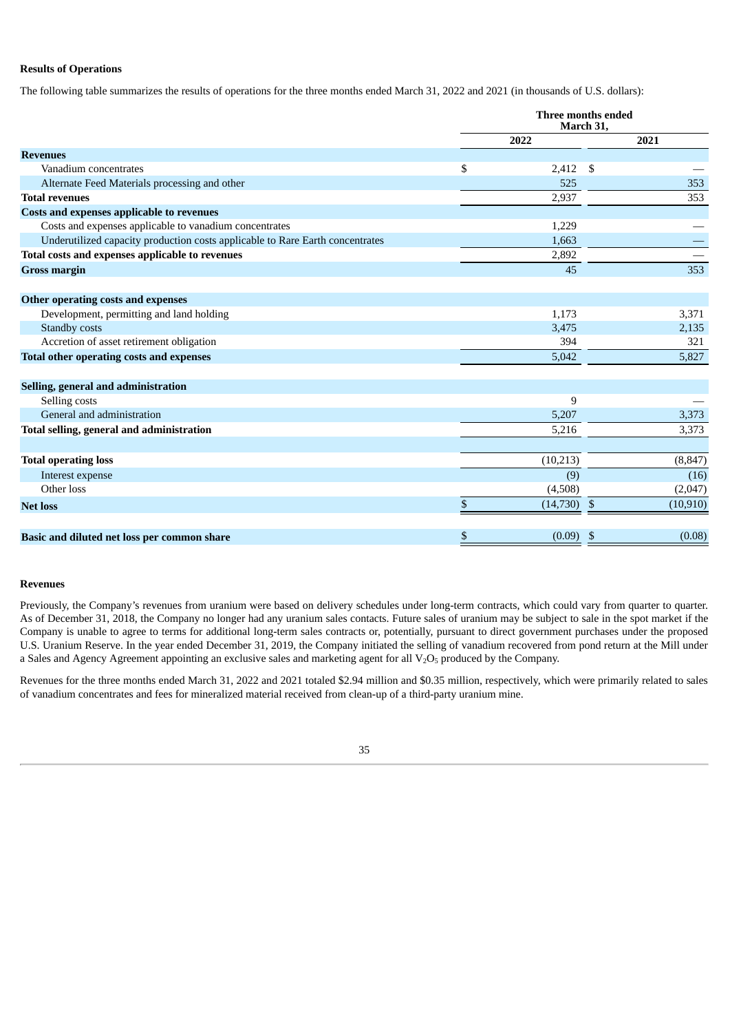# **Results of Operations**

The following table summarizes the results of operations for the three months ended March 31, 2022 and 2021 (in thousands of U.S. dollars):

|                                                                               | Three months ended<br>March 31, |                           |           |
|-------------------------------------------------------------------------------|---------------------------------|---------------------------|-----------|
|                                                                               | 2022                            |                           | 2021      |
| <b>Revenues</b>                                                               |                                 |                           |           |
| Vanadium concentrates                                                         | \$<br>2,412                     | -\$                       |           |
| Alternate Feed Materials processing and other                                 | 525                             |                           | 353       |
| <b>Total revenues</b>                                                         | 2,937                           |                           | 353       |
| <b>Costs and expenses applicable to revenues</b>                              |                                 |                           |           |
| Costs and expenses applicable to vanadium concentrates                        | 1,229                           |                           |           |
| Underutilized capacity production costs applicable to Rare Earth concentrates | 1,663                           |                           |           |
| Total costs and expenses applicable to revenues                               | 2,892                           |                           |           |
| <b>Gross margin</b>                                                           | 45                              |                           | 353       |
| Other operating costs and expenses                                            |                                 |                           |           |
| Development, permitting and land holding                                      | 1,173                           |                           | 3,371     |
| <b>Standby costs</b>                                                          | 3,475                           |                           | 2,135     |
| Accretion of asset retirement obligation                                      | 394                             |                           | 321       |
| Total other operating costs and expenses                                      | 5,042                           |                           | 5,827     |
|                                                                               |                                 |                           |           |
| Selling, general and administration                                           |                                 |                           |           |
| Selling costs                                                                 | 9                               |                           |           |
| General and administration                                                    | 5,207                           |                           | 3,373     |
| Total selling, general and administration                                     | 5,216                           |                           | 3,373     |
| <b>Total operating loss</b>                                                   | (10, 213)                       |                           | (8, 847)  |
| Interest expense                                                              | (9)                             |                           | (16)      |
| Other loss                                                                    | (4,508)                         |                           | (2,047)   |
|                                                                               | \$<br>(14,730)                  | $\boldsymbol{\mathsf{S}}$ | (10, 910) |
| <b>Net loss</b>                                                               |                                 |                           |           |
| Basic and diluted net loss per common share                                   | \$<br>(0.09)                    | \$                        | (0.08)    |

## **Revenues**

Previously, the Company's revenues from uranium were based on delivery schedules under long-term contracts, which could vary from quarter to quarter. As of December 31, 2018, the Company no longer had any uranium sales contacts. Future sales of uranium may be subject to sale in the spot market if the Company is unable to agree to terms for additional long-term sales contracts or, potentially, pursuant to direct government purchases under the proposed U.S. Uranium Reserve. In the year ended December 31, 2019, the Company initiated the selling of vanadium recovered from pond return at the Mill under a Sales and Agency Agreement appointing an exclusive sales and marketing agent for all  $V_2O_5$  produced by the Company.

Revenues for the three months ended March 31, 2022 and 2021 totaled \$2.94 million and \$0.35 million, respectively, which were primarily related to sales of vanadium concentrates and fees for mineralized material received from clean-up of a third-party uranium mine.

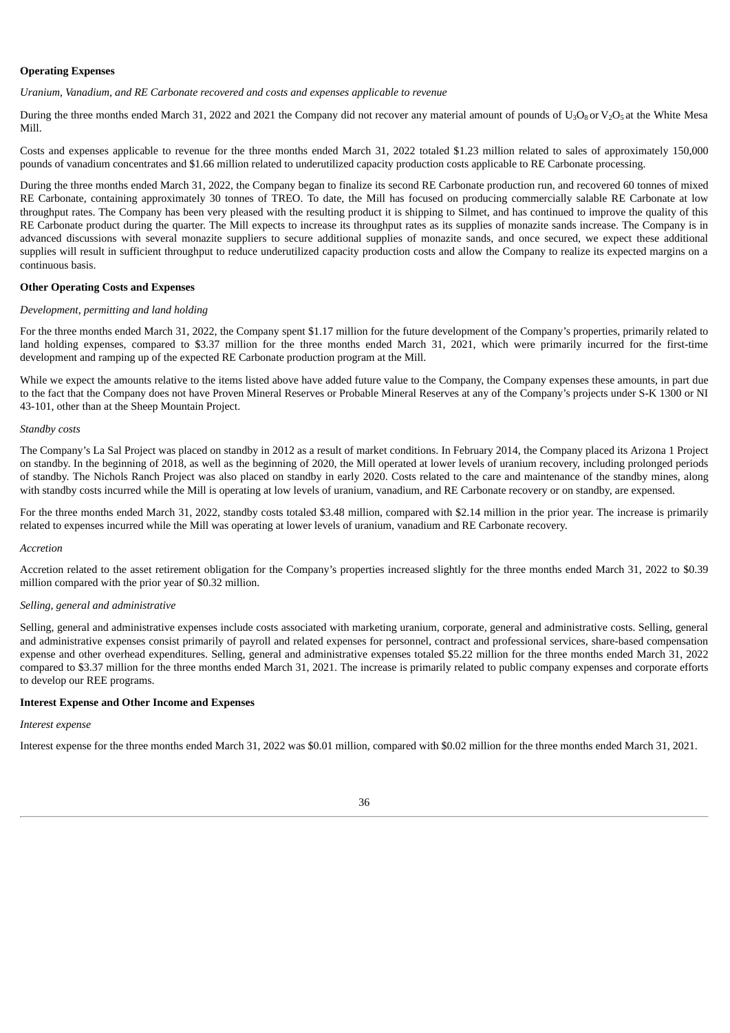# **Operating Expenses**

*Uranium, Vanadium, and RE Carbonate recovered and costs and expenses applicable to revenue*

During the three months ended March 31, 2022 and 2021 the Company did not recover any material amount of pounds of  $U_3O_8$  or  $V_2O_5$  at the White Mesa Mill.

Costs and expenses applicable to revenue for the three months ended March 31, 2022 totaled \$1.23 million related to sales of approximately 150,000 pounds of vanadium concentrates and \$1.66 million related to underutilized capacity production costs applicable to RE Carbonate processing.

During the three months ended March 31, 2022, the Company began to finalize its second RE Carbonate production run, and recovered 60 tonnes of mixed RE Carbonate, containing approximately 30 tonnes of TREO. To date, the Mill has focused on producing commercially salable RE Carbonate at low throughput rates. The Company has been very pleased with the resulting product it is shipping to Silmet, and has continued to improve the quality of this RE Carbonate product during the quarter. The Mill expects to increase its throughput rates as its supplies of monazite sands increase. The Company is in advanced discussions with several monazite suppliers to secure additional supplies of monazite sands, and once secured, we expect these additional supplies will result in sufficient throughput to reduce underutilized capacity production costs and allow the Company to realize its expected margins on a continuous basis.

## **Other Operating Costs and Expenses**

## *Development, permitting and land holding*

For the three months ended March 31, 2022, the Company spent \$1.17 million for the future development of the Company's properties, primarily related to land holding expenses, compared to \$3.37 million for the three months ended March 31, 2021, which were primarily incurred for the first-time development and ramping up of the expected RE Carbonate production program at the Mill.

While we expect the amounts relative to the items listed above have added future value to the Company, the Company expenses these amounts, in part due to the fact that the Company does not have Proven Mineral Reserves or Probable Mineral Reserves at any of the Company's projects under S-K 1300 or NI 43-101, other than at the Sheep Mountain Project.

## *Standby costs*

The Company's La Sal Project was placed on standby in 2012 as a result of market conditions. In February 2014, the Company placed its Arizona 1 Project on standby. In the beginning of 2018, as well as the beginning of 2020, the Mill operated at lower levels of uranium recovery, including prolonged periods of standby. The Nichols Ranch Project was also placed on standby in early 2020. Costs related to the care and maintenance of the standby mines, along with standby costs incurred while the Mill is operating at low levels of uranium, vanadium, and RE Carbonate recovery or on standby, are expensed.

For the three months ended March 31, 2022, standby costs totaled \$3.48 million, compared with \$2.14 million in the prior year. The increase is primarily related to expenses incurred while the Mill was operating at lower levels of uranium, vanadium and RE Carbonate recovery.

## *Accretion*

Accretion related to the asset retirement obligation for the Company's properties increased slightly for the three months ended March 31, 2022 to \$0.39 million compared with the prior year of \$0.32 million.

## *Selling, general and administrative*

Selling, general and administrative expenses include costs associated with marketing uranium, corporate, general and administrative costs. Selling, general and administrative expenses consist primarily of payroll and related expenses for personnel, contract and professional services, share-based compensation expense and other overhead expenditures. Selling, general and administrative expenses totaled \$5.22 million for the three months ended March 31, 2022 compared to \$3.37 million for the three months ended March 31, 2021. The increase is primarily related to public company expenses and corporate efforts to develop our REE programs.

## **Interest Expense and Other Income and Expenses**

## *Interest expense*

Interest expense for the three months ended March 31, 2022 was \$0.01 million, compared with \$0.02 million for the three months ended March 31, 2021.

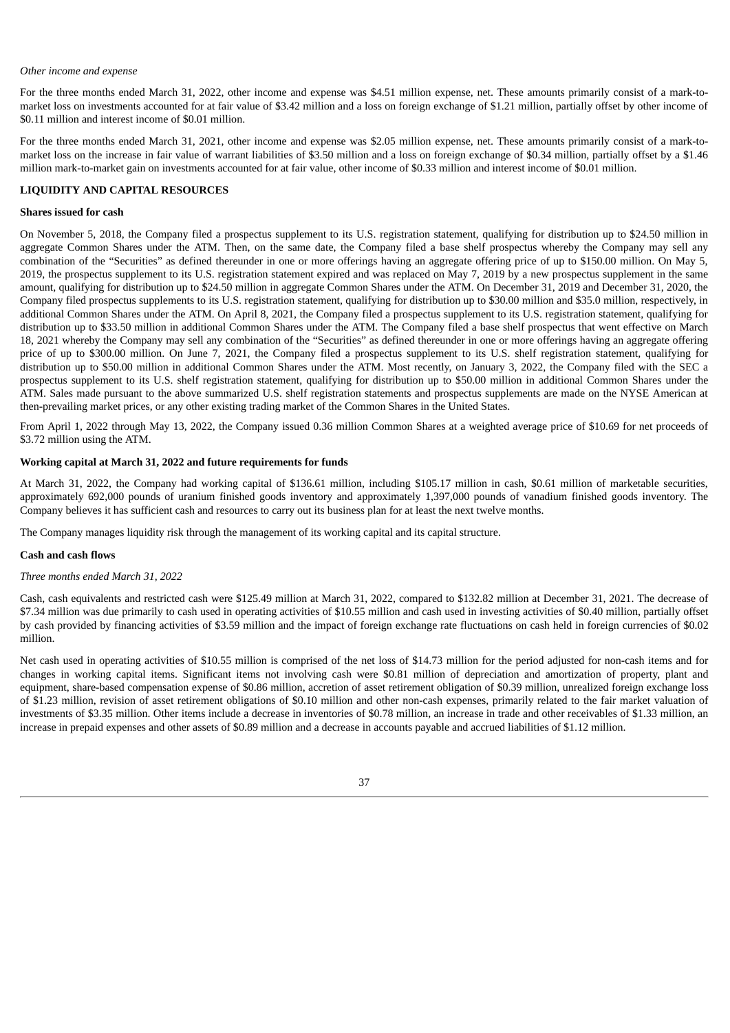#### *Other income and expense*

For the three months ended March 31, 2022, other income and expense was \$4.51 million expense, net. These amounts primarily consist of a mark-tomarket loss on investments accounted for at fair value of \$3.42 million and a loss on foreign exchange of \$1.21 million, partially offset by other income of \$0.11 million and interest income of \$0.01 million.

For the three months ended March 31, 2021, other income and expense was \$2.05 million expense, net. These amounts primarily consist of a mark-tomarket loss on the increase in fair value of warrant liabilities of \$3.50 million and a loss on foreign exchange of \$0.34 million, partially offset by a \$1.46 million mark-to-market gain on investments accounted for at fair value, other income of \$0.33 million and interest income of \$0.01 million.

## **LIQUIDITY AND CAPITAL RESOURCES**

## **Shares issued for cash**

On November 5, 2018, the Company filed a prospectus supplement to its U.S. registration statement, qualifying for distribution up to \$24.50 million in aggregate Common Shares under the ATM. Then, on the same date, the Company filed a base shelf prospectus whereby the Company may sell any combination of the "Securities" as defined thereunder in one or more offerings having an aggregate offering price of up to \$150.00 million. On May 5, 2019, the prospectus supplement to its U.S. registration statement expired and was replaced on May 7, 2019 by a new prospectus supplement in the same amount, qualifying for distribution up to \$24.50 million in aggregate Common Shares under the ATM. On December 31, 2019 and December 31, 2020, the Company filed prospectus supplements to its U.S. registration statement, qualifying for distribution up to \$30.00 million and \$35.0 million, respectively, in additional Common Shares under the ATM. On April 8, 2021, the Company filed a prospectus supplement to its U.S. registration statement, qualifying for distribution up to \$33.50 million in additional Common Shares under the ATM. The Company filed a base shelf prospectus that went effective on March 18, 2021 whereby the Company may sell any combination of the "Securities" as defined thereunder in one or more offerings having an aggregate offering price of up to \$300.00 million. On June 7, 2021, the Company filed a prospectus supplement to its U.S. shelf registration statement, qualifying for distribution up to \$50.00 million in additional Common Shares under the ATM. Most recently, on January 3, 2022, the Company filed with the SEC a prospectus supplement to its U.S. shelf registration statement, qualifying for distribution up to \$50.00 million in additional Common Shares under the ATM. Sales made pursuant to the above summarized U.S. shelf registration statements and prospectus supplements are made on the NYSE American at then-prevailing market prices, or any other existing trading market of the Common Shares in the United States.

From April 1, 2022 through May 13, 2022, the Company issued 0.36 million Common Shares at a weighted average price of \$10.69 for net proceeds of \$3.72 million using the ATM.

# **Working capital at March 31, 2022 and future requirements for funds**

At March 31, 2022, the Company had working capital of \$136.61 million, including \$105.17 million in cash, \$0.61 million of marketable securities, approximately 692,000 pounds of uranium finished goods inventory and approximately 1,397,000 pounds of vanadium finished goods inventory. The Company believes it has sufficient cash and resources to carry out its business plan for at least the next twelve months.

The Company manages liquidity risk through the management of its working capital and its capital structure.

#### **Cash and cash flows**

#### *Three months ended March 31, 2022*

Cash, cash equivalents and restricted cash were \$125.49 million at March 31, 2022, compared to \$132.82 million at December 31, 2021. The decrease of \$7.34 million was due primarily to cash used in operating activities of \$10.55 million and cash used in investing activities of \$0.40 million, partially offset by cash provided by financing activities of \$3.59 million and the impact of foreign exchange rate fluctuations on cash held in foreign currencies of \$0.02 million.

Net cash used in operating activities of \$10.55 million is comprised of the net loss of \$14.73 million for the period adjusted for non-cash items and for changes in working capital items. Significant items not involving cash were \$0.81 million of depreciation and amortization of property, plant and equipment, share-based compensation expense of \$0.86 million, accretion of asset retirement obligation of \$0.39 million, unrealized foreign exchange loss of \$1.23 million, revision of asset retirement obligations of \$0.10 million and other non-cash expenses, primarily related to the fair market valuation of investments of \$3.35 million. Other items include a decrease in inventories of \$0.78 million, an increase in trade and other receivables of \$1.33 million, an increase in prepaid expenses and other assets of \$0.89 million and a decrease in accounts payable and accrued liabilities of \$1.12 million.

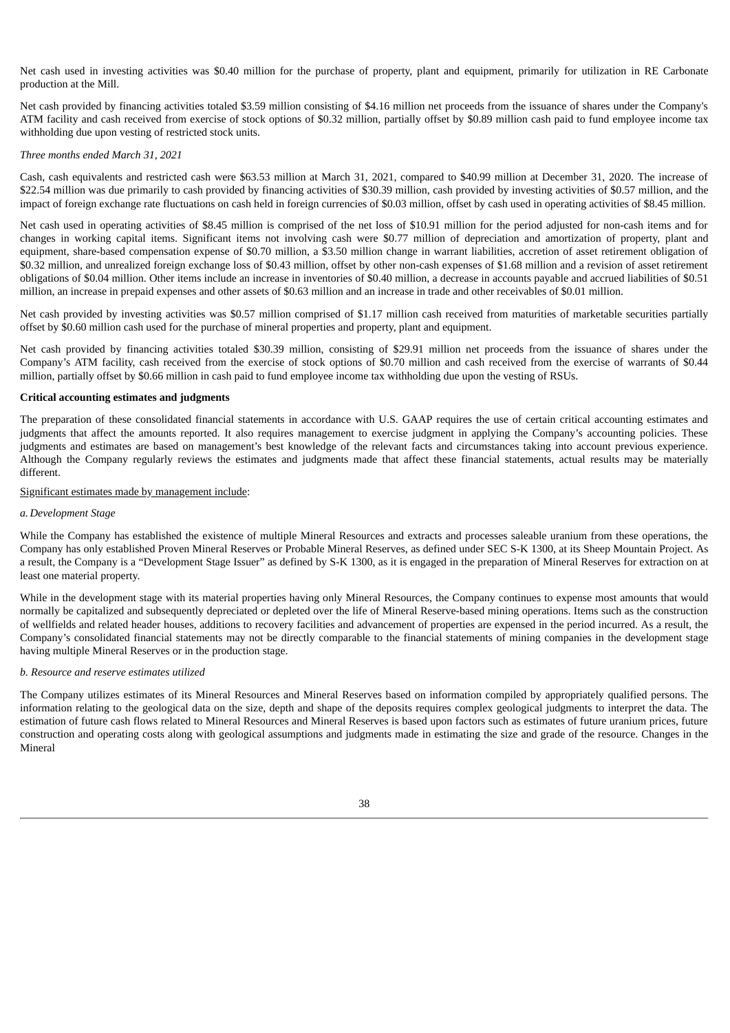Net cash used in investing activities was \$0.40 million for the purchase of property, plant and equipment, primarily for utilization in RE Carbonate production at the Mill.

Net cash provided by financing activities totaled \$3.59 million consisting of \$4.16 million net proceeds from the issuance of shares under the Company's ATM facility and cash received from exercise of stock options of \$0.32 million, partially offset by \$0.89 million cash paid to fund employee income tax withholding due upon vesting of restricted stock units.

## *Three months ended March 31, 2021*

Cash, cash equivalents and restricted cash were \$63.53 million at March 31, 2021, compared to \$40.99 million at December 31, 2020. The increase of \$22.54 million was due primarily to cash provided by financing activities of \$30.39 million, cash provided by investing activities of \$0.57 million, and the impact of foreign exchange rate fluctuations on cash held in foreign currencies of \$0.03 million, offset by cash used in operating activities of \$8.45 million.

Net cash used in operating activities of \$8.45 million is comprised of the net loss of \$10.91 million for the period adjusted for non-cash items and for changes in working capital items. Significant items not involving cash were \$0.77 million of depreciation and amortization of property, plant and equipment, share-based compensation expense of \$0.70 million, a \$3.50 million change in warrant liabilities, accretion of asset retirement obligation of \$0.32 million, and unrealized foreign exchange loss of \$0.43 million, offset by other non-cash expenses of \$1.68 million and a revision of asset retirement obligations of \$0.04 million. Other items include an increase in inventories of \$0.40 million, a decrease in accounts payable and accrued liabilities of \$0.51 million, an increase in prepaid expenses and other assets of \$0.63 million and an increase in trade and other receivables of \$0.01 million.

Net cash provided by investing activities was \$0.57 million comprised of \$1.17 million cash received from maturities of marketable securities partially offset by \$0.60 million cash used for the purchase of mineral properties and property, plant and equipment.

Net cash provided by financing activities totaled \$30.39 million, consisting of \$29.91 million net proceeds from the issuance of shares under the Company's ATM facility, cash received from the exercise of stock options of \$0.70 million and cash received from the exercise of warrants of \$0.44 million, partially offset by \$0.66 million in cash paid to fund employee income tax withholding due upon the vesting of RSUs.

## **Critical accounting estimates and judgments**

The preparation of these consolidated financial statements in accordance with U.S. GAAP requires the use of certain critical accounting estimates and judgments that affect the amounts reported. It also requires management to exercise judgment in applying the Company's accounting policies. These judgments and estimates are based on management's best knowledge of the relevant facts and circumstances taking into account previous experience. Although the Company regularly reviews the estimates and judgments made that affect these financial statements, actual results may be materially different.

## Significant estimates made by management include:

## *a. Development Stage*

While the Company has established the existence of multiple Mineral Resources and extracts and processes saleable uranium from these operations, the Company has only established Proven Mineral Reserves or Probable Mineral Reserves, as defined under SEC S-K 1300, at its Sheep Mountain Project. As a result, the Company is a "Development Stage Issuer" as defined by S-K 1300, as it is engaged in the preparation of Mineral Reserves for extraction on at least one material property.

While in the development stage with its material properties having only Mineral Resources, the Company continues to expense most amounts that would normally be capitalized and subsequently depreciated or depleted over the life of Mineral Reserve-based mining operations. Items such as the construction of wellfields and related header houses, additions to recovery facilities and advancement of properties are expensed in the period incurred. As a result, the Company's consolidated financial statements may not be directly comparable to the financial statements of mining companies in the development stage having multiple Mineral Reserves or in the production stage.

# *b. Resource and reserve estimates utilized*

The Company utilizes estimates of its Mineral Resources and Mineral Reserves based on information compiled by appropriately qualified persons. The information relating to the geological data on the size, depth and shape of the deposits requires complex geological judgments to interpret the data. The estimation of future cash flows related to Mineral Resources and Mineral Reserves is based upon factors such as estimates of future uranium prices, future construction and operating costs along with geological assumptions and judgments made in estimating the size and grade of the resource. Changes in the Mineral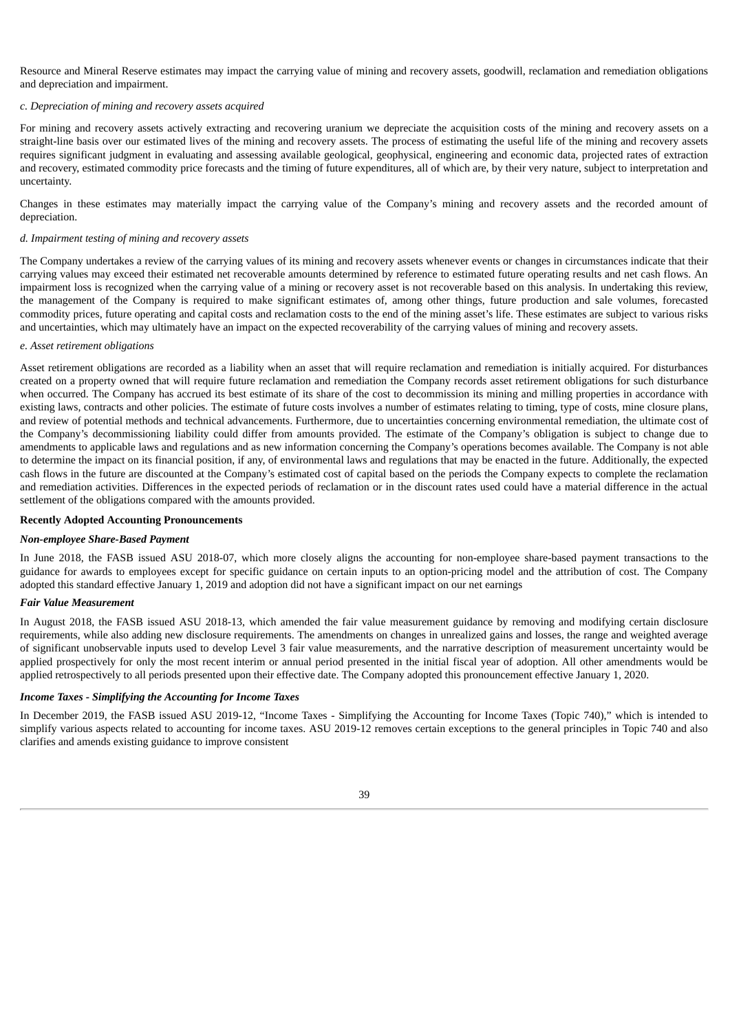Resource and Mineral Reserve estimates may impact the carrying value of mining and recovery assets, goodwill, reclamation and remediation obligations and depreciation and impairment.

## *c. Depreciation of mining and recovery assets acquired*

For mining and recovery assets actively extracting and recovering uranium we depreciate the acquisition costs of the mining and recovery assets on a straight-line basis over our estimated lives of the mining and recovery assets. The process of estimating the useful life of the mining and recovery assets requires significant judgment in evaluating and assessing available geological, geophysical, engineering and economic data, projected rates of extraction and recovery, estimated commodity price forecasts and the timing of future expenditures, all of which are, by their very nature, subject to interpretation and uncertainty.

Changes in these estimates may materially impact the carrying value of the Company's mining and recovery assets and the recorded amount of depreciation.

## *d. Impairment testing of mining and recovery assets*

The Company undertakes a review of the carrying values of its mining and recovery assets whenever events or changes in circumstances indicate that their carrying values may exceed their estimated net recoverable amounts determined by reference to estimated future operating results and net cash flows. An impairment loss is recognized when the carrying value of a mining or recovery asset is not recoverable based on this analysis. In undertaking this review, the management of the Company is required to make significant estimates of, among other things, future production and sale volumes, forecasted commodity prices, future operating and capital costs and reclamation costs to the end of the mining asset's life. These estimates are subject to various risks and uncertainties, which may ultimately have an impact on the expected recoverability of the carrying values of mining and recovery assets.

# *e. Asset retirement obligations*

Asset retirement obligations are recorded as a liability when an asset that will require reclamation and remediation is initially acquired. For disturbances created on a property owned that will require future reclamation and remediation the Company records asset retirement obligations for such disturbance when occurred. The Company has accrued its best estimate of its share of the cost to decommission its mining and milling properties in accordance with existing laws, contracts and other policies. The estimate of future costs involves a number of estimates relating to timing, type of costs, mine closure plans, and review of potential methods and technical advancements. Furthermore, due to uncertainties concerning environmental remediation, the ultimate cost of the Company's decommissioning liability could differ from amounts provided. The estimate of the Company's obligation is subject to change due to amendments to applicable laws and regulations and as new information concerning the Company's operations becomes available. The Company is not able to determine the impact on its financial position, if any, of environmental laws and regulations that may be enacted in the future. Additionally, the expected cash flows in the future are discounted at the Company's estimated cost of capital based on the periods the Company expects to complete the reclamation and remediation activities. Differences in the expected periods of reclamation or in the discount rates used could have a material difference in the actual settlement of the obligations compared with the amounts provided.

# **Recently Adopted Accounting Pronouncements**

## *Non-employee Share-Based Payment*

In June 2018, the FASB issued ASU 2018-07, which more closely aligns the accounting for non-employee share-based payment transactions to the guidance for awards to employees except for specific guidance on certain inputs to an option-pricing model and the attribution of cost. The Company adopted this standard effective January 1, 2019 and adoption did not have a significant impact on our net earnings

# *Fair Value Measurement*

In August 2018, the FASB issued ASU 2018-13, which amended the fair value measurement guidance by removing and modifying certain disclosure requirements, while also adding new disclosure requirements. The amendments on changes in unrealized gains and losses, the range and weighted average of significant unobservable inputs used to develop Level 3 fair value measurements, and the narrative description of measurement uncertainty would be applied prospectively for only the most recent interim or annual period presented in the initial fiscal year of adoption. All other amendments would be applied retrospectively to all periods presented upon their effective date. The Company adopted this pronouncement effective January 1, 2020.

## *Income Taxes - Simplifying the Accounting for Income Taxes*

In December 2019, the FASB issued ASU 2019-12, "Income Taxes - Simplifying the Accounting for Income Taxes (Topic 740)," which is intended to simplify various aspects related to accounting for income taxes. ASU 2019-12 removes certain exceptions to the general principles in Topic 740 and also clarifies and amends existing guidance to improve consistent

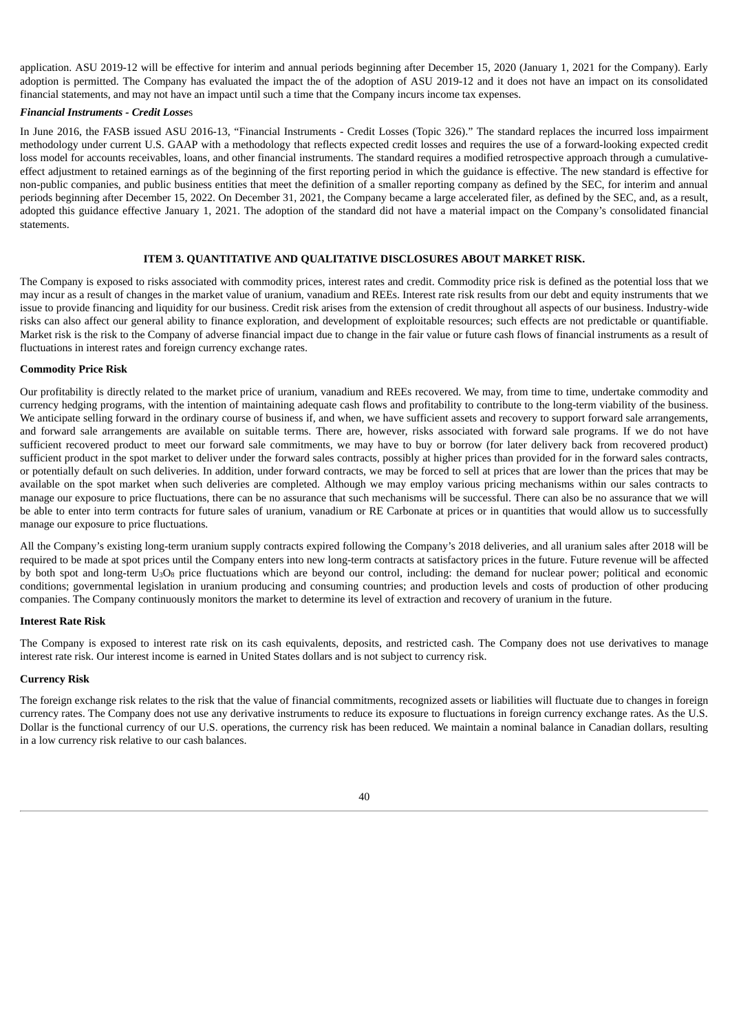application. ASU 2019-12 will be effective for interim and annual periods beginning after December 15, 2020 (January 1, 2021 for the Company). Early adoption is permitted. The Company has evaluated the impact the of the adoption of ASU 2019-12 and it does not have an impact on its consolidated financial statements, and may not have an impact until such a time that the Company incurs income tax expenses.

## *Financial Instruments - Credit Losse*s

In June 2016, the FASB issued ASU 2016-13, "Financial Instruments - Credit Losses (Topic 326)." The standard replaces the incurred loss impairment methodology under current U.S. GAAP with a methodology that reflects expected credit losses and requires the use of a forward-looking expected credit loss model for accounts receivables, loans, and other financial instruments. The standard requires a modified retrospective approach through a cumulativeeffect adjustment to retained earnings as of the beginning of the first reporting period in which the guidance is effective. The new standard is effective for non-public companies, and public business entities that meet the definition of a smaller reporting company as defined by the SEC, for interim and annual periods beginning after December 15, 2022. On December 31, 2021, the Company became a large accelerated filer, as defined by the SEC, and, as a result, adopted this guidance effective January 1, 2021. The adoption of the standard did not have a material impact on the Company's consolidated financial statements.

## **ITEM 3. QUANTITATIVE AND QUALITATIVE DISCLOSURES ABOUT MARKET RISK.**

<span id="page-39-0"></span>The Company is exposed to risks associated with commodity prices, interest rates and credit. Commodity price risk is defined as the potential loss that we may incur as a result of changes in the market value of uranium, vanadium and REEs. Interest rate risk results from our debt and equity instruments that we issue to provide financing and liquidity for our business. Credit risk arises from the extension of credit throughout all aspects of our business. Industry-wide risks can also affect our general ability to finance exploration, and development of exploitable resources; such effects are not predictable or quantifiable. Market risk is the risk to the Company of adverse financial impact due to change in the fair value or future cash flows of financial instruments as a result of fluctuations in interest rates and foreign currency exchange rates.

## **Commodity Price Risk**

Our profitability is directly related to the market price of uranium, vanadium and REEs recovered. We may, from time to time, undertake commodity and currency hedging programs, with the intention of maintaining adequate cash flows and profitability to contribute to the long-term viability of the business. We anticipate selling forward in the ordinary course of business if, and when, we have sufficient assets and recovery to support forward sale arrangements, and forward sale arrangements are available on suitable terms. There are, however, risks associated with forward sale programs. If we do not have sufficient recovered product to meet our forward sale commitments, we may have to buy or borrow (for later delivery back from recovered product) sufficient product in the spot market to deliver under the forward sales contracts, possibly at higher prices than provided for in the forward sales contracts, or potentially default on such deliveries. In addition, under forward contracts, we may be forced to sell at prices that are lower than the prices that may be available on the spot market when such deliveries are completed. Although we may employ various pricing mechanisms within our sales contracts to manage our exposure to price fluctuations, there can be no assurance that such mechanisms will be successful. There can also be no assurance that we will be able to enter into term contracts for future sales of uranium, vanadium or RE Carbonate at prices or in quantities that would allow us to successfully manage our exposure to price fluctuations.

All the Company's existing long-term uranium supply contracts expired following the Company's 2018 deliveries, and all uranium sales after 2018 will be required to be made at spot prices until the Company enters into new long-term contracts at satisfactory prices in the future. Future revenue will be affected by both spot and long-term  $U_3O_8$  price fluctuations which are beyond our control, including: the demand for nuclear power; political and economic conditions; governmental legislation in uranium producing and consuming countries; and production levels and costs of production of other producing companies. The Company continuously monitors the market to determine its level of extraction and recovery of uranium in the future.

## **Interest Rate Risk**

The Company is exposed to interest rate risk on its cash equivalents, deposits, and restricted cash. The Company does not use derivatives to manage interest rate risk. Our interest income is earned in United States dollars and is not subject to currency risk.

## **Currency Risk**

The foreign exchange risk relates to the risk that the value of financial commitments, recognized assets or liabilities will fluctuate due to changes in foreign currency rates. The Company does not use any derivative instruments to reduce its exposure to fluctuations in foreign currency exchange rates. As the U.S. Dollar is the functional currency of our U.S. operations, the currency risk has been reduced. We maintain a nominal balance in Canadian dollars, resulting in a low currency risk relative to our cash balances.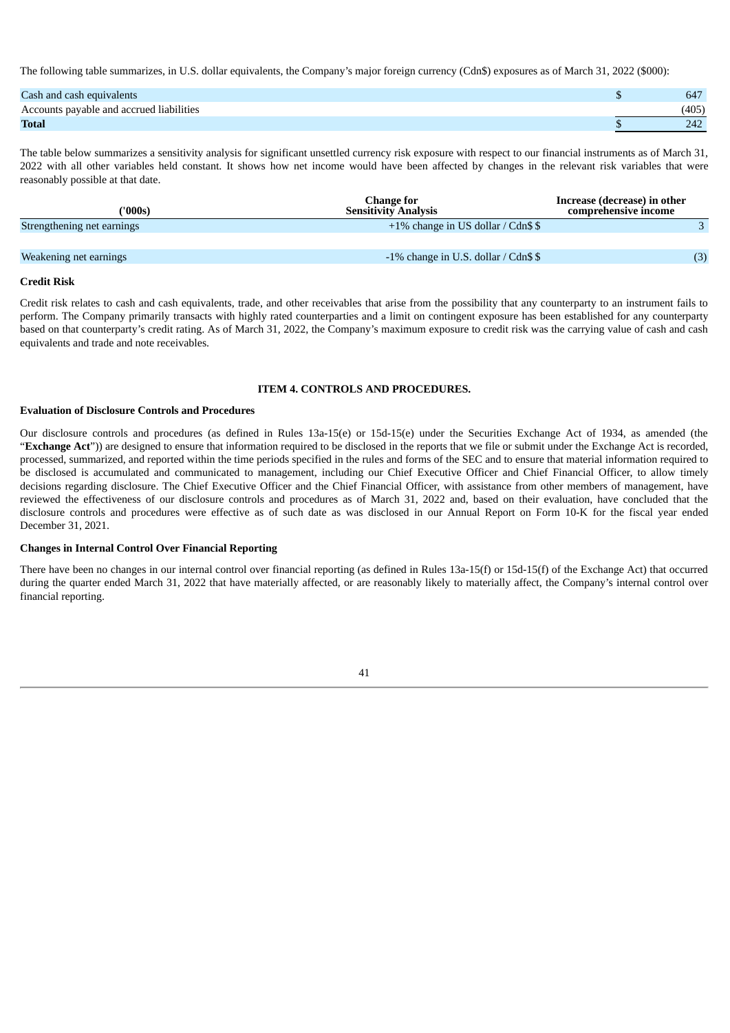The following table summarizes, in U.S. dollar equivalents, the Company's major foreign currency (Cdn\$) exposures as of March 31, 2022 (\$000):

| Cash and cash equivalents                | 54   |
|------------------------------------------|------|
| Accounts payable and accrued liabilities | 405' |
| <b>Total</b>                             |      |

The table below summarizes a sensitivity analysis for significant unsettled currency risk exposure with respect to our financial instruments as of March 31, 2022 with all other variables held constant. It shows how net income would have been affected by changes in the relevant risk variables that were reasonably possible at that date.

| '000s                      | Change for<br><b>Sensitivity Analysis</b> | Increase (decrease) in other<br>comprehensive income |
|----------------------------|-------------------------------------------|------------------------------------------------------|
| Strengthening net earnings | $+1\%$ change in US dollar / Cdn\$ \$     |                                                      |
|                            |                                           |                                                      |
| Weakening net earnings     | $-1\%$ change in U.S. dollar / Cdn\$ \$   | (3)                                                  |

## **Credit Risk**

Credit risk relates to cash and cash equivalents, trade, and other receivables that arise from the possibility that any counterparty to an instrument fails to perform. The Company primarily transacts with highly rated counterparties and a limit on contingent exposure has been established for any counterparty based on that counterparty's credit rating. As of March 31, 2022, the Company's maximum exposure to credit risk was the carrying value of cash and cash equivalents and trade and note receivables.

## **ITEM 4. CONTROLS AND PROCEDURES.**

## <span id="page-40-0"></span>**Evaluation of Disclosure Controls and Procedures**

Our disclosure controls and procedures (as defined in Rules 13a-15(e) or 15d-15(e) under the Securities Exchange Act of 1934, as amended (the "**Exchange Act**")) are designed to ensure that information required to be disclosed in the reports that we file or submit under the Exchange Act is recorded, processed, summarized, and reported within the time periods specified in the rules and forms of the SEC and to ensure that material information required to be disclosed is accumulated and communicated to management, including our Chief Executive Officer and Chief Financial Officer, to allow timely decisions regarding disclosure. The Chief Executive Officer and the Chief Financial Officer, with assistance from other members of management, have reviewed the effectiveness of our disclosure controls and procedures as of March 31, 2022 and, based on their evaluation, have concluded that the disclosure controls and procedures were effective as of such date as was disclosed in our Annual Report on Form 10-K for the fiscal year ended December 31, 2021.

## **Changes in Internal Control Over Financial Reporting**

There have been no changes in our internal control over financial reporting (as defined in Rules 13a-15(f) or 15d-15(f) of the Exchange Act) that occurred during the quarter ended March 31, 2022 that have materially affected, or are reasonably likely to materially affect, the Company's internal control over financial reporting.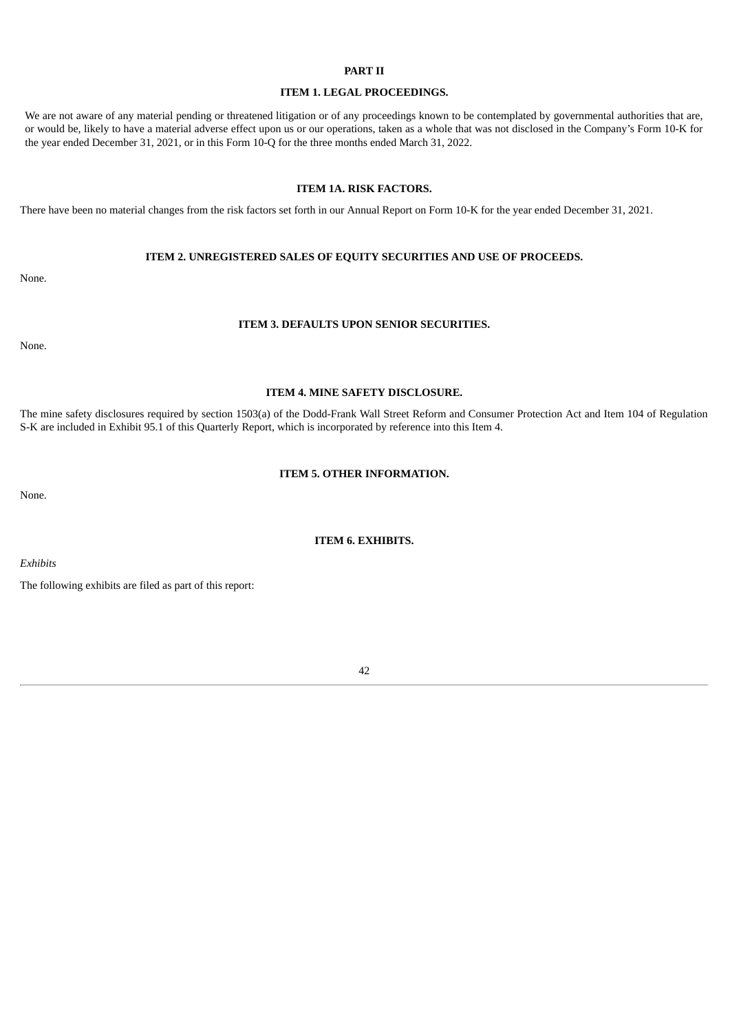## **PART II**

## **ITEM 1. LEGAL PROCEEDINGS.**

<span id="page-41-0"></span>We are not aware of any material pending or threatened litigation or of any proceedings known to be contemplated by governmental authorities that are, or would be, likely to have a material adverse effect upon us or our operations, taken as a whole that was not disclosed in the Company's Form 10-K for the year ended December 31, 2021, or in this Form 10-Q for the three months ended March 31, 2022.

## **ITEM 1A. RISK FACTORS.**

<span id="page-41-1"></span>There have been no material changes from the risk factors set forth in our Annual Report on Form 10-K for the year ended December 31, 2021.

## **ITEM 2. UNREGISTERED SALES OF EQUITY SECURITIES AND USE OF PROCEEDS.**

<span id="page-41-2"></span>None.

## **ITEM 3. DEFAULTS UPON SENIOR SECURITIES.**

<span id="page-41-3"></span>None.

## **ITEM 4. MINE SAFETY DISCLOSURE.**

<span id="page-41-4"></span>The mine safety disclosures required by section 1503(a) of the Dodd-Frank Wall Street Reform and Consumer Protection Act and Item 104 of Regulation S-K are included in Exhibit 95.1 of this Quarterly Report, which is incorporated by reference into this Item 4.

## **ITEM 5. OTHER INFORMATION.**

<span id="page-41-5"></span>None.

# **ITEM 6. EXHIBITS.**

<span id="page-41-6"></span>*Exhibits*

The following exhibits are filed as part of this report: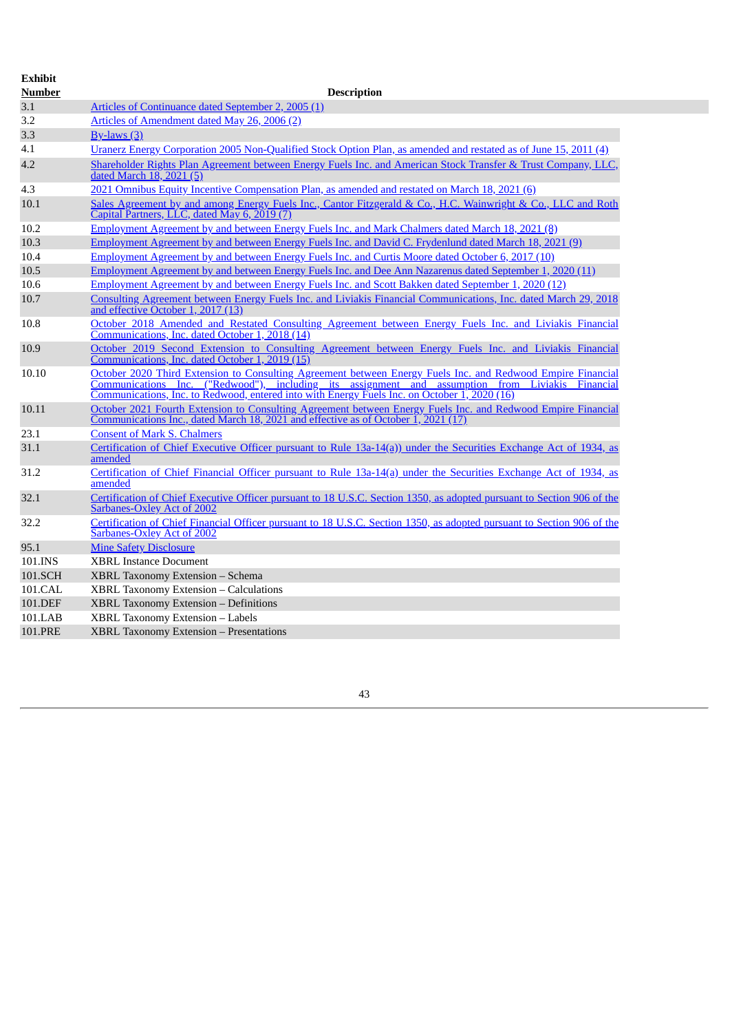| <b>Exhibit</b> |                                                                                                                                                                                                                                                                                                                 |
|----------------|-----------------------------------------------------------------------------------------------------------------------------------------------------------------------------------------------------------------------------------------------------------------------------------------------------------------|
| <b>Number</b>  | <b>Description</b>                                                                                                                                                                                                                                                                                              |
| 3.1            | Articles of Continuance dated September 2, 2005 (1)                                                                                                                                                                                                                                                             |
| 3.2            | Articles of Amendment dated May 26, 2006 (2)                                                                                                                                                                                                                                                                    |
| 3.3            | $By-laws(3)$                                                                                                                                                                                                                                                                                                    |
| 4.1            | Uranerz Energy Corporation 2005 Non-Qualified Stock Option Plan, as amended and restated as of June 15, 2011 (4)                                                                                                                                                                                                |
| 4.2            | Shareholder Rights Plan Agreement between Energy Fuels Inc. and American Stock Transfer & Trust Company, LLC,<br>dated March 18, 2021 (5)                                                                                                                                                                       |
| 4.3            | 2021 Omnibus Equity Incentive Compensation Plan, as amended and restated on March 18, 2021 (6)                                                                                                                                                                                                                  |
| 10.1           | Sales Agreement by and among Energy Fuels Inc., Cantor Fitzgerald & Co., H.C. Wainwright & Co., LLC and Roth<br>Capital Partners, LLC, dated May 6, 2019 (7)                                                                                                                                                    |
| 10.2           | Employment Agreement by and between Energy Fuels Inc. and Mark Chalmers dated March 18, 2021 (8)                                                                                                                                                                                                                |
| 10.3           | <u>Employment Agreement by and between Energy Fuels Inc. and David C. Frydenlund dated March 18, 2021 (9)</u>                                                                                                                                                                                                   |
| 10.4           | <b>Employment Agreement by and between Energy Fuels Inc. and Curtis Moore dated October 6, 2017 (10)</b>                                                                                                                                                                                                        |
| 10.5           | <b>Employment Agreement by and between Energy Fuels Inc. and Dee Ann Nazarenus dated September 1, 2020 (11)</b>                                                                                                                                                                                                 |
| 10.6           | Employment Agreement by and between Energy Fuels Inc. and Scott Bakken dated September 1, 2020 (12)                                                                                                                                                                                                             |
| 10.7           | Consulting Agreement between Energy Fuels Inc. and Liviakis Financial Communications, Inc. dated March 29, 2018<br>and effective October 1, 2017 (13)                                                                                                                                                           |
| 10.8           | October 2018 Amended and Restated Consulting Agreement between Energy Fuels Inc. and Liviakis Financial<br>Communications, Inc. dated October 1, 2018 (14)                                                                                                                                                      |
| 10.9           | October 2019 Second Extension to Consulting Agreement between Energy Fuels Inc. and Liviakis Financial<br>Communications, Inc. dated October 1, 2019 (15)                                                                                                                                                       |
| 10.10          | October 2020 Third Extension to Consulting Agreement between Energy Fuels Inc. and Redwood Empire Financial<br>Communications Inc. ("Redwood"), including its assignment and assumption from Liviakis Financial<br>Communications, Inc. to Redwood, entered into with Energy Fuels Inc. on October 1, 2020 (16) |
| 10.11          | October 2021 Fourth Extension to Consulting Agreement between Energy Fuels Inc. and Redwood Empire Financial<br>Communications Inc., dated March 18, 2021 and effective as of October 1, 2021 (17)                                                                                                              |
| 23.1           | <b>Consent of Mark S. Chalmers</b>                                                                                                                                                                                                                                                                              |
| 31.1           | Certification of Chief Executive Officer pursuant to Rule 13a-14(a)) under the Securities Exchange Act of 1934, as<br>amended                                                                                                                                                                                   |
| 31.2           | Certification of Chief Financial Officer pursuant to Rule 13a-14(a) under the Securities Exchange Act of 1934, as<br>amended                                                                                                                                                                                    |
| 32.1           | Certification of Chief Executive Officer pursuant to 18 U.S.C. Section 1350, as adopted pursuant to Section 906 of the<br>Sarbanes-Oxley Act of 2002                                                                                                                                                            |
| 32.2           | Certification of Chief Financial Officer pursuant to 18 U.S.C. Section 1350, as adopted pursuant to Section 906 of the<br>Sarbanes-Oxley Act of 2002                                                                                                                                                            |
| 95.1           | <b>Mine Safety Disclosure</b>                                                                                                                                                                                                                                                                                   |
| 101.INS        | <b>XBRL Instance Document</b>                                                                                                                                                                                                                                                                                   |
| 101.SCH        | XBRL Taxonomy Extension - Schema                                                                                                                                                                                                                                                                                |
| 101.CAL        | XBRL Taxonomy Extension - Calculations                                                                                                                                                                                                                                                                          |
| 101.DEF        | <b>XBRL Taxonomy Extension - Definitions</b>                                                                                                                                                                                                                                                                    |
| 101.LAB        | XBRL Taxonomy Extension - Labels                                                                                                                                                                                                                                                                                |
| 101.PRE        | <b>XBRL Taxonomy Extension - Presentations</b>                                                                                                                                                                                                                                                                  |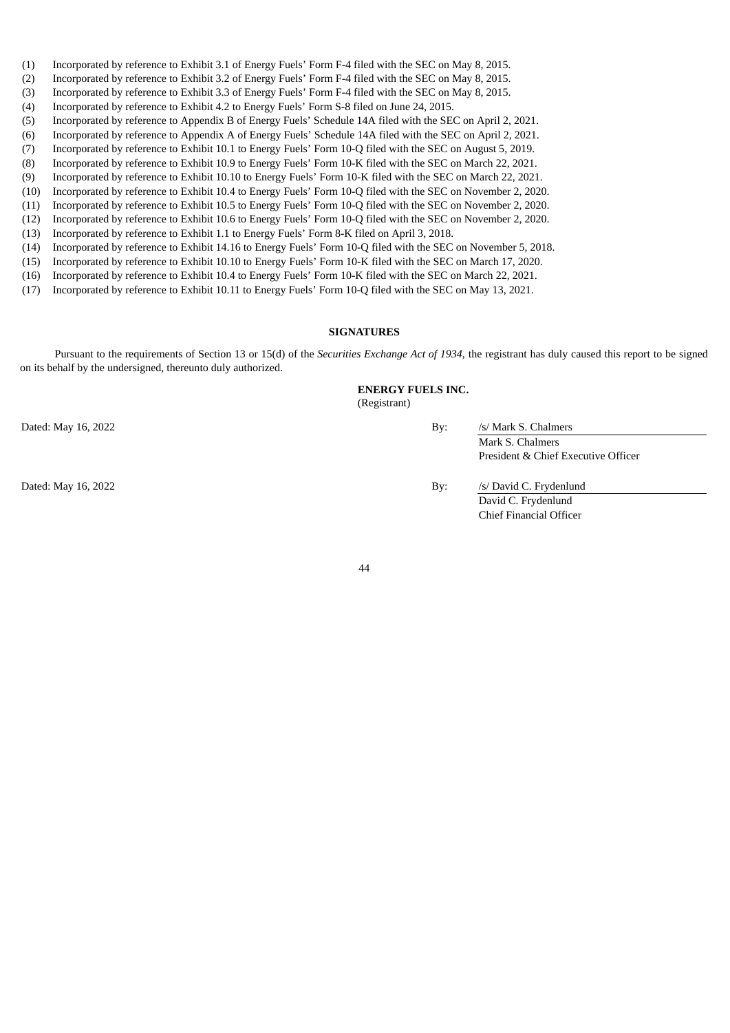- (1) Incorporated by reference to Exhibit 3.1 of Energy Fuels' Form F-4 filed with the SEC on May 8, 2015.
- (2) Incorporated by reference to Exhibit 3.2 of Energy Fuels' Form F-4 filed with the SEC on May 8, 2015.
- (3) Incorporated by reference to Exhibit 3.3 of Energy Fuels' Form F-4 filed with the SEC on May 8, 2015.
- (4) Incorporated by reference to Exhibit 4.2 to Energy Fuels' Form S-8 filed on June 24, 2015.
- (5) Incorporated by reference to Appendix B of Energy Fuels' Schedule 14A filed with the SEC on April 2, 2021.
- (6) Incorporated by reference to Appendix A of Energy Fuels' Schedule 14A filed with the SEC on April 2, 2021.
- (7) Incorporated by reference to Exhibit 10.1 to Energy Fuels' Form 10-Q filed with the SEC on August 5, 2019.
- (8) Incorporated by reference to Exhibit 10.9 to Energy Fuels' Form 10-K filed with the SEC on March 22, 2021.
- (9) Incorporated by reference to Exhibit 10.10 to Energy Fuels' Form 10-K filed with the SEC on March 22, 2021.
- (10) Incorporated by reference to Exhibit 10.4 to Energy Fuels' Form 10-Q filed with the SEC on November 2, 2020.
- (11) Incorporated by reference to Exhibit 10.5 to Energy Fuels' Form 10-Q filed with the SEC on November 2, 2020.
- (12) Incorporated by reference to Exhibit 10.6 to Energy Fuels' Form 10-Q filed with the SEC on November 2, 2020.
- (13) Incorporated by reference to Exhibit 1.1 to Energy Fuels' Form 8-K filed on April 3, 2018.
- (14) Incorporated by reference to Exhibit 14.16 to Energy Fuels' Form 10-Q filed with the SEC on November 5, 2018.
- (15) Incorporated by reference to Exhibit 10.10 to Energy Fuels' Form 10-K filed with the SEC on March 17, 2020.
- (16) Incorporated by reference to Exhibit 10.4 to Energy Fuels' Form 10-K filed with the SEC on March 22, 2021.
- (17) Incorporated by reference to Exhibit 10.11 to Energy Fuels' Form 10-Q filed with the SEC on May 13, 2021.

# **SIGNATURES**

Pursuant to the requirements of Section 13 or 15(d) of the *Securities Exchange Act of 1934*, the registrant has duly caused this report to be signed on its behalf by the undersigned, thereunto duly authorized.

> **ENERGY FUELS INC.** (Registrant)

Dated: May 16, 2022 By: /s/ Mark S. Chalmers Mark S. Chalmers President & Chief Executive Officer

Dated: May 16, 2022 By: /s/ David C. Frydenlund David C. Frydenlund Chief Financial Officer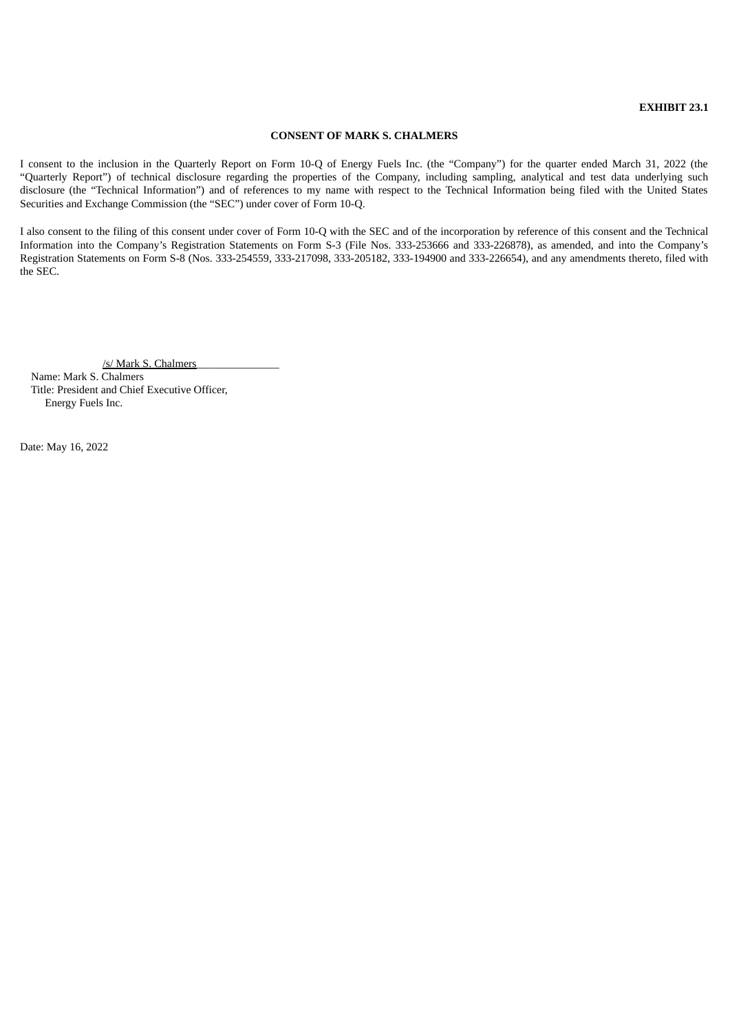## **CONSENT OF MARK S. CHALMERS**

<span id="page-44-0"></span>I consent to the inclusion in the Quarterly Report on Form 10-Q of Energy Fuels Inc. (the "Company") for the quarter ended March 31, 2022 (the "Quarterly Report") of technical disclosure regarding the properties of the Company, including sampling, analytical and test data underlying such disclosure (the "Technical Information") and of references to my name with respect to the Technical Information being filed with the United States Securities and Exchange Commission (the "SEC") under cover of Form 10-Q.

I also consent to the filing of this consent under cover of Form 10-Q with the SEC and of the incorporation by reference of this consent and the Technical Information into the Company's Registration Statements on Form S-3 (File Nos. 333-253666 and 333-226878), as amended, and into the Company's Registration Statements on Form S-8 (Nos. 333-254559, 333-217098, 333-205182, 333-194900 and 333-226654), and any amendments thereto, filed with the SEC.

/s/ Mark S. Chalmers Name: Mark S. Chalmers Title: President and Chief Executive Officer, Energy Fuels Inc.

Date: May 16, 2022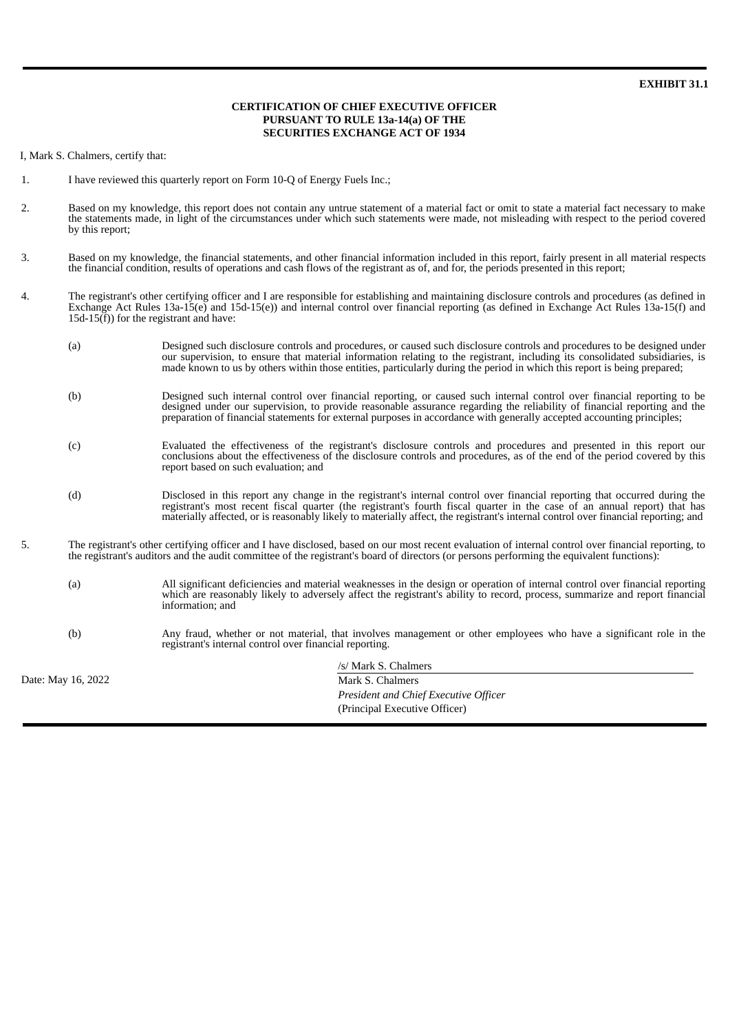## **EXHIBIT 31.1**

## **CERTIFICATION OF CHIEF EXECUTIVE OFFICER PURSUANT TO RULE 13a-14(a) OF THE SECURITIES EXCHANGE ACT OF 1934**

<span id="page-45-0"></span>I, Mark S. Chalmers, certify that:

- 1. I have reviewed this quarterly report on Form 10-Q of Energy Fuels Inc.;
- 2. Based on my knowledge, this report does not contain any untrue statement of a material fact or omit to state a material fact necessary to make the statements made, in light of the circumstances under which such statements were made, not misleading with respect to the period covered by this report;
- 3. Based on my knowledge, the financial statements, and other financial information included in this report, fairly present in all material respects the financial condition, results of operations and cash flows of the registrant as of, and for, the periods presented in this report;
- 4. The registrant's other certifying officer and I are responsible for establishing and maintaining disclosure controls and procedures (as defined in Exchange Act Rules 13a-15(e) and 15d-15(e)) and internal control over financial reporting (as defined in Exchange Act Rules 13a-15(f) and 15d-15 $(\tilde{f})$ ) for the registrant and have:
	- (a) Designed such disclosure controls and procedures, or caused such disclosure controls and procedures to be designed under our supervision, to ensure that material information relating to the registrant, including its consolidated subsidiaries, is made known to us by others within those entities, particularly during the period in which this report is being prepared;
	- (b) Designed such internal control over financial reporting, or caused such internal control over financial reporting to be designed under our supervision, to provide reasonable assurance regarding the reliability of financial reporting and the preparation of financial statements for external purposes in accordance with generally accepted accounting principles;
	- (c) Evaluated the effectiveness of the registrant's disclosure controls and procedures and presented in this report our conclusions about the effectiveness of the disclosure controls and procedures, as of the end of the period covered by this report based on such evaluation; and
	- (d) Disclosed in this report any change in the registrant's internal control over financial reporting that occurred during the registrant's most recent fiscal quarter (the registrant's fourth fiscal quarter in the case of an annual report) that has materially affected, or is reasonably likely to materially affect, the registrant's internal control over financial reporting; and
- 5. The registrant's other certifying officer and I have disclosed, based on our most recent evaluation of internal control over financial reporting, to the registrant's auditors and the audit committee of the registrant's board of directors (or persons performing the equivalent functions):
	- (a) All significant deficiencies and material weaknesses in the design or operation of internal control over financial reporting which are reasonably likely to adversely affect the registrant's ability to record, process, summarize and report financial information; and
	- (b) Any fraud, whether or not material, that involves management or other employees who have a significant role in the registrant's internal control over financial reporting.

|                    | /s/ Mark S. Chalmers                  |
|--------------------|---------------------------------------|
| Date: May 16, 2022 | Mark S. Chalmers                      |
|                    | President and Chief Executive Officer |
|                    | (Principal Executive Officer)         |
|                    |                                       |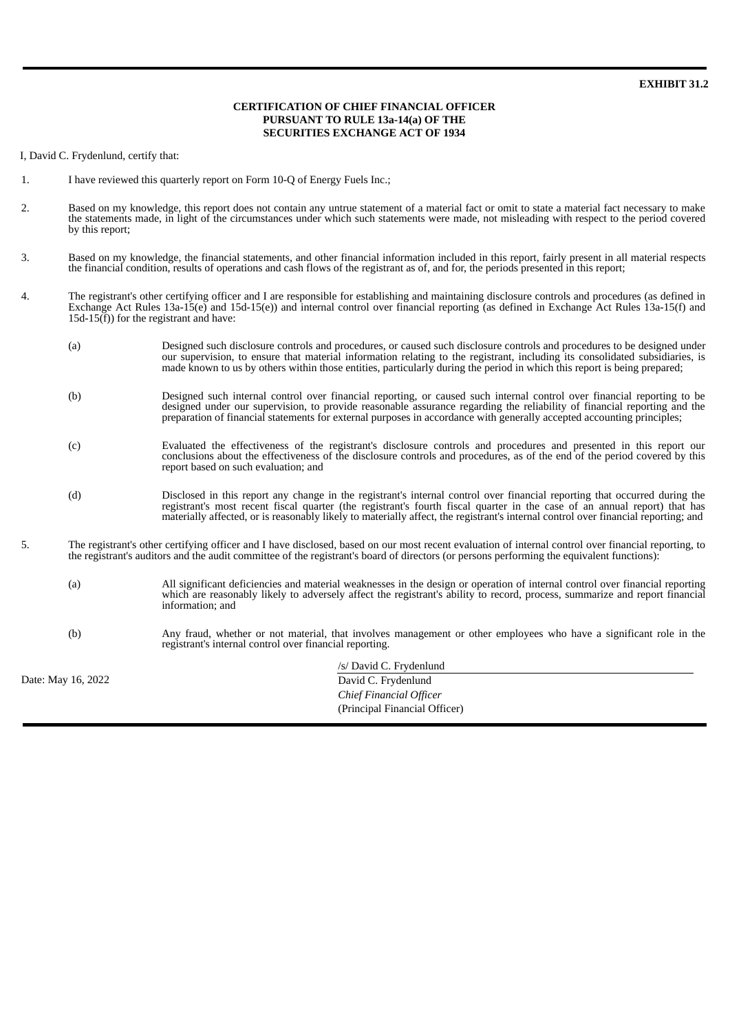# **CERTIFICATION OF CHIEF FINANCIAL OFFICER PURSUANT TO RULE 13a-14(a) OF THE SECURITIES EXCHANGE ACT OF 1934**

<span id="page-46-0"></span>I, David C. Frydenlund, certify that:

- 1. I have reviewed this quarterly report on Form 10-Q of Energy Fuels Inc.;
- 2. Based on my knowledge, this report does not contain any untrue statement of a material fact or omit to state a material fact necessary to make the statements made, in light of the circumstances under which such statements were made, not misleading with respect to the period covered by this report;
- 3. Based on my knowledge, the financial statements, and other financial information included in this report, fairly present in all material respects the financial condition, results of operations and cash flows of the registrant as of, and for, the periods presented in this report;
- 4. The registrant's other certifying officer and I are responsible for establishing and maintaining disclosure controls and procedures (as defined in Exchange Act Rules 13a-15(e) and 15d-15(e)) and internal control over financial reporting (as defined in Exchange Act Rules 13a-15(f) and 15d-15 $(\tilde{f})$ ) for the registrant and have:
	- (a) Designed such disclosure controls and procedures, or caused such disclosure controls and procedures to be designed under our supervision, to ensure that material information relating to the registrant, including its consolidated subsidiaries, is made known to us by others within those entities, particularly during the period in which this report is being prepared;
	- (b) Designed such internal control over financial reporting, or caused such internal control over financial reporting to be designed under our supervision, to provide reasonable assurance regarding the reliability of financial reporting and the preparation of financial statements for external purposes in accordance with generally accepted accounting principles;
	- (c) Evaluated the effectiveness of the registrant's disclosure controls and procedures and presented in this report our conclusions about the effectiveness of the disclosure controls and procedures, as of the end of the period covered by this report based on such evaluation; and
	- (d) Disclosed in this report any change in the registrant's internal control over financial reporting that occurred during the registrant's most recent fiscal quarter (the registrant's fourth fiscal quarter in the case of an annual report) that has materially affected, or is reasonably likely to materially affect, the registrant's internal control over financial reporting; and
- 5. The registrant's other certifying officer and I have disclosed, based on our most recent evaluation of internal control over financial reporting, to the registrant's auditors and the audit committee of the registrant's board of directors (or persons performing the equivalent functions):
	- (a) All significant deficiencies and material weaknesses in the design or operation of internal control over financial reporting which are reasonably likely to adversely affect the registrant's ability to record, process, summarize and report financial information; and
	- (b) Any fraud, whether or not material, that involves management or other employees who have a significant role in the registrant's internal control over financial reporting.

|                    | /s/ David C. Frydenlund       |  |
|--------------------|-------------------------------|--|
| Date: May 16, 2022 | David C. Frydenlund           |  |
|                    | Chief Financial Officer       |  |
|                    | (Principal Financial Officer) |  |
|                    |                               |  |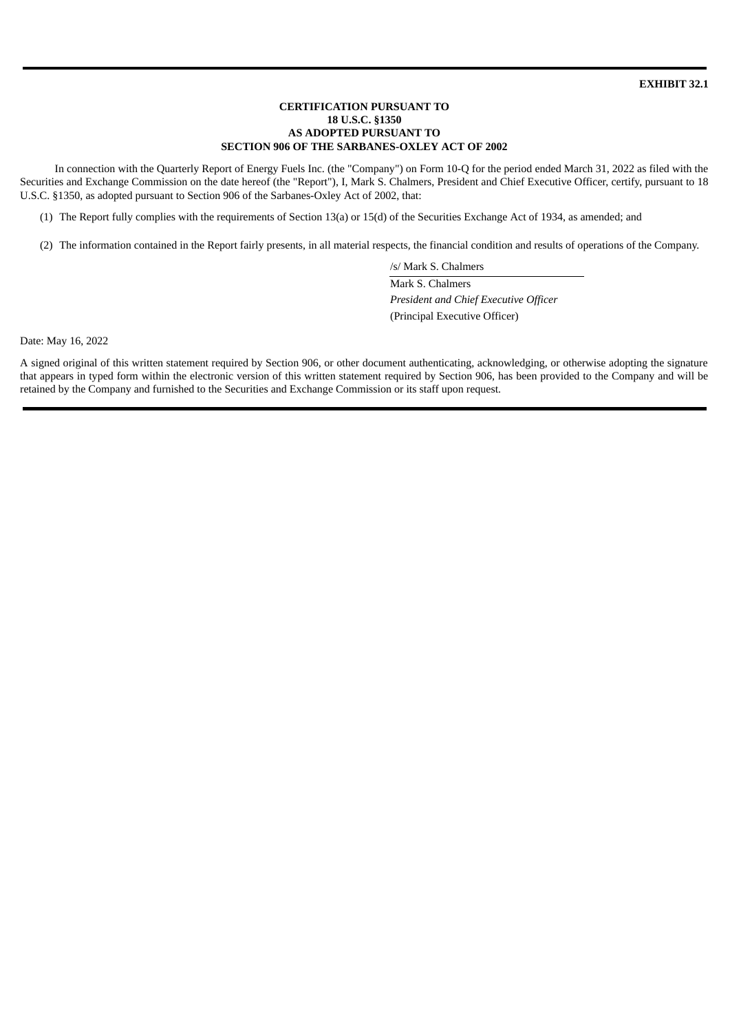# **EXHIBIT 32.1**

## **CERTIFICATION PURSUANT TO 18 U.S.C. §1350 AS ADOPTED PURSUANT TO SECTION 906 OF THE SARBANES-OXLEY ACT OF 2002**

<span id="page-47-0"></span>In connection with the Quarterly Report of Energy Fuels Inc. (the "Company") on Form 10-Q for the period ended March 31, 2022 as filed with the Securities and Exchange Commission on the date hereof (the "Report"), I, Mark S. Chalmers, President and Chief Executive Officer, certify, pursuant to 18 U.S.C. §1350, as adopted pursuant to Section 906 of the Sarbanes-Oxley Act of 2002, that:

(1) The Report fully complies with the requirements of Section 13(a) or 15(d) of the Securities Exchange Act of 1934, as amended; and

(2) The information contained in the Report fairly presents, in all material respects, the financial condition and results of operations of the Company.

/s/ Mark S. Chalmers Mark S. Chalmers *President and Chief Executive Officer*

(Principal Executive Officer)

Date: May 16, 2022

A signed original of this written statement required by Section 906, or other document authenticating, acknowledging, or otherwise adopting the signature that appears in typed form within the electronic version of this written statement required by Section 906, has been provided to the Company and will be retained by the Company and furnished to the Securities and Exchange Commission or its staff upon request.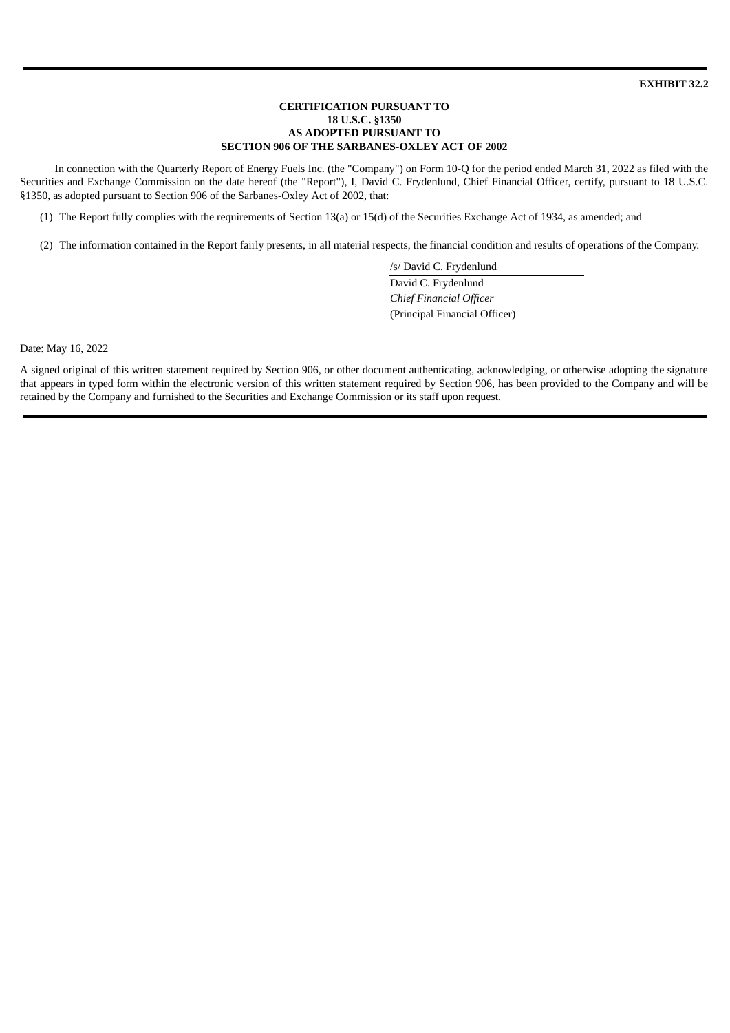# **EXHIBIT 32.2**

## **CERTIFICATION PURSUANT TO 18 U.S.C. §1350 AS ADOPTED PURSUANT TO SECTION 906 OF THE SARBANES-OXLEY ACT OF 2002**

<span id="page-48-0"></span>In connection with the Quarterly Report of Energy Fuels Inc. (the "Company") on Form 10-Q for the period ended March 31, 2022 as filed with the Securities and Exchange Commission on the date hereof (the "Report"), I, David C. Frydenlund, Chief Financial Officer, certify, pursuant to 18 U.S.C. §1350, as adopted pursuant to Section 906 of the Sarbanes-Oxley Act of 2002, that:

(1) The Report fully complies with the requirements of Section 13(a) or 15(d) of the Securities Exchange Act of 1934, as amended; and

(2) The information contained in the Report fairly presents, in all material respects, the financial condition and results of operations of the Company.

/s/ David C. Frydenlund

David C. Frydenlund *Chief Financial Officer* (Principal Financial Officer)

Date: May 16, 2022

A signed original of this written statement required by Section 906, or other document authenticating, acknowledging, or otherwise adopting the signature that appears in typed form within the electronic version of this written statement required by Section 906, has been provided to the Company and will be retained by the Company and furnished to the Securities and Exchange Commission or its staff upon request.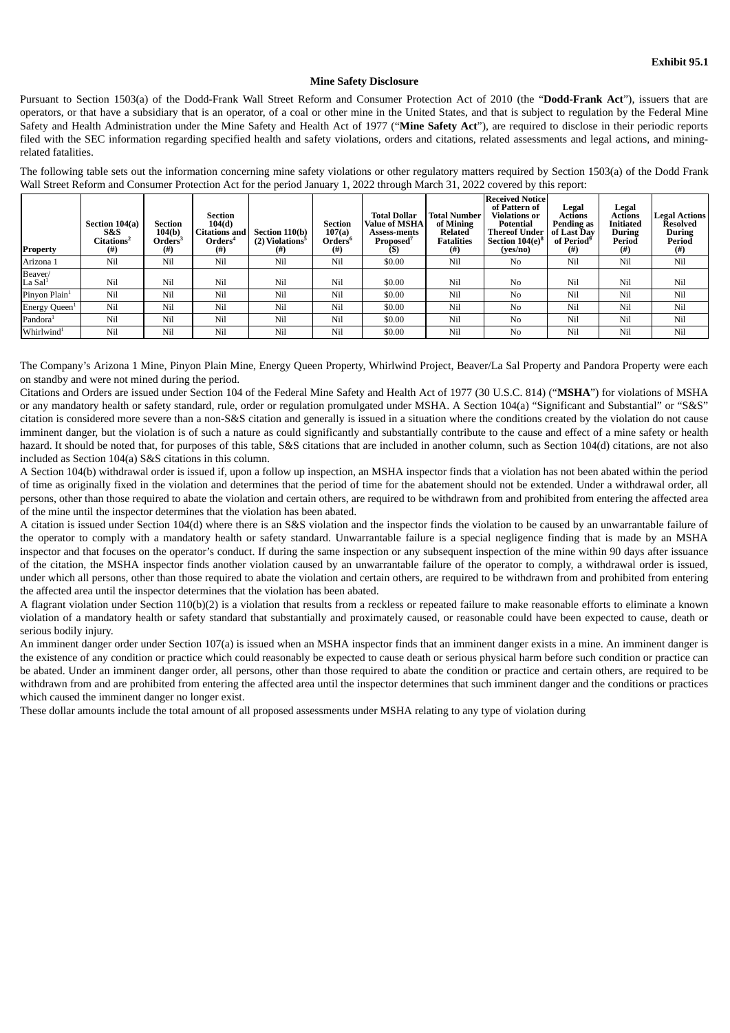#### **Mine Safety Disclosure**

<span id="page-49-0"></span>Pursuant to Section 1503(a) of the Dodd-Frank Wall Street Reform and Consumer Protection Act of 2010 (the "**Dodd-Frank Act**"), issuers that are operators, or that have a subsidiary that is an operator, of a coal or other mine in the United States, and that is subject to regulation by the Federal Mine Safety and Health Administration under the Mine Safety and Health Act of 1977 ("**Mine Safety Act**"), are required to disclose in their periodic reports filed with the SEC information regarding specified health and safety violations, orders and citations, related assessments and legal actions, and miningrelated fatalities.

The following table sets out the information concerning mine safety violations or other regulatory matters required by Section 1503(a) of the Dodd Frank Wall Street Reform and Consumer Protection Act for the period January 1, 2022 through March 31, 2022 covered by this report:

| <b>Property</b>                | Section 104(a)<br>S&S<br>Citations <sup>2</sup><br>$^{(#)}$ | Section<br>104(b)<br>Orders <sup>3</sup><br>$^{(#)}$ | Section<br>104(d)<br><b>Citations</b> and<br>Orders <sup>4</sup><br>(# ) | Section 110(b)<br>(2) Violations <sup>5</sup><br>$^{(#)}$ | Section<br>107(a)<br>Orders <sup>6</sup><br>$^{(#)}$ | <b>Total Dollar</b><br><b>Value of MSHA</b><br><b>Assess-ments</b><br>Proposed <sup>7</sup><br>$\tilde{S}$ | <b>Total Number</b><br>of Mining<br><b>Related</b><br><b>Fatalities</b><br>$^{(#)}$ | <b>Received Notice</b><br>of Pattern of<br><b>Violations or</b><br>Potential<br><b>Thereof Under</b><br>Section $104(e)^8$<br>(ves/no) | Legal<br><b>Actions</b><br>Pending as<br>of Last Day<br>of Period <sup>9</sup><br>(#) | Legal<br>Actions<br><b>Initiated</b><br>During<br>Period<br>(#) | <b>Legal Actions</b><br><b>Řesolved</b><br><b>During</b><br><b>Period</b><br>$($ # $)$ |
|--------------------------------|-------------------------------------------------------------|------------------------------------------------------|--------------------------------------------------------------------------|-----------------------------------------------------------|------------------------------------------------------|------------------------------------------------------------------------------------------------------------|-------------------------------------------------------------------------------------|----------------------------------------------------------------------------------------------------------------------------------------|---------------------------------------------------------------------------------------|-----------------------------------------------------------------|----------------------------------------------------------------------------------------|
| Arizona 1                      | Nil                                                         | Nil                                                  | Nil                                                                      | Nil                                                       | Nil                                                  | \$0.00                                                                                                     | Nil                                                                                 | N <sub>0</sub>                                                                                                                         | Nil                                                                                   | Nil                                                             | Nil                                                                                    |
| Beaver/<br>La Sal <sup>1</sup> | Nil                                                         | Nil                                                  | Nil                                                                      | Nil                                                       | Nil                                                  | \$0.00                                                                                                     | Nil                                                                                 | No                                                                                                                                     | Nil                                                                                   | Nil                                                             | Nil                                                                                    |
| Pinyon Plain <sup>1</sup>      | Nil                                                         | Nil                                                  | Nil                                                                      | Nil                                                       | Nil                                                  | \$0.00                                                                                                     | Nil                                                                                 | N <sub>0</sub>                                                                                                                         | Nil                                                                                   | Nil                                                             | Nil                                                                                    |
| Energy Queen <sup>1</sup>      | Nil                                                         | Nil                                                  | Nil                                                                      | Nil                                                       | Nil                                                  | \$0.00                                                                                                     | Nil                                                                                 | N <sub>0</sub>                                                                                                                         | Nil                                                                                   | Nil                                                             | Nil                                                                                    |
| Pandora <sup>1</sup>           | Nil                                                         | Nil                                                  | Nil                                                                      | Nil                                                       | Nil                                                  | \$0.00                                                                                                     | Nil                                                                                 | N <sub>0</sub>                                                                                                                         | Nil                                                                                   | Nil                                                             | Nil                                                                                    |
| Whirlwind <sup>1</sup>         | Nil                                                         | Nil                                                  | Nil                                                                      | Nil                                                       | Nil                                                  | \$0.00                                                                                                     | Nil                                                                                 | N <sub>0</sub>                                                                                                                         | Nil                                                                                   | Nil                                                             | Nil                                                                                    |

The Company's Arizona 1 Mine, Pinyon Plain Mine, Energy Queen Property, Whirlwind Project, Beaver/La Sal Property and Pandora Property were each on standby and were not mined during the period.

Citations and Orders are issued under Section 104 of the Federal Mine Safety and Health Act of 1977 (30 U.S.C. 814) ("**MSHA**") for violations of MSHA or any mandatory health or safety standard, rule, order or regulation promulgated under MSHA. A Section 104(a) "Significant and Substantial" or "S&S" citation is considered more severe than a non-S&S citation and generally is issued in a situation where the conditions created by the violation do not cause imminent danger, but the violation is of such a nature as could significantly and substantially contribute to the cause and effect of a mine safety or health hazard. It should be noted that, for purposes of this table, S&S citations that are included in another column, such as Section 104(d) citations, are not also included as Section 104(a) S&S citations in this column.

A Section 104(b) withdrawal order is issued if, upon a follow up inspection, an MSHA inspector finds that a violation has not been abated within the period of time as originally fixed in the violation and determines that the period of time for the abatement should not be extended. Under a withdrawal order, all persons, other than those required to abate the violation and certain others, are required to be withdrawn from and prohibited from entering the affected area of the mine until the inspector determines that the violation has been abated.

A citation is issued under Section 104(d) where there is an S&S violation and the inspector finds the violation to be caused by an unwarrantable failure of the operator to comply with a mandatory health or safety standard. Unwarrantable failure is a special negligence finding that is made by an MSHA inspector and that focuses on the operator's conduct. If during the same inspection or any subsequent inspection of the mine within 90 days after issuance of the citation, the MSHA inspector finds another violation caused by an unwarrantable failure of the operator to comply, a withdrawal order is issued, under which all persons, other than those required to abate the violation and certain others, are required to be withdrawn from and prohibited from entering the affected area until the inspector determines that the violation has been abated.

A flagrant violation under Section 110(b)(2) is a violation that results from a reckless or repeated failure to make reasonable efforts to eliminate a known violation of a mandatory health or safety standard that substantially and proximately caused, or reasonable could have been expected to cause, death or serious bodily injury.

An imminent danger order under Section 107(a) is issued when an MSHA inspector finds that an imminent danger exists in a mine. An imminent danger is the existence of any condition or practice which could reasonably be expected to cause death or serious physical harm before such condition or practice can be abated. Under an imminent danger order, all persons, other than those required to abate the condition or practice and certain others, are required to be withdrawn from and are prohibited from entering the affected area until the inspector determines that such imminent danger and the conditions or practices which caused the imminent danger no longer exist.

These dollar amounts include the total amount of all proposed assessments under MSHA relating to any type of violation during